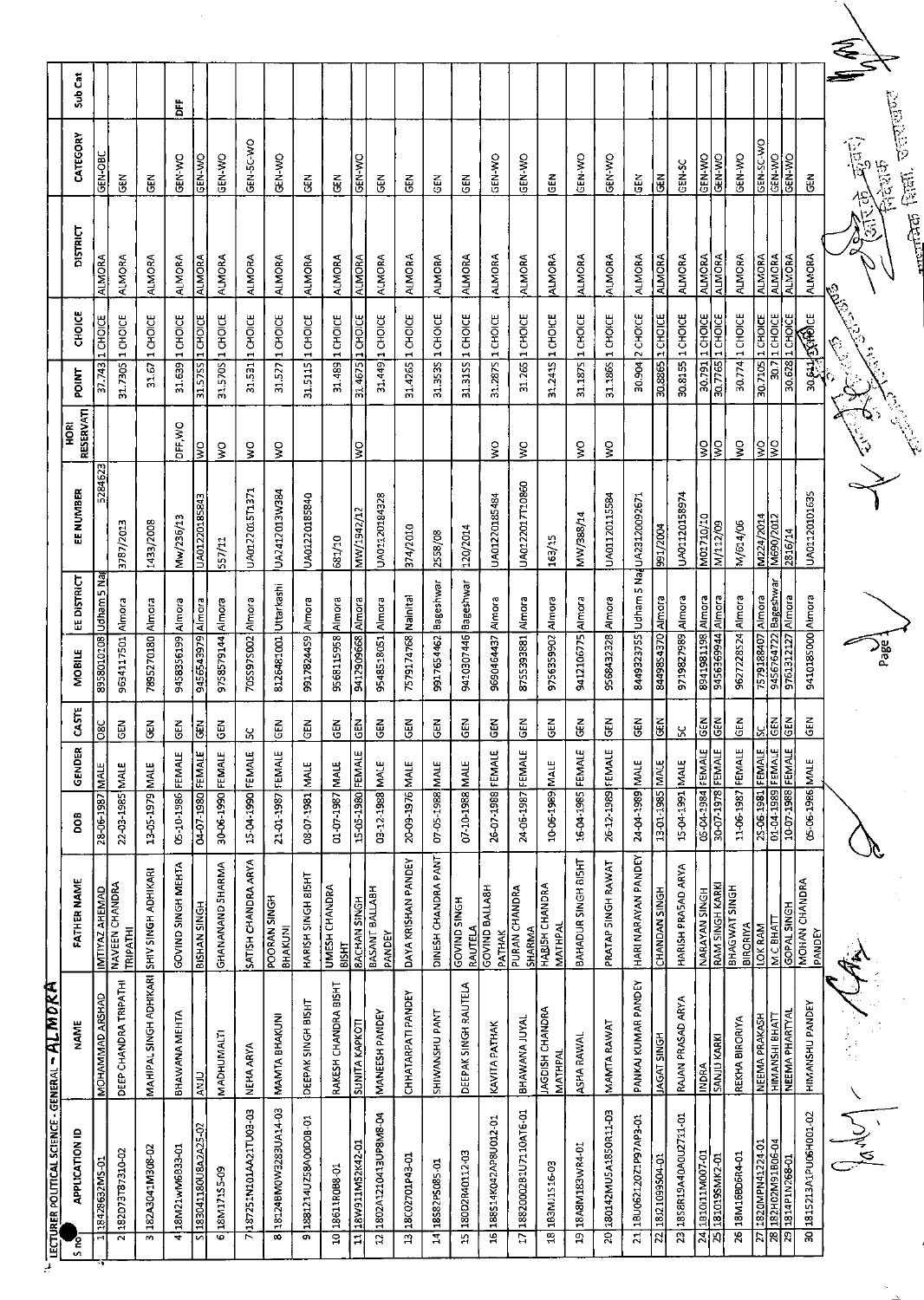| <b>IECTURER POLITICAL SCIENCE - GENERAL - AL MOKA</b> |                                         |                                         |                                                             |               |                         |                                    |             |                                     |                            |          |                   |                 |                       |         |
|-------------------------------------------------------|-----------------------------------------|-----------------------------------------|-------------------------------------------------------------|---------------|-------------------------|------------------------------------|-------------|-------------------------------------|----------------------------|----------|-------------------|-----------------|-----------------------|---------|
| <b>APPLICATION ID</b>                                 | NAME                                    | <b>FATHER NAME</b>                      | 80g                                                         | GENDER        | ŠΕ<br>ర                 | MOBILE                             | EE DISTRICT | EE NUMBER                           | <b>RESERVATI</b><br>й<br>Э | POINT    | <b>CHOICE</b>     | <b>DISTRICT</b> | CATEGORY              | Sub Cat |
| 18428632MS-01                                         | <b>MOHAMMAD ARSHAD</b>                  | IMTIYAZ AHEMAD<br>NAVEEN CHANDRA        | 28-06-1987                                                  | $\frac{1}{2}$ | $\overline{80}$         | 8958010108                         | udham 5 Na  | 5284623                             |                            | 37.743   | 1 CHOICE          | <b>ALMORA</b>   | GEN-OBC               |         |
| 182D73T87310-02                                       | DEEP CHANDRA TRIPATHI                   | <b>TRIPATHI</b>                         | 22-03-1985                                                  | <b>MALE</b>   | <b>GEN</b>              | 9634117501                         | Almora      | 3787/2013                           |                            | 31.7305  | 1 CHOICE          | ALMORA          | Ğ                     |         |
| 182A3041M308-02                                       | MAHIPAL SINGH ADHIKARI                  | SHIV SINGH ADHIKARI                     | 13-05-1979 MALE                                             |               | $\tilde{\epsilon}$      | 7895270180 Almora                  |             | 1433/2008                           |                            | 31.67    | $1$ CHOICE        | ALMORA          | $\widetilde{5}$       |         |
| 18M21wM6B33-01                                        | BHAWANA MEHTA                           | GOVIND SINGH MEHTA                      | 05-10-1986 FEMALE                                           |               | GEN                     | 9458356199 Almora                  |             | Mw/236/13                           | DFF, WO                    | 31.69    | 1 CHOICE          | <b>ALMORA</b>   | GEN-WO                | ă       |
| 183041180U8A2A25-02                                   | <b>CINV</b>                             | <b>HONIS NAHSIB</b>                     | 04-07-1980 FEMALE                                           |               | ¦∉                      | 9456543979 Almora                  |             | UA01220185843                       | $\frac{1}{2}$              |          | 31.57SS 1 CHOICE  | <b>ALMORA</b>   | GEN-WO                |         |
| 18M171S5-09                                           | MADHUMALTI                              | GHANANAND SHARMA                        | 30-06-1990 FEMALE                                           |               | $rac{2}{3}$             | 9758579144 Almora                  |             | 557/11                              | Š                          |          | 31.570S 1 CHOICE  | <b>ALMORA</b>   | GEN-WO                |         |
| 187251N101AA21TU03-03                                 | NEHA ARYA                               | SATISH CHANDRA ARYA                     | 15-04-1990 FEMALE                                           |               | ပ္က                     | 705S97S002                         | Almora      | UA0122015T1371                      | š                          | 31.531   | 1 CHOICE          | <b>ALMORA</b>   | GEN-5C-WO             |         |
| 18124BM0W3283UA14-03                                  | <b>MAMTA BHAKUNI</b>                    | POORAN SINGH<br>BHAKUNI                 | 21-01-1987 FEMALE                                           |               | <b>GEN</b>              | 8126481001 Uttarkashi              |             | UA2412013W384                       | š                          | 31.527   | 1 CHOICE          | ALMORA          | <b>GEN-VIO</b>        |         |
| 1881214UZ58A00D0B-01                                  | DEEPAK SINGH BISHT                      | HARISH SINGH 8I5HT                      | 08-07-1981 MALE                                             |               | $\mathbf{z}$<br>5       | 9917824459 Almora                  |             | UA01220185840                       |                            | 31.5115  | 1 CHOICE          | <b>ALMORA</b>   | $\tilde{\mathbf{g}}$  |         |
| 18611R0B8-01                                          | RAKESH CHANDRA BISHT                    | <b>UMESH CHANDRA</b><br>BISHT           | 01-07-1987                                                  | <b>MALE</b>   | <b>GEN</b>              | 9568115958 Almora                  |             | 681/10                              |                            | 31.489   | 1 CHOICE          | <b>ALMORA</b>   | $\Xi$                 |         |
| 18W911MS2K42-01                                       | <b>SUNITA KAPKOT</b>                    | <b>BACHAN SINGH</b>                     | 15-05-1980                                                  | FEMALE        | GEN                     | 9412909668                         | Almora      | MW/1942/12                          | Ş                          | 31.4675  | 1 CHOICE          | <b>ALMORA</b>   | GEN-WO                |         |
| 1802A1210413UP8M8-04                                  | MANEESH PANDEY                          | BASANT BALLABH<br>PANDEY                | 03-12-1988 MALE                                             |               | z<br>굥                  | 9548518051                         | Almara      | UA01120184328                       |                            | 31,449   | 1 CHOICE          | <b>ALMORA</b>   | $\frac{2}{9}$         |         |
| 18C02701P43-01                                        | CHHATARPATI PANDEY                      | DAYA KRISHAN PANDEY                     | 20-09-1976 MALE                                             |               | z<br>9                  | 7579174768 Nainital                |             | 374/2010                            |                            |          | 31.4265 1 CHOICE  | <b>ALMORA</b>   | $\frac{2}{5}$         |         |
| 18582PS085-01                                         | <b>TAN URZMAWIHZ</b>                    | DINESH CHANDRA PANT                     | 07-05-1988 MALE                                             |               | z<br>8                  | 9917654462 Bageshwar               |             | 258/08                              |                            | 31.3535  | 1 CHOICE          | <b>ALMORA</b>   | $\overline{G}$ EN     |         |
| 18002R40112-03                                        | DEEPAK SINGH RAUTELA                    | <b>GOVIND SINGH</b><br>RAUTELA          | 07-10-1988 MALE                                             |               | $rac{2}{9}$             | 9410307446 Bageshwar               |             | 120/2014                            |                            |          | 31.31SS 1 CHOICE  | ALMORA          | <b>GEN</b>            |         |
| 188514K042AP8U012-01                                  | KAVITA PATHAK                           | GOVIND BALLA8H<br>PATHAK                | 26-07-1988 FEMALE                                           |               | Ğθ                      | 9690464437                         | Amora       | UA01220185484                       | š                          | 31.2875  | 1 CHOICE          | <b>ALMORA</b>   | GEN-WO                |         |
| 1882000281U7110AT6-01                                 | BHAWANA JUYAL                           | PURAN CHANDRA<br><b>SHARMA</b>          | 24-06-1987                                                  | FEMALE        | ĞΗ                      | 8755393881 Almora                  |             | UA0122017T10860                     | ş                          | 31.265   | 1 CHOICE          | <b>ALMORA</b>   | GEN-WO                |         |
| 183MJ1S16-03                                          | JAGDISH CHANDRA<br>MATHPAI              | HABISH CHANDRA<br>MATHPAI               | 10-06-1989 MALE                                             |               | <b>GEN</b>              | 9756359902                         | Almora      | 163/15                              |                            | 31.2415  | 1 CHOICE          | ALMORA          | <b>GEN</b>            |         |
| 18A8M183WR4-01                                        | ASHA RAWAL                              | BAHADUR SINGH BISHT                     | 16-04-1985 FEMALE                                           |               | z<br>ზ                  | 9412106775                         | Almora      | NW/388/14                           | ş                          | 31.1875  | 1 CHOICE          | <b>ALMORA</b>   | GEN-WO                |         |
| 20 180142MU5A1850R11-D3                               | MAMTA RAWAT                             | PRATAP SINGH RAWAT                      | 26-12-1989 FEMALE                                           |               | z<br><u>ა</u>           | 9568432328 Almora                  |             | UA01120115584                       | ş                          | 31.186S  | 1 CHOICE          | ALMORA          | GEN-WO                |         |
| 21 18U06212021P97AP3-01                               | PANKAJ KUMAR PANDEY                     | HARI NARAYAN PANDEY                     | 24-04-1989 MALE                                             |               | GEN                     |                                    |             | 8449323755 Udham 5 Na UA23120092671 |                            |          | 30.904 2 CHOICE   | ALMORA          | <b>GEN</b>            |         |
| 10-b0S66012181                                        | <b>IAGAT SINGH</b>                      | CHANDAN SINGH                           | 13-01-1985 MALE                                             |               | E                       | <b>B1498S4370</b> Almora           |             | 891/2004                            |                            |          | 30.8865 1 CHOICE  | <b>ALMORA</b>   | 동                     |         |
| 23 1858R19A40A0U2711-01                               | RAJAN PRASAD ARYA                       | HARISH PRASAD ARYA                      | 3JAM 1991 NALE                                              |               | 50                      | 9719827989 Almora                  |             | UA01120158974                       |                            |          | 30.8155 1 CHOICE  | ALMORA          | GEN-SC                |         |
| 1810111M007-01                                        | <b>INDRA</b>                            | <b>NARAYAN SINGH</b>                    | 05-04-1984 FEMALE                                           |               | $\overline{\mathbb{E}}$ | 8941981198 Almora                  |             | M01710/10                           | 읽                          | 30.791   | 1 CHOICE          | <b>ALMORA</b>   | <b>GEN-WO</b>         |         |
| to-ZYMS6torat                                         | <b>SANJU KARKI</b>                      | <b>RAM SINGH KARKI</b><br>BHAGWAT SINGH | 30-07-1978 FEMALE                                           |               | $\frac{1}{3}$           | 9456369944 Almora                  |             | M/112/09                            |                            |          |                   | <b>ALMORA</b>   | GEN-WO                |         |
| 26 18M16BD6R4-01                                      | REKHA BIRORIYA                          | <b>BIRORIYA</b>                         | 11-06-1987 FEMALE                                           |               | $rac{1}{2}$             | 9627228524 Almora                  |             | M/614/06                            | š                          |          | 30.774 1 CHOICE   | <b>ALMORA</b>   | GEN-WO                |         |
| 182H02M91B06-04<br>1820MPN41224-01                    | NEEMA PRAKASH                           | <u>N C BHATT</u><br>LOK RAM             | 25-06-1981 FEMALE<br>01-04-1989 FEMALE<br>10-07-1988 FEMALE |               | <u>ន្ទ្រូន្ទ្រី</u>     | T579188407 Almora<br>9456764722    | Bageshwar   | M224/2014<br>M690/2012              | ş<br>š                     | 30.7     | 30.7105 1 CHOICE  | <b>ALMORA</b>   | GEN-SC-WO             |         |
| 1814P1N268-01                                         | <u>HIMANSHI BHATT</u><br>NEEMA PHARTYAL | GOPAL SINGH                             |                                                             |               |                         | 9761312127                         | Almora      | 2816/14                             |                            | 30.628   | $\frac{1}{10000}$ | ALMORA          | OM-N35                |         |
| 1815213A1PU06H001-02                                  | HIMANSHU PANDEY                         | <b>MOHAN CHANDRA</b><br>PANDEY          | 05-06-1986 MALE                                             |               | $\frac{2}{5}$           | 9410185000 Almora                  |             | UA01120101635                       |                            |          | 30 EN TERMOE      | <b>ALMORA</b>   | 돉                     |         |
| $\frac{5}{16}$                                        | $\frac{1}{2}$                           |                                         |                                                             |               |                         | $\sum_{\mathbf{p} \in \mathbf{p}}$ |             |                                     |                            | Ringer R |                   | E.C.            | ्<br>पूज<br>おなが<br>^٤ |         |
|                                                       |                                         |                                         |                                                             |               |                         |                                    |             |                                     |                            |          |                   | $\frac{1}{2}$   | उतराखण                |         |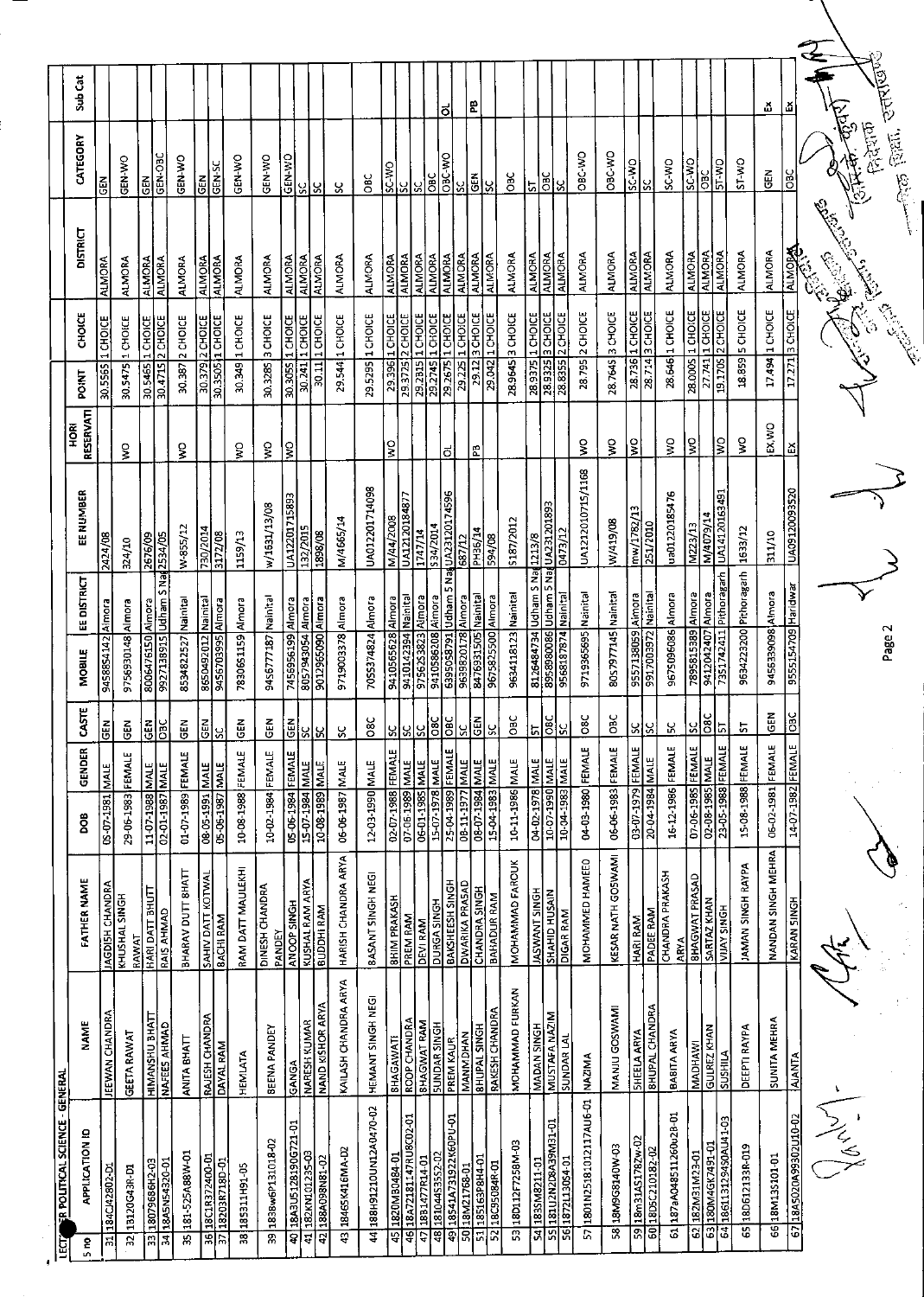| Sub Cat                                                                     |                       |                       |               |                                         |                   |                           |                     |                   |                                 |                             |                                                       |                                  |                          |                      |                                       |                                 | õ                                |                                                          | 문                                                  |                           |                        |                       |                                    |                 |                              |                     |                       |                       |                                |                       |                                                               |                        | ă                  | ă                     |                                                   |
|-----------------------------------------------------------------------------|-----------------------|-----------------------|---------------|-----------------------------------------|-------------------|---------------------------|---------------------|-------------------|---------------------------------|-----------------------------|-------------------------------------------------------|----------------------------------|--------------------------|----------------------|---------------------------------------|---------------------------------|----------------------------------|----------------------------------------------------------|----------------------------------------------------|---------------------------|------------------------|-----------------------|------------------------------------|-----------------|------------------------------|---------------------|-----------------------|-----------------------|--------------------------------|-----------------------|---------------------------------------------------------------|------------------------|--------------------|-----------------------|---------------------------------------------------|
| CATEGORY                                                                    | 忌                     | <b>GEN-WO</b>         | 剛             | GEN-OBC                                 | GEN-WO            | <b>GEN</b>                | <b>GEN-SC</b>       | GEN-WO            | GEN-WO                          | OM-N39                      | ă<br> ୪                                               | ပ္တ                              | ŏ                        | <b>CM-3S</b>         | SC                                    | 3                               | OBC-WO<br>$rac{C}{C}$            | ပ္တ                                                      | ¦ã∣                                                | Š,                        | ă                      | 5                     | ă                                  | ပ္တ             | OBC-WO                       | OBC-WO              | SC-WO<br> ႘           |                       | SC-WO                          | O.A-3S                | <b>ST-WO</b><br>90<br>O                                       | ST-WO                  | GEN                | ă                     | <sub>ारक</sub> हिला, उत्तर्गण्डैं<br>.<br>फ़िरेशक |
| <b>DISTRICT</b>                                                             | <b>ALMORA</b>         | <b>ALMORA</b>         | <b>ALMORA</b> | <b>ALMORA</b>                           | ALMORA            | <b>ALMORA</b>             | <b>ALMORA</b>       | <b>ALMORA</b>     | ALMORA                          | <b>ALMORA</b>               | ALMORA<br>ALMORA                                      | <b>ALMORA</b>                    | ALMORA                   | <b>ALMORA</b>        | <b>ALMORA</b>                         | <b>ALIMORA</b>                  | <b>ALMORA</b><br><b>ALMORA</b>   | <b>ALMORA</b>                                            | <b>ALMORA</b>                                      | <b>ALMORA</b>             | <b>ALMORA</b>          | <b>ALMORA</b>         | <b>ALMORA</b>                      | <b>ALMORA</b>   | <b>ALMORA</b>                | <b>ALMORA</b>       | <b>ALMORA</b>         | <b>ALMORA</b>         | <b>ALMORA</b>                  | <b>ALMORA</b>         | <b>ALMORA</b><br><b>ALMORA</b>                                | <b>ALMORA</b>          | <b>ALMORA</b>      | <b>ALMORA</b>         |                                                   |
| CHOICE                                                                      | 1 CHOICE              | 1 CHOICE              | 1 CHOICE      | $2$ CHOICE                              | 2 CHOICE          | $\sqrt{2 \text{ CHOICE}}$ | $\frac{1}{2}$       | 30.349 1 CHOICE   | 3 CHOICE                        | 30.3055 1 CHOICE            | 30.11 1 CHOICE<br>1 CHOICE                            | 29.544 1 CHOICE                  | 1 CHOICE                 | $\frac{1}{2}$ CHOICE | 2 CHOICE                              | 1 CHOICE                        | 1 CHOICE                         | 29.2675 1 CHOICE<br>1 CHOICE                             | 3 CHOICE                                           | 1 CHOICE                  | 28.9645 3 CHOICE       | 1 CHOICE              | 3 CHOICE                           | 2 CHOICE        | 28.795 2 CHOICE              | 3 CHOICE            | 1 CHOICE              | 3 CHOICE              | 28 646 1 CHOICE                | <b>I CHOICE</b>       | 1 CHOICE<br>2 CHOICE                                          | <b>SCHOICE</b>         | 1 CHOICE           | 3 CHOICE              |                                                   |
| <b>POINT</b>                                                                | 30.5565               | 30.5475               | 30.5465       | 30.4715                                 | 30.387            | 30.379                    | 30.3505             |                   | 30.3285                         |                             | 30.241                                                |                                  | 29.5295                  | 29.396               | 29.3725                               | 29.2B15                         | 29.2745                          | 29.225                                                   | 29.12                                              | 29.042                    |                        | 28.9375               | 28,9325                            | 28.835          |                              | 28.7645             | 28.736                | 28.714                |                                | $\frac{1}{28.0005}$   | 27.741<br>19.1705                                             | 18859                  | 17.494             | 17.271                |                                                   |
| RESERVATI<br>혼<br>모                                                         |                       | ş                     |               |                                         | ş                 |                           |                     | ş                 | ş                               | Ş                           |                                                       |                                  |                          | ş                    |                                       |                                 |                                  | ಕ                                                        | 문                                                  |                           |                        |                       |                                    |                 | ş                            | $\frac{1}{2}$       | g                     |                       | Š                              | g                     | ွ                                                             | š                      | EX, V/O            | 핏                     |                                                   |
| EE NUMBER                                                                   | 2424/08               | 324/10                | 2676/09       | 2534/05                                 | W-855/12          | 730/2014                  | 3172/08             | 1159/13           | w/1631/13/08                    | UA12201715893               | 132/2015<br>1898/08                                   | M/4665/14                        | UA012201714098           | M/44/2008            | LI88877                               | 1747/14                         | \$34/2014                        | 687/12                                                   | PH36/14                                            | 594/08                    | \$187/2012             | 1213/8                | UA231201893                        | 0473/12         | UA1212010715/1168            | W/419/08            | mw/1782/13            | 251/2010              | ua01220185476                  | $\frac{1}{223/13}$    | UA14120163491<br>N/4079/14                                    | 1633/12                | 311/10             | 0255002120093520      |                                                   |
| EE DISTRICT                                                                 | 9458854142 Almora     | 9756930148 Almora     | <b>Almora</b> | <b>Judham S Napu</b>                    | Nainital          | <b>Istinisk</b>           | Nmora               | Almora            | 9456777187 Nainital             | 7456956199 Almora           | Almora<br>9012965090 Almora                           | 9719003378 Almora                | 7055374824 Almora        | 9410565628 Almora    | 9410142394 Nainital                   | 97562S3823 Almora               | 9410586208 Almora                | 6395058791 Udham 5 Na UA23120174596<br>9639820178 Almora | 8476931505 Nainital                                | 9675825500 Almora         | 9634118123 Nainital    | 8126484734 Udham S Na | Udham 5 Na                         | <b>Kainital</b> | 9719365695 Nainital          | 8057977145 Nainital | Almora                | <b>Isainis</b>        | 9675096086 Almora              | 7895815389 Almora     | 7351742411 Pithoragarh<br>Almora                              | 9634223200 Pithoragarh | 9456339098 Almora  | 9555154709 Haridwar   | Page 2                                            |
| MOBILE                                                                      |                       |                       | 8006476150    | 9927138915                              | 8534822527        | 8650492012                | 9456703995          | 7830651159        |                                 |                             | 8057943054                                            |                                  |                          |                      |                                       |                                 |                                  |                                                          |                                                    |                           |                        |                       | 8958880086                         |                 |                              |                     | 9557138059            | 9917003972            |                                |                       | 9412042407                                                    |                        |                    |                       |                                                   |
| ÄЯ                                                                          | GEN                   | 3<br>v                |               | <u> 레이</u>                              | $rac{Z}{G}$       | $\overline{\Xi}$          | 55                  | ē<br>פ            | ٢H<br>פ                         | $rac{Z}{G}$                 | <u>ای</u><br>SC.                                      | $\mathcal{S}$                    | se<br>C                  | X                    | š                                     | $\frac{1}{2}$                   |                                  | မြို့                                                    | ໄ품                                                 | ပ္တု                      | <b>DEC</b>             | ь                     | $\overline{\text{BC}}$             | ္တု             | <b>OBC</b>                   | õб                  | ပ္တ                   | ပ္တု                  | Χ                              | ပ္တ                   | $rac{1}{25}$                                                  | <u>ե</u>               | 띥                  | <b>JEO</b>            |                                                   |
| GENDER                                                                      | MALE                  |                       |               |                                         |                   | MALE                      | MALE                |                   |                                 |                             |                                                       |                                  |                          |                      |                                       | <b>MALE</b>                     |                                  | FEMALE                                                   | MALE<br>MALE                                       |                           |                        |                       |                                    |                 |                              |                     |                       | MALE                  |                                |                       | MALE                                                          |                        |                    |                       |                                                   |
| ğ                                                                           | 05-07-1981            | 29-06-1983 FEMALE     |               | 11-07-1988 MALE<br>02-01-1987 MALE      | 01-07-1989 FEMALE | 08-05-1991                | 05-06-1987          | 10-08-1988 FEMALE | 10-02-1984 FEMALE               | 05-06-1984 FEMALE           | 10-08-1989 MALE                                       | 06-06-1987 MALE                  | 12-03-1990 MALE          | 02-07-1988 FEMALE    | 07-06-1989 MALE                       | 06-01-1985                      | 15-07-1978 MALE                  | 25-04-1989                                               | 08-07-1984<br>08-11-1977                           | 15-04-1983 MALE           | 10-11-1986 MALE        | 04-02-1978 MALE       | 31VM 6861-00-01<br>31VM 0661-00-01 |                 | 04-03-1980 FEMALE            | 06-06-1983 FEMALE   | 03-07-1979 FEMALE     | 20-04-1984            | 16-12-1986 FEMALE              | 07-06-1985 FEMALE     | 23-05-1988 FEMALE<br>02-08-1985                               | 15-08-1988 FEMALE      | 06-02-1981 FEMALE  | 14-07-1982 FEMALE     |                                                   |
| <b>FATHER NAME</b>                                                          | <b>AGDISH CHANDRA</b> | KHUSHAL SINGH         | RAWAT         | HARI DATT BHUTT<br><b>RAIS AHMAD</b>    | BHARAV DUTT SHATT | SAHIV DATT KOTWAI         | 8ACHI RAM           | RAM DATT MAULEKHI | DINESH CHANDRA<br><b>PANDEY</b> | <b>ANOOP SINGH</b>          | <b>KUSHAL RAM ARYA</b><br>BUDDHI RAM                  | HARISH CHANDRA ARYA              | BASANT SINGH NEG         | <b>BHIM PRAKASH</b>  | PREM RAM                              | <b>DEVIRAM</b>                  | DURGA SINGH                      | BAKSHEESH SINGH                                          | DWARIKA PRASAD<br><b>CHANDRA SINGH</b>             | <b>BAHADUR RAM</b>        | <b>MOHAMMAD FAROUK</b> | <b>HOMMANT SINGH</b>  | <b>SHAHID HUSAIN</b>               | DIGAR RAM       | MOHAMMED HAMEE0              | KESAR NATH GOSWAMI  | HARI RAM              | PADEE RAM             | CHANDRA PRAKASH<br><b>ARYA</b> | <b>BHAGWAT PRASAD</b> | SARTAZ KHAN<br><b>VIJAY SINGH</b>                             | JAMAN SINGH RAYPA      | NANDAN SINGH MEHRA | KARAN SINGH           |                                                   |
| <b>NAME</b>                                                                 | <b>JEEWAN CHANDRA</b> | <b>GEETA RAWAT</b>    |               | <b>HIMANSHU BHATT</b><br>NAFEES AHMAD   | ANITA BHATT       | RAJESH CHANDRA            | DAYAL RAM           | HEMIATA           | <b>BEENA PANDEY</b>             | <b>GANGA</b>                | NAND KISHOR ARYA<br>NARESH KUMAR                      | KAILASH CHANDRA ARYA             | <b>HEMANT SINGH NEGI</b> | BHAGAWATI            | <b>ROOP CHANDRA</b>                   | <b>BHAGWAT RAM</b>              | <b>SUNDAR SINGH</b>              | PREM KAUR                                                | <b>BHUPAL SINGH</b><br><b>MANMMDHAN</b>            | RAKESH CHANDRA            | MOHAMMAD FURKAN        | <b>MADAN SINGH</b>    | MUSTAFA NAZIM                      | SUNDAR LAL      | <b>NAZIMA</b>                | MANJU GOSWAMI       | <b>SHEELA ARYA</b>    | <b>BHUPAL CHANDRA</b> | BABITA ARYA                    | MADHAWI               | <b>GULREZ KHAN</b><br><u>ATIHSNIS</u>                         | DEEPTI RAYPA           | SUNITA MEHRA       | <b>AJANTA</b>         |                                                   |
| <b>ER POLITICAL SCIENCE - GENERAL</b><br><b>APPLICATION ID</b><br>S no<br>Ē | 184CJ42802-D1         | 32 18120G43R-D1<br>ਜ਼ |               | 18079686H2-03<br> 18ASN54320-01<br>ान्न | 35 181-525A88W-01 | 18C1R372400-01<br>ত্ন     | 18203R718D-01<br>Б, | 38 185311H91-05   | 39 1838w6P131018-02             | L0-TZ/906T87IS/ISM81<br>ਝੋਂ | 41 182KN101235-03<br>188A098N81-02<br>$\overline{42}$ | 18465K416MA-D2<br>$\overline{3}$ | 44 188H91210UN12A0470-02 | 1820MB0484-01<br>45  | 18A72181147RU8C02-01<br>$\frac{4}{6}$ | 18B1477R14-01<br>$\overline{5}$ | 181044S35S2-02<br>$\overline{a}$ | 18541A731922K60PU-01<br>Ţ                                | 185163P8H4-01<br>50 18M21768-01<br>$\overline{51}$ | 18C95084R-01<br>$\approx$ | 53 18D112F7258M-03     | 1835M8211-01          | DO-IEMPEARAZMSLIZBI<br>ज्ञान्नल    | 1872113054-01   | 1801N25181012117AU6-01<br>57 | E0-M0PT856N8T<br>छ  | 18m31AS178Zw-02<br>59 | 60 1805 C210182-02    | 187aA048511260u28-01<br>61     | 182M31M23-01<br>62    | 1861131294S0AU41-03<br>180M4GK7491-01<br>63<br>$\overline{a}$ | 65 18D612133R-019      | 6618M13S101-01     | 6718A5020A99302U10-02 | Jenny                                             |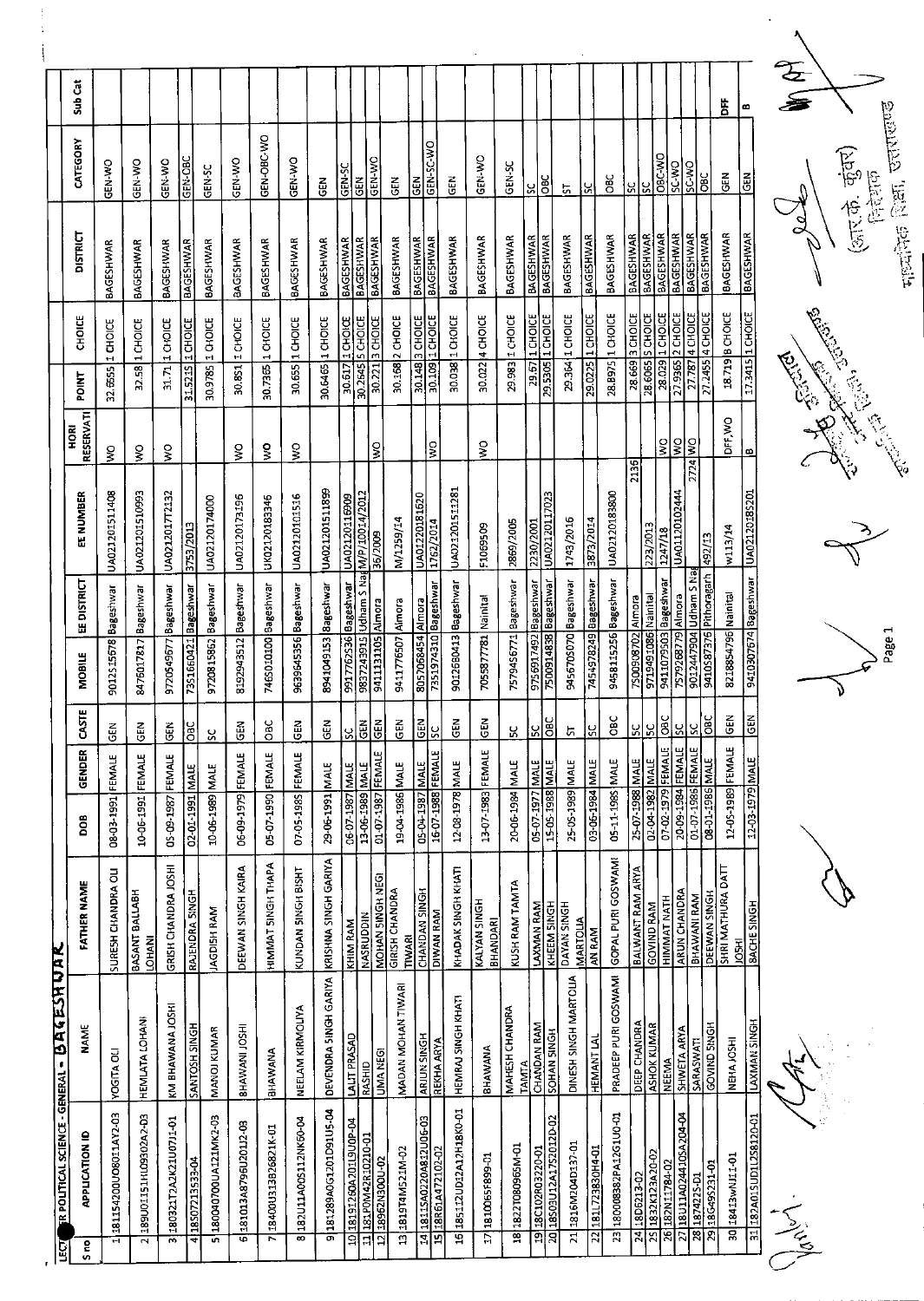|                                                    | Sub Cat                  |                            |                                 |                                         |                      |                           |                           |                      |                           |                        |                           |                                      |                              |                                        |                         |                                    |                                         |                          |                                |                                               |                                        |                                |                   |                         |                   |                                           |                                      |                                     |                                                 |                                       |                       |                                    | <b>ASSE</b> |                   |
|----------------------------------------------------|--------------------------|----------------------------|---------------------------------|-----------------------------------------|----------------------|---------------------------|---------------------------|----------------------|---------------------------|------------------------|---------------------------|--------------------------------------|------------------------------|----------------------------------------|-------------------------|------------------------------------|-----------------------------------------|--------------------------|--------------------------------|-----------------------------------------------|----------------------------------------|--------------------------------|-------------------|-------------------------|-------------------|-------------------------------------------|--------------------------------------|-------------------------------------|-------------------------------------------------|---------------------------------------|-----------------------|------------------------------------|-------------|-------------------|
|                                                    |                          |                            |                                 |                                         |                      |                           |                           |                      |                           |                        |                           |                                      |                              |                                        |                         |                                    |                                         |                          |                                |                                               |                                        |                                |                   |                         |                   |                                           |                                      |                                     |                                                 | ä                                     | œ                     |                                    |             |                   |
|                                                    | CATEGORY                 | GEN-WO                     | GEN-WO                          | GEN WO                                  | GEN-OBC              | GEN-SC                    | <b>GEN WO</b>             | GEN OBC-WO           | <b>CEN WO</b>             | $\tilde{e}$            | GEN-SC                    | GEN                                  | GEN-WO                       | $rac{2}{5}$                            | GEN                     | GEN-SC-WO                          | 군<br>대                                  | GEN-WO                   | GEN-SC                         | χ                                             | <b>OBC</b>                             | $\frac{1}{2}$                  | <u>ូ</u>          | ă                       | SI.               | ပြွ                                       | <b>ORC-V/D</b><br>ON-3S              | SC-WO                               | <b>BC</b>                                       | <b>GEN</b>                            | <b>GEN</b>            |                                    |             |                   |
|                                                    | <b>DISTRICT</b>          | <b>BAGESHWAR</b>           | BAGESHWAR                       | BAGESHWAR                               | <b>BAGESHWAR</b>     | <b>BAGESHWAR</b>          | BAGESHWAR                 | <b>BAGESHWAR</b>     | BAGESHWAR                 | BAGESHWAR              | <b>BAGESHWAR</b>          |                                      | <b>BAGESHWAR</b>             | BAGESHWAR                              | <b>BAGESHWAR</b>        | <b>BAGESHWAR</b>                   | <b>BAGESHWAR</b>                        | BAGESHWAR                | BAGESHWAR                      | <b>BAGESHWAR</b>                              | <b>BAGESHWAR</b>                       | <b>BAGESHWAR</b>               | <b>BAGESHWAR</b>  | BAGESHWAR               | <b>BAGESHWAR</b>  | <b>BAGESHWAR</b>                          | <b>BAGESHWAR</b><br><b>BAGESHWAR</b> | <b>BAGESHWAR</b>                    | <b>BAGESHWAR</b>                                | <b>BAGESHWAR</b>                      | <b>BAGESHWAR</b>      |                                    |             |                   |
|                                                    | CHOICE                   | 1 CHOICE                   | 32.58 1 CHOICE                  | 1 CHOICE                                | 1 CHOICE             | 30.9785 1 CHOICE          | 1 CHOICE                  | 1 CHOICE             | 30.655 1 CHOICE           | 30.6465 1 CHOICE       | 30.617 1 СНОІСЕ           | $30.2645$ <sup>5</sup> CHOICE        | $30.221$ <sub>3</sub> CHOICE | 30.168 2 CHOICE                        |                         | 30.148 3 CHOICE<br>30.109 1 CHOICE | 1 CHOICE                                | 30.022 4 CHOICE          | 29.983 1 CHOICE                | <u>29.67   1 СНОІСЕ</u><br>29.5305   1 СНОІСЕ |                                        | 29.364 1 CHOICE                | 29.0225 1 CHOICE  | 28.B975 1 CHOICE        | $28.669$ 3 CHOICE | 28.6065 S CHOICE                          | 28.029 1 CHOICE                      | 27.9365 2 CHOICE<br>27.787 4 CHOICE | $27.2455$ <sup>4</sup> CHOICE                   | 18.719 B CHOICE                       | 17.3415 1 CHOICE      |                                    |             | Ę                 |
|                                                    | <b>POINT</b>             | 32.655                     |                                 | 31.71                                   | 31.521S              |                           | 30.851                    | 30.7365              |                           |                        |                           |                                      |                              |                                        |                         |                                    | 30.038                                  |                          |                                |                                               |                                        |                                |                   |                         |                   |                                           |                                      |                                     |                                                 |                                       |                       |                                    |             |                   |
|                                                    | RESERVATI<br><b>HORI</b> | ş                          | $\frac{1}{2}$                   | ş                                       |                      |                           | $\frac{8}{3}$             | ş                    | ş                         |                        |                           |                                      | ş                            |                                        |                         | ls.                                |                                         | ş                        |                                |                                               |                                        |                                |                   |                         |                   |                                           | $\frac{0}{5}$                        | <b>OM</b> PZZZ<br>2724 MO           |                                                 | <b>DFF,WO</b>                         | $\boldsymbol{\omega}$ |                                    |             | <b>BASE 1 DES</b> |
|                                                    | <b>EE NUMBER</b>         | UA021201511408             | UA021201510993                  | UA0212017T2132                          | 3753/2013            | UA02120174000             | UA02120173196             | UK02120183346        | UA02120101516             | UA021201511899         | 0A02120116909             | 9837243915 Udham S NadM/P/10014/2012 | 36/2009                      | M/1259/14                              | UA01220181620           | 1762/2014                          | UA021201511281                          | F1069509                 | 2869/2005                      | 2230/2001                                     | UA02120117023                          | 1743/2016                      | 3873/2014         | UA02120183800           | 2136              | 223/2013                                  | 1247/18                              | UA01120102444                       | £1/26                                           | w113/14                               |                       | 9410307674 Bageshwar UA02120185201 |             |                   |
|                                                    | <b>EE DISTRICT</b>       |                            |                                 |                                         |                      |                           |                           |                      |                           |                        |                           |                                      |                              |                                        |                         | <b>Bageshwar</b>                   | 9012680413 Bageshwar                    |                          | 7579456771 Bageshwar           | 9756917492 Bageshwar                          | <b>TS00914838</b> Bageshwar            | 945670S070 Bageshwar           | Bageshwar         | 9458115256 Bageshwar    |                   |                                           | 9411079503 Bageshwar                 |                                     | 9012447904 Udham S Na<br>9410587376 Pithoragarh |                                       |                       |                                    |             |                   |
|                                                    | MOBILE                   | 9012S15678 Bageshwar       | 8476017817 Bageshwar            | 9720549677 Bageshwar                    | 73S1660421 Bageshwar | 9720815862 Bageshwar      | 8192943512 Bageshwar      | 746S010100 Bageshwar | 9639645356 Bageshwar      | 8941049153 Bageshwar   | 9917762S36 Bageshwar      |                                      | 9411131105 Almora            | 9411776507 Almora                      | 8057068454 Almora       | 7351974310                         |                                         | 7055877781 Nainital      |                                |                                               |                                        |                                | 7454978249        |                         | 7500908702 Almora | 9719491086 Nainital                       |                                      | 7579268779 Almora                   |                                                 | 8218854796 Nainital                   |                       |                                    |             |                   |
|                                                    | <b>CASTE</b>             | $\tilde{d}$                | る<br>U                          | $\tilde{\mathbb{E}}$                    | lsc                  | S                         | $\frac{2}{9}$             | OBC                  | $rac{8}{9}$               | GEN                    | <u>lsc</u>                | $\overline{G}$                       | $rac{E}{C}$                  | GEN                                    | GEN                     | ပ္တ                                | GEN                                     | <b>GEN</b>               | <u>ប្ត</u>                     | ပြ                                            | <b>OBC</b>                             | 5                              | <u>ပ</u>          | <b>CBC</b>              | 5C                | $\frac{5}{5}$                             | Говс                                 | 3S                                  | <b>BC</b><br><u>ូ</u>                           | $rac{1}{5}$                           |                       | $rac{2}{5}$                        |             |                   |
|                                                    | GENDER                   | FEMALE                     |                                 |                                         |                      |                           |                           |                      |                           |                        |                           |                                      |                              |                                        |                         | FEMALE                             |                                         |                          |                                |                                               |                                        |                                |                   |                         |                   |                                           | <b>EMAN</b>                          |                                     |                                                 |                                       |                       |                                    |             |                   |
|                                                    | DOB                      | 1661-20-80                 | 10-06-1991 FEMALE               | 05-09-1987 FEMALE                       | 02-01-1991 MALE      | 10-06-1989 MALE           | 06-09-1979 FEMALE         | 05-07-1990 FEMALE    | 07-05-1985 FEMALE         | 39-06-1991 MALE        | 06-07-1987 MALE           | 13-06-1989 MALE                      | 01-07-1987 FEMALE            | 19-04-1986 MALE                        | 05-04-1987 MALE         | 16.07.1988                         | 12-08-1978 MALE                         | 13-07-1983 FEMALE        | 20-06-1984 MALE                | 05-07-1977 MALE                               | 15-05-1988 MALE                        | 25-05-1989 MALE                | 03-06-1984 MALE   | 05-11-1985 MALE         | 25-07-1988 MALE   | 02-04-1982 MALE                           | 07-02-1979                           | 20-09-1984 FEMALE                   | 01-07-1986 FEMALE<br>08-01-1986 MALE            | 12-05-1989 FEMALE                     |                       | 12-03-1979 MALE                    |             |                   |
|                                                    | <b>FATHER NAME</b>       | SURESH CHANDRA OLI         | BASANT BALLABH<br><b>LOHANI</b> | GRISH CHANDRA JOSHI                     | RAJENDRA SINGH       | <b>JAGDISH RAM</b>        | DEEWAN SINGH KAIRA        | HIMMAT SINGH THAPA   | KUNDAN SINGH BISHT        | KRISHNA SINGH GARIYA   | KHIM RAM                  | <b>NASRUDDIN</b>                     | MOHAN SINGH NEGI             | <b>GIRISH CHANDRA</b><br><b>TIWARI</b> | <b>CHANDAN SINGH</b>    | <b>DIVAN RAM</b>                   | KHADAK SINGH KHATI                      | KALYAN SINGH<br>BHANDARI | KUSH RAM TAMTA                 | <b>LAXMAN RAM</b>                             | KHEEM SINGH                            | DAYAN SINGH<br><b>MARTOLIA</b> | AN RAM            | GOPAL PURI GOSWAMI      | BALWANT RAM ARYA  | <b>GOVIND RAM</b>                         | HIMMAT NATH                          | <b>ARUN CHANDRA</b>                 | DEEWAN SINGH<br>BHAWANI RAM                     | SHRI MATHURA DATT                     | <b>JOSHI</b>          | <b>BACHE SINGH</b>                 |             |                   |
| <b>ER POLITICAL SCIENCE - GENERAL - BAGESH UAR</b> | <b>NAME</b>              | <b>YOGITA OLI</b>          | HEMLATA LOHANI                  | KM BHAWANA JOSHI                        | SANTOSH SINGH        | MANOJ KUMAR               | BHAWANI JOSHI             | BHAWANA              | NEELAM KIRMOLIYA          | DEVENDRA SINGH GARIYA  | <b>LALIT PRASAD</b>       | RASHID                               | <b>UMA NEGI</b>              | MADAN MOHAN TIWARI                     | <b>ARJUN SINGH</b>      | REKHA ARYA                         | HEMRAJ SINGH KHATI                      | <b><i>BHAWANA</i></b>    | MAHESH CHANDRA<br><b>TAMTA</b> | CHANDAN RAM                                   | <b>SOHAN SINGH</b>                     | DINESH SINGH MARTOLIA          | <b>HEMANT LAL</b> | PRADEEP PURI GOSWAMI    | DEEP CHANDRA      | <b>ASHOK KUMAR</b>                        | NEEMA                                | SHWETA ARYA                         | SARASWATI                                       | <b>GOVIND SINGH</b><br>NEHAJOSHI      |                       | <b>LAXMAN SINGH</b>                |             |                   |
|                                                    | <b>APPLICATION ID</b>    | 181154200UO8011AY2-03<br>1 | 189U01151HL09302A2-D3<br>2      | 180321T2A2K21U0711-01<br>$\overline{3}$ | 418507213533-04      | 180040700UA121MK2-03<br>5 | 181013A8796U20112-03<br>ত | 18400U313B26821K-01  | 182U11A00S112NK60-04<br>8 | 9181289A0G1201D91U5-04 | 18191260A201L9U0P-04<br>ਬ | 181P0M42R10210-01<br>ਜ਼              | Z0-NO0ENZ968I<br>日           | 131819T4M521M-02                       | 14 18115A0220A812U06-03 | 15 18R61A472102-02                 | 185112UD12A12H18KO-01<br>$\overline{5}$ | 1810065F899-01<br>E      | 18 1822T080965M-01             | 1918C102R03220-01                             | 18503U12A17S2012D-02<br>$\overline{a}$ | 21 1816M204D137-01             | 22181L723830H4-01 | 23 180008382PA12G1U0-01 | 24 180 6213-02    | 1832K123A20-02<br>$\overline{\mathbf{z}}$ | 26 182N11784-02                      | 27 BU11A0244 10SA204-04             | 28 18742 25-01                                  | 30 18413wNJ11-01<br>29 18 G49 5231-01 |                       | 31 182A015UD1L2S8120-01            |             | لمپر<br>ڪ         |
| Q                                                  | ဍ                        |                            |                                 |                                         |                      |                           |                           |                      |                           |                        |                           |                                      |                              |                                        |                         |                                    |                                         |                          |                                |                                               |                                        |                                |                   |                         |                   |                                           |                                      |                                     |                                                 |                                       |                       |                                    |             |                   |

 $\begin{array}{c} 1 \\ 1 \\ 2 \end{array}$ 

**Contract of Contract of Contract of Contract of Contract of Contract of Contract of Contract of Contract of Co** s<br>Po

गायकिक शिक्षा, उत्तराखण्ड

(आर.के. कुंवर)<br><sub>निर्देशक</sub>

Leb

Page 1 ď

 $\overline{\mathcal{A}}$ 

Charles Change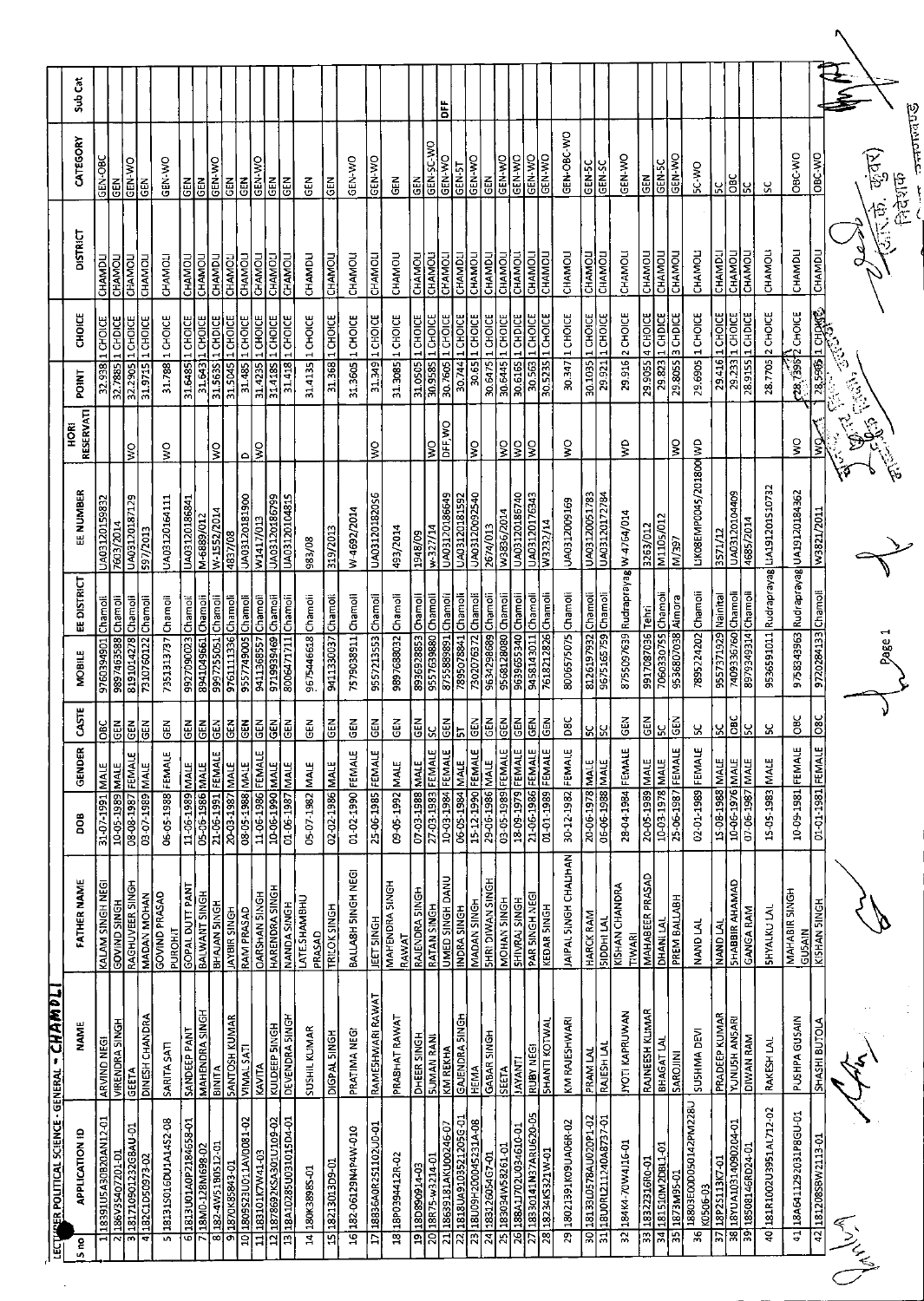|                               | LECTRER POLITICAL SCIENCE - GENERAL - CHAMDLI       |                                  |                                       |                                      |                          |                         |                                          |                   |                                       |                            |                               |                                  |                   |                                 |         |
|-------------------------------|-----------------------------------------------------|----------------------------------|---------------------------------------|--------------------------------------|--------------------------|-------------------------|------------------------------------------|-------------------|---------------------------------------|----------------------------|-------------------------------|----------------------------------|-------------------|---------------------------------|---------|
| S no                          | <b>APPLICATION ID</b>                               | NAME                             | FATHER NAME                           | 80g                                  | e,<br>GENDE              | <b>SSTE</b>             | <b>MOBILE</b>                            | EE DISTRICT       | EE NUMBER                             | <b>RESERVATI</b><br>Й<br>Р | POINT                         | <b>CHOICE</b>                    | DISTRICT          | CATEGORY                        | Sub Cat |
|                               | 18391U5A30B20AN12-01                                | ARVIND NEGI                      | KALAM SINGH NEG                       | 31-07-1991 MALE                      |                          | <b>SC</b>               | 9760394901                               | Chamoli           | UA03120159832                         |                            | 32.938                        | 1 CHOICE                         | CHAMDL            | GEN-OBC                         |         |
| 2                             | 186V3S407201-D                                      | <b>VIRENDRA SINGH</b>            | <b>GOVIND SINGH</b>                   | 10-05-1989                           | <b>MALE</b>              | <b>GEN</b>              | 9897463588                               | Chamoli           | 7603/2014                             |                            | 32.7885                       | 1 CHDICE                         | <b>CHAMOL</b>     | 忌                               |         |
| 3                             | 181710901232G8AU-01                                 | GEETA                            | RAGHUVEER SINGH                       | 08-08-1987                           | FEMALE                   | <b>GEN</b>              | 8191014278                               | Chamoli           | <b>6ZIZ8TOZTEOVN</b>                  | ΙŠ                         | 32.2905                       | 1CHOICE                          | CHAMOLI           | GEN-WO                          |         |
| ৰ                             | 182C1D50973-02                                      | DINESH CHANDRA                   | MADAN MOHAN                           | 03-07-1989 MALE                      |                          | <b>GEN</b>              | 7310760122                               | Champii           | 597/2013                              |                            |                               | 31.9715 1 CHOICE                 | CHAMOL            | る                               |         |
|                               | 5 281315016DU1A1452-08                              | <b>SARITA SATI</b>               | GOVIND PRASAD<br>PUROHIT              | 06-05-1988 FEMAL                     |                          | 65                      | 7351313737 Chamoli                       |                   | UA03120164111                         | $\frac{1}{3}$              |                               | 31.788 1 CHOICE                  | CHAMOL            | <b>CEN WO</b>                   |         |
| G                             | 70-869M871-0M8T<br>0-859 <del>y</del> 8TZ40YT0N8T8T | MAHENDRA SINGH                   | <b>GOPAL DUTT PANT</b>                | 11-06-1989 MALE                      |                          | <b>GEN</b>              | 9927090023                               | Chamol            | UA0312018684                          |                            |                               | 31.6485 1 CHOICE                 | CHAMOLI           | <b>GEN</b>                      |         |
| ᇙ                             |                                                     |                                  | BALWANT SINGH                         | 05-06-1986 MALE<br>21-06-1991 FEMALE |                          | EN<br>5                 | 8941049661                               | Chamoli           | M-6889/012                            |                            |                               | 31.643 L CHOICE                  | CHAMOL            | GEN-WO<br>Ğ                     |         |
| $\overline{\mathbf{5}}$       | 182-4W51B0S12-01                                    | <b>BINITA</b>                    | <b>BHAJAN SINGH</b>                   | 20-03-1987 MALE                      |                          | <u>GEN</u>              | 997255051                                | Champli           | W-1552/2014                           | ş                          | 31.5635                       | 1 CHDICE<br>$\frac{1}{2}$ CHOICE | CHAMDLI           | 즶                               |         |
| 9<br>$\overline{a}$           | 1870K85843-01                                       | <b>SANTOSH KUMAR</b>             | JAYBIR SINGH<br>RAM PRASAD            | 08-05-1988 MALE                      |                          | មី<br>Ğ                 | 9761111336<br>9557749005                 | Chamoli           | 0A03120181900<br>4837/08              | ٥                          | 31.5045<br>31.485             | 1 CHOICE                         | CHAMOL<br>CHAMOL  | 증                               |         |
| $\overline{1}$                | 1809S23U011AV0081-02<br>E0-TPMZNDTE8T               | <b>VIMALSATI</b><br>KAVITA       | <b>DARSHAN SINGH</b>                  | 11-06-1986 FEMAL                     |                          | <b>GEN</b>              | 9411368557                               | Chamoli<br>Chanol | W1417/013                             | Ş                          | 31.4235                       | 1 CHOICE                         | <b>CHAMOLI</b>    | <b>CEN WO</b>                   |         |
| 12                            | 20-6010105VSX2692871                                | KULDEEP SINGH                    | HARENDRA SINGH                        | 30-06-1990 MALE                      |                          | $\tilde{a}$             | 9719939469 Chamoli                       |                   | UA03120186799                         |                            |                               | 31.418S 1 CHOICE                 | CHAMOLI           | $\tilde{5}$                     |         |
| 13                            | <b>TO-POSTOTEONSRZOTV8T</b>                         | <u>DEVENDRA SINGH</u>            | <b>NANDA SINGH</b>                    | 01-06-1987                           | <b>MALE</b>              | <b>GEN</b>              | 8006471711                               | Chamoli           | UA03120104815                         |                            | 31.418                        | 1 CHOICE                         | <b>CHAMOL</b>     | 테                               |         |
| ਤੁ                            | 180K3898S-01                                        | SUSHIL KUMAR                     | LATE.SHAMBHU<br>PRASAD                | 05-07-1982 MALE                      |                          | GEN                     | 9675446618 Chamoli                       |                   | 83/08                                 |                            | 31.4135                       | 1 CHOICE                         | CHAMDL            | <b>GEN</b>                      |         |
|                               | 1518213013D9-01                                     | <b>DIGPAL SINGH</b>              | <b>TRILOK SINGH</b>                   | 02-02-1986 MALE                      |                          | <b>GEN</b>              | 9411330037 Chamoli                       |                   | 319/2013                              |                            |                               | 31.368 1 CHOICE                  | CHAMOLI           | <b>GEN</b>                      |         |
|                               | 16 182-06129N4P4W-010                               | PRATIMA NEGI                     | BALLA8H SINGH NEGI                    | 01-02-1990 FEMAL                     | بت                       | $\tilde{e}$             | 7579038911 Chamoli                       |                   | W-4692/2014                           |                            |                               | 31.3605 1 CHOICE                 | CHAMOLI           | GEN-WO                          |         |
| Ξ                             | 18836A0R251102U0-01                                 | RAMESHWARI RAWAT                 | JEET SINGH                            | 25-06-1985 FEMALE                    |                          | $rac{5}{9}$             | 9557213553 Chamol                        |                   | 9502810ZTE0VN                         | Ş                          |                               | 31.349 1 CHOICE                  | CHAMOL            | GEN-WO                          |         |
|                               | 1818P0394412R-02                                    | PRASHAT RAWAI                    | MAHENDRA SINGH                        | 09-05-1992 MALE                      |                          | 즚<br>GEN                | 9897688032 Chamoli                       |                   | 493/2014                              |                            |                               | 31.3085 1 CHOICE                 | CHAMOU            | 덡                               |         |
| $\overline{19}$               | 18D890914-03                                        | DHEER SINGH                      | RAJENDRA SINGH<br>RAWAT               | 07-03-1988 MALE                      |                          | 군<br>대                  | 8936928853                               | Chamoll           | 1948/09                               |                            | 31.0505                       | 1 CHOICE                         | <b>CHAMOL</b>     | $\widetilde{\mathbf{G}}$        |         |
| $\overline{\mathbf{z}}$       | 18R75-w3214-01                                      | <b>SUMAN RANI</b>                | <b>RATAN SINGH</b>                    | 27-03-1983 FEMAL                     | ш                        | S.                      | 9557639880 Chamoli                       |                   | w-327/14                              | ş                          | 30.9585                       | 1 CHOICE                         | CHAMOLI           | GEN-SC-WO                       |         |
| $\overline{z}$                | 18639181AKU00246-07                                 | KM REKHA                         | <b>UMED SINGH DANU</b>                | 10-03-1984                           | $\mathbf{u}$<br>FEMALI   | <b>GEN</b>              | 8755889891                               | Chamoli           | UA03120186649                         | DFF, WO                    | 30.7605                       | 1 CHOICE                         | <b>CHAMOL</b>     | <b>GEN-WO</b>                   | ä       |
| $\overline{2}$                | 1818UA9103521205G-01                                | GAJENDRA SINGH                   | INDRA SINGH                           | 06-05-1984 MALE                      |                          | Ļ,                      | 7895078841 Chamoli                       |                   | UA03120181592                         |                            | 30744                         | 1 CHOICE                         | CHAMDLI           | GEN-5T                          |         |
| 23                            | 18U09H200045231A-08                                 | HEMA                             | <b>NADAN SINGH</b>                    | 15 12 1990                           | ωI<br><b>FEMAL</b>       | $rac{1}{2}$             | 7302076372                               | Chamoli           | UA03120092540                         | ੂ                          | $\frac{5}{30.65}$             | 1 CHOICE                         | CHAMOLI           | <b>OK-N3D</b>                   |         |
| $\overline{z}$                | 183126054G7-01                                      | GABAR SINGH                      | <b>SHRI DIWAN SINGH</b>               | 29-06-1986 MALE                      |                          | こと<br>この                | 9634298689 Chamoli                       |                   | 2674/013                              |                            | 30.6475                       | 1 CHOICE                         | CHAMDLI           | $\frac{2}{5}$                   |         |
| ম                             | L0-13282W58261-01                                   | SEETA                            | MOHAN SINGH                           | 03-05-1989 FEMAL                     | այ∣ա                     | $rac{1}{2}$             | 9568128080 Chamoli<br>9639655340 Chamoli |                   | W3836/2014                            | <u>의3</u>                  | 30.6445                       | 1 CHOICE                         | CHAMOL            | <b>CEN-WO</b>                   |         |
| 92<br>$\overline{\mathbf{z}}$ | 188A1J702U034610-01                                 | <b>IAYANT</b>                    | SHIVRAJ SINGH                         | 18-09-1979 FEMAL                     |                          | <b>GEN</b>              |                                          |                   | UA03120186740                         |                            | 30.6165                       | 1 CHDICE                         | CHAMOLI           | <b>GEN-WO</b>                   |         |
| 28                            | 18330141N37ARU620-05<br>18234KS321W-01              | <b>SHANTI KOTWA</b><br>RUBY NEGI | PAR SINGH NEGI<br>KEDAR SINGH         | 21-06-1986 FEMAL<br>01-01-1989       | щj<br>بى<br><b>FEMAL</b> | $rac{1}{9}$<br>준<br>GEN | 9458143011 Chamoli<br>7618212826         | Chamoli           | UA03120176343<br>W3232/14             | ş                          | 30.563<br>$\frac{1}{30.5235}$ | 1 CHOICE<br>1 CHOICE             | CHAMOLI<br>CHAMOI | <b>GEN-VIO</b><br><b>GEN-WO</b> |         |
|                               |                                                     |                                  |                                       |                                      |                          |                         |                                          |                   |                                       |                            |                               |                                  |                   |                                 |         |
| ह                             | 18021391K09UA06R-02                                 | KM RAJESHWARI                    | JAIPAL SINGH CHALIHAN                 | 30-12-1982 FEMAL                     | щ                        | <b>DBC</b>              | 8006575075 Chamoli                       |                   | UA0312009169                          | ş                          |                               | 30.347 1 CHOICE                  | CHAMOLI           | GEN-OBC-WO                      |         |
| ਫ਼                            | 1813310578AU020P1-02                                | PRAM LAL                         | <b>HARCK RAM</b>                      | 20-06-1978 MALE                      |                          | ں<br>ن                  | 8126197932 Chamoli                       |                   | UA03120051783                         |                            |                               | 30.1035 1 CHOICE                 | CHAMOL            | GEN-5C                          |         |
| प्त                           | 18U0RL211240A8737-01                                | <b>RAJESH LA</b> I               | <b>NODHI LAI</b>                      | 06-06-1988 MALE                      |                          | ں<br>ا                  | 9675165759 Chamol                        |                   | UA03120172784                         |                            | 29.921                        | 1 CHOICE                         | CHAMOL            | GEN-SC                          |         |
|                               | 32 184K4-70W4116-01                                 | <b>IYOTI KAPRUWAN</b>            | KISHAN CHANDRA<br>TIWAR               | 28-04-1984 FEMAI                     | щ                        | $rac{1}{9}$             | 8755097639 Rudraprayag W-4764/014        |                   |                                       | ş                          |                               | 29.916 2 CHOICE                  | CHAMOL            | GEN-WO                          |         |
| 33                            | TO-089TEZ2E8T                                       | RAJNEESH KLIMAR                  | MAHABEER PRASAD                       | 20-05-1989 MALE                      |                          | 딙                       | 9917087036 Tehri                         |                   | 3263/012                              |                            | 29.9055                       | <b>4 CHOICE</b>                  | CHAMOL            | GEN                             |         |
|                               | 34 181510M2DBL1-01                                  | BHAGAT LAI                       | DHANI LAI                             | 10-03-1978 MALE                      |                          | ¥,                      | 7060330755 Chamoli                       |                   | M1105/012                             |                            | 29,823                        | 1 CHDICE                         | CHAMOLI           | GEN-5C                          |         |
| 55                            | 1873M95-01                                          | SAROIINI                         | PREM BALLABH                          | 25-06-1987                           | щ<br><b>FEMAL</b>        | GEN                     | 9536807038                               | Almora            | 4/397                                 | ş                          | 29.80SS                       | 3 CHDICE                         | <b>CHAMOL</b>     | GEN-WO                          |         |
| ूड                            | 18803E00D050142PM228U<br>K0506-03                   | SUSHMA DEVI                      | NAND LAL                              | 02-01-1989 FEMAI                     | ۳Ļ                       | ပ္က                     | 7895224202 Chamoli                       |                   | LIKOSEMPO045/201800 WD                |                            | 29.6905                       | 1 CHOICE                         | CHAMOLI           | <b>DA-25</b>                    |         |
|                               | 37 18P25113K7-01                                    | <b>PRADEEP KUMAR</b>             | NAND LAL                              | 15-08-1988 MALE                      |                          | $\mathbf{S}$            | 9557371929 Nainital                      |                   | 3571/12                               |                            |                               | 29.416 1 CHOICE                  | CHAMDLI           | <u>ي</u>                        |         |
| $\overline{\mathbf{38}}$      | 18YUA10314090204-01                                 | <b>YUNUSH ANSARI</b>             | <b>GAMAHA RIBBAHS</b>                 | 10-06-1976                           | <b>MALE</b>              | <b>BC</b>               | 7409336760                               | Chamoli           | UA03120104409                         |                            | 29.233                        | 1 CHOICE                         | <b>CHAMOLI</b>    | <b>DBC</b>                      |         |
|                               | 39 18508146RD24-01                                  | DIWAN RAM                        | <u>GANGA RAM</u>                      | 07-06-1987 MALE                      |                          | <u>្ល</u>               | 8979349314 Chamoli                       |                   | 4685/2014                             |                            |                               | 28.9155 1 CHDICE                 | CHAMOL            | X                               |         |
| g<br>9                        | 181R1002U3951AL712-02                               | RAKESH LAL                       | SHYALKU LAI                           | 15-05-1983                           | MALE                     | χ                       |                                          |                   | 9536591011 Rudraprayag LA191201510732 |                            | 28.7705                       | 2 CHOICE                         | <b>CHAMOLI</b>    | ૪                               |         |
| ਜ਼                            | 18A6411292031P8GU-01                                | PUSHPA GUSAIN                    | <b>MAHABIR SINGH</b><br><b>GUSAIN</b> | 10-09-1981 FEMALE                    |                          | $rac{6}{5}$             |                                          |                   | 9758343963 Rudraprayag UA19120184362  | š                          |                               | 28.7395 CHOICE                   | CHAMDLI           | OBC-WO                          |         |
|                               | 42 181208 58 W 21 13-01                             | <b>SHASHI BUTOLA</b>             | KISHAN 5INGH                          | 01-01-1981 FEMALE                    |                          | $rac{8}{2}$             | 9720284133 Chamoli                       |                   | W3821/2011                            | े<br>इ                     |                               | 28.5965 1 CHOME                  | <b>CHAMDLI</b>    | ORC-VO                          |         |
|                               |                                                     |                                  |                                       |                                      |                          |                         |                                          |                   |                                       |                            | した。<br>さら                     | in 19.<br>Ngjarje                |                   |                                 |         |
|                               |                                                     |                                  |                                       |                                      |                          |                         |                                          |                   | ্ব                                    |                            |                               |                                  |                   |                                 |         |
|                               |                                                     |                                  |                                       |                                      |                          |                         | Page 1                                   |                   |                                       |                            |                               |                                  | 恰                 |                                 |         |
|                               |                                                     |                                  |                                       |                                      |                          |                         |                                          |                   |                                       |                            |                               |                                  |                   | निदेशक                          |         |
|                               |                                                     |                                  |                                       |                                      |                          |                         |                                          |                   |                                       |                            |                               |                                  |                   | <b>Sabatch</b>                  |         |

 $\bar{\gamma}$ 

 $\overrightarrow{C}$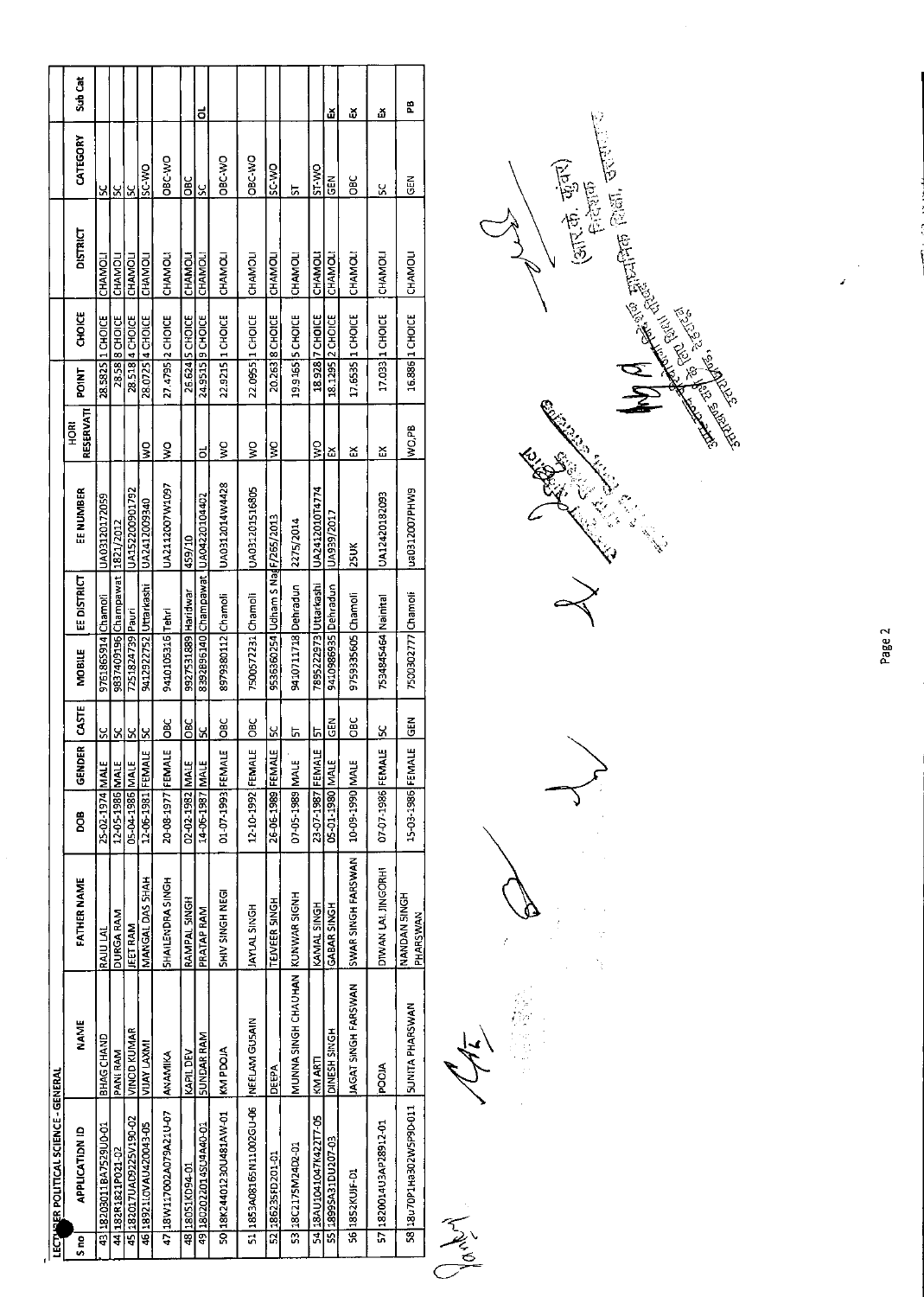|                                       | Suh Cat               |                        |                                |                         |                        |                          |                     | <u>ಕ</u>               |                           |                          |                                  |                                |                         | ă                     | ă                   | ۵                      | æ                        |
|---------------------------------------|-----------------------|------------------------|--------------------------------|-------------------------|------------------------|--------------------------|---------------------|------------------------|---------------------------|--------------------------|----------------------------------|--------------------------------|-------------------------|-----------------------|---------------------|------------------------|--------------------------|
|                                       | CATEGORY              | X                      | S                              | <u>v</u>                | ON-3S                  | ORC-VVO                  | Э                   | <u>ي</u>               | <b>CAY-380</b>            | OR-VRO                   | OM.3                             | 5                              | <b>ST-WO</b>            | 뜮                     | OBC                 | Š,                     | 돉                        |
|                                       | <b>DISTRICT</b>       | CHAMOLI                | CHAMOL                         | CHAMOL                  | <b>CHAMOL</b>          | <b>CHAMOLI</b>           | CHAMOL              | CHAMOL                 | <b>CHAMOL</b>             | CHAMOL                   | CHAMOL                           | CHAMOLI                        | CHAMOLI                 | CHAMOL                | <b>CHAMOLI</b>      | CHAMOL                 | CHAMOU                   |
|                                       | <b>CHOICE</b>         | 28.5825 1 CHOICE       | 28.58 8 CHOICE                 | 28.518 4 CHOICE         | 28.0725 4 CHOICE       | 27.4795 2 CHOICE         | 26.624 S CHOICE     | 24.9515   9 CHOICE     | 22.9215 1 CHOICE          | 22.0955 1 CHOICE         | 20.263 8 CHOICE                  | 19.9165 S CHOICE               | 18.928 7 CHOICE         | 18.1295 2 CHOCE       | 17.6535 1 CHOICE    | 17.033 1 CHOICE        | 16.886 1 CHOICE          |
|                                       | <b>TNICA</b>          |                        |                                |                         |                        |                          |                     |                        |                           |                          |                                  |                                |                         |                       |                     |                        |                          |
|                                       | RESERVATI<br>혼<br>모   |                        |                                |                         | $\frac{8}{5}$          | $\frac{8}{5}$            |                     | õ                      | Ş                         | $\frac{1}{2}$            | $\frac{8}{5}$                    |                                | $\frac{8}{2}$           | ద                     | Z                   | ř                      | NQ,PB                    |
|                                       | EE NUMBER             | UA03120172059          |                                | UA152200901792          | UA2412009340           | UA2112007W1097           | 459/10              | UA04220104402          | UA0312014W4428            | UA031201516805           |                                  | 2275/2014                      | UA2412010T4774          | UA939/2017            | $25$ UK             | UA12420182093          | ua0312007PHW9            |
|                                       | <b>EE DISTRICT</b>    |                        | 9837409196 Champawat 1821/2012 |                         |                        |                          |                     |                        |                           |                          | 9536360254 Udham S NadF/265/2013 |                                |                         |                       |                     |                        |                          |
|                                       | <b>MOBILE</b>         | 9761865914 Chamoli     |                                | 7251824739 Pauri        | 9412922752 Uttarkashi  | 9410105316 Tehri         | 9927531889 Haridwar | 8392896140 Champawat   | 8979380112 Chamoli        | 7500572231 Chamoli       |                                  | 9410711718 Dehradun            | 7895222973 Uttarkashi   | 9410986935   Dehradun | 9759335605 Chamoli  | 7534845464 Nainital    | 7500302777 Chamoli       |
|                                       | 55<br>3               | <u>sc</u>              | <u>ន</u>                       | <u>ន</u>                | <u>s</u>               | 3io                      | OBC                 | <u>ی</u>               | $rac{6}{5}$               | $rac{1}{2}$              | <u>ა</u>                         | ᇅ                              | <u>5</u>                | $rac{1}{10}$          | <b>CBC</b>          | š                      | $rac{2}{5}$              |
|                                       | ē<br><b>GENDE</b>     |                        |                                |                         |                        | щ                        |                     |                        |                           |                          | щ                                |                                | щ                       |                       |                     | щ                      | щ                        |
|                                       | e<br>S                | 25-02-1974 MALE        | 12-05-1986 MALE                | 05-04-1986 MALE         | 12-06-1981 FEMAL       | 20-08-1977 FEMAL         | 02-02-1982 MALE     | 14-06-1987 MALE        | 01-07-1993 FEMAL          | 12-10-1992 FEMALE        | 26-06-1989 FEMAI                 | 07-05-1989 MALE                | 23-07 1987 FEMAL        | 05-01-1980 MALE       | 10-09-1990 MALE     | 07-07-1986 FEMAI       | 15-03-1986 FEMAI         |
|                                       | <b>FATHER NAME</b>    | RAJU LAL               | DURGA RAM                      | <b>JEET RAM</b>         | MANGAL DAS SHAH        | <b>SHAILENDRA SINGH</b>  | RAMPAL SINGH        | PRATAP RAM             | <b>SHAY SINGH NEGI</b>    | <b>IAYLAL SINGH</b>      | <b>TEIVEER SINGH</b>             |                                | KAMAL SINGH             | GABAR SINGH           | SWAR SINGH FARSWAN  | DIWAN LAI JINGORHI     | NANDAN SINGH<br>PHARSWAN |
|                                       | <b>NAME</b>           | BHAG CHAND             | <b>PANI RAM</b>                | VINOD KUMAR             | VIJAY LAXMI            | ANAMIKA                  | KAPIL DEV           | <b>SUNDAR RAM</b>      | KIN PDOJA                 | NEELAM GUSAIN            | DEEPA                            | MUNNA SINGH CHAU KAN WAR SIGNH | KM ARTI                 | <b>CINESH SINGH</b>   | JAGAT SINGH FARSWAN | POOIA                  | <b>SUNITA PHARSWAN</b>   |
| LECTABLER POLITICAL SCIENCE - GENERAL | <b>APPLICATION ID</b> | 43 18203011BA7529U0-01 | 44 182R1821P021-02             | 45 182017UAD9225V190-02 | 46 18921LOVAU420043-05 | 47 18 W117002A079A21U-07 | 48 18051KD94-01     | 49 1802022014SU4A40-01 | 10-WA18424401230U481AW-01 | 51 3853A08165N11002GU-06 | 52 186235FD201-01                | 53 18 C2175M24D2-01            | 54 18AU1041047K422T7-05 | S5 18995A31DU207-03   | 56 1852 KUJF-D1     | 57 1820014U3AP28912-01 | 58 18u70P1Ha302W5P9D-011 |
|                                       | S <sub>no</sub>       |                        |                                |                         |                        |                          |                     |                        |                           |                          |                                  |                                |                         |                       |                     |                        |                          |



Arial Asia

Page 2

 $\frac{1}{2}$ J.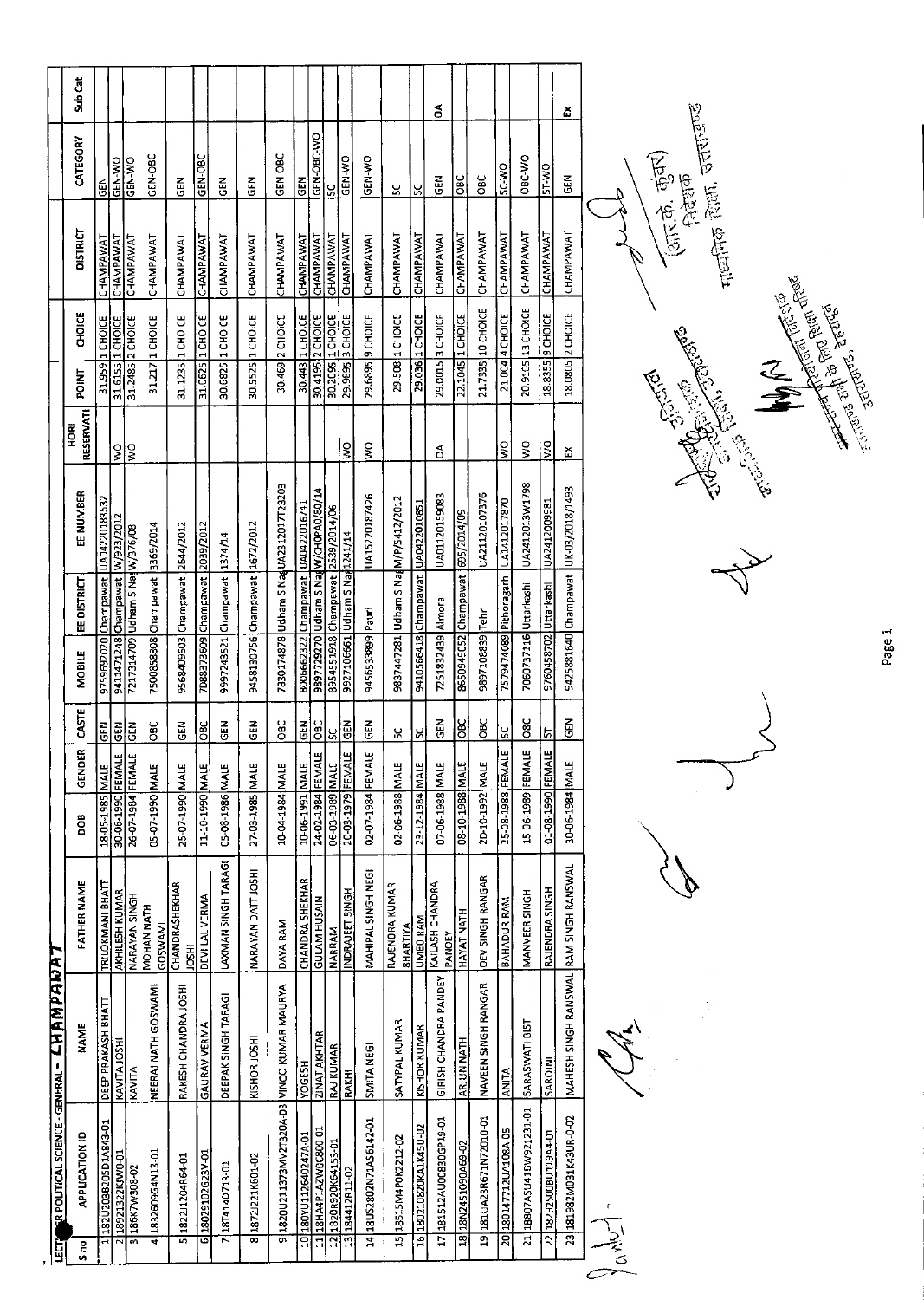| Ë   |                                           | <b>R POLITICAL SCIENCE - GENERAL - CHAMPANAA</b> |                                          |                   |             |               |                                 |             |                                        |                   |              |                   |                  |                 |               |         |
|-----|-------------------------------------------|--------------------------------------------------|------------------------------------------|-------------------|-------------|---------------|---------------------------------|-------------|----------------------------------------|-------------------|--------------|-------------------|------------------|-----------------|---------------|---------|
| នីក | <b>APPLICATION ID</b>                     | <b>NAME</b>                                      | FATHER NAME                              | <b>800</b>        | G.<br>GENDE | CASTE         | MOBILE                          | EE DISTRICT | EE NUMBER                              | RESERVATI<br>HORI | <b>POINT</b> | <b>CHOICE</b>     |                  | <b>DISTRICT</b> | CATEGORY      | Sub Cat |
|     | 182U203B205D1A843-01                      | DEEP PRAKASH BHATT                               | TRILOKMANI BHAT                          | 18-05-1985 MALE   |             | 區             |                                 |             | 9759692020 Champawat UA04220183532     |                   |              | 31.959 1 CHOICE   | CHAMPAWAT        |                 | $\tilde{5}$   |         |
|     | 2 18921322KJWD-01                         | KAVITA JOSHI                                     | AKHILESH KUMAR                           | 30-06-1990 FEMAL  |             | $rac{2}{3}$   | 9411471248 Champawat W/923/2012 |             |                                        | $\frac{1}{2}$     |              | 31.6155 1 CHOICE  | CHAMPAWAT        |                 | GEN-WO        |         |
|     | 186K7W308-02<br>$\overline{3}$            | KAVITA                                           | NARAYAN SINGH                            | 26-07-1984 FEMALE |             | <b>NBD</b>    | 7217314709 Udham 5 NaaW/376/08  |             |                                        |                   |              | 31.2485 2 CHOICE  | CHAMPAWAT        |                 | GEN-WO        |         |
|     | 4 183260964N13-01                         | NEERAJ NATH GOSWAMI                              | MOHAN NATH<br>GOSWAM                     | 05-07-1990 MALE   |             | СC<br>Ов      | 7500858808 Champawat 3369/2014  |             |                                        |                   |              | 31.217 1 CHOICE   | CHAMPAWAT        |                 | GEN-OBC       |         |
|     | 5182211204R64-01                          | RAKESH CHANDRA JOSHI                             | CHANDRASHEKHAR<br><b>IOSHI</b>           | 25-07-1990 MALE   |             | 즪             | 9568409603 Champawat 2644/2012  |             |                                        |                   |              | 31.1235 1 CHOICE  | CHAMPAWAT        |                 | $\tilde{5}$   |         |
|     | 6 18029102G23V-01                         | <b>GAURAV VERMA</b>                              | DEVI LAL VERMA                           | 11-10-1990 MALE   |             | 80<br>08      | 7D88373609 Champawat 2039/2012  |             |                                        |                   |              | 31.0625 1 CHOICE  | CHAMPAWAT        |                 | GEN-OBC       |         |
|     | 71874140713-01                            | DEEPAK SINGH TARAGI                              | LAXIMAN SINGH TARAGI                     | 05-08-1986 MALE   |             | 준<br>명        | 9997243521 Champawat 1374/14    |             |                                        |                   |              | 30.6825 1 CHOICE  | CHAMPAWAT        |                 | $\tilde{5}$   |         |
|     | 818721221K601-02                          | KISHOR JOSHI                                     | NARAYAN DATT JOSHI                       | 27-03-1985 MALE   |             | $\frac{2}{5}$ | 9458130756 Champawat 1672/2012  |             |                                        |                   |              | 30.5525 1 CHOICE  | CHAMPAWAT        |                 | $\tilde{a}$   |         |
|     | AYAUAM AAMUS OOMN [CO-A0SETSWAEEE1500251] |                                                  | DAYA RAM                                 | 10-04-1984 MALE   |             | ទី            |                                 |             | 7830174878 Udham S NaauA23 12017T23203 |                   |              | 30.469 2 CHOICE   | CHAMPAWAT        |                 | GEN-OBC       |         |
|     | 10 ATASONA11212                           | <b>YOGESH</b>                                    | CHANDRA SHEKHAR                          | 10-06-1991 MALE   |             | 준<br>영        |                                 |             | 8006662322 Champawat UA0422016741      |                   |              | 30.443 1 CHOICE   | <b>CHAMPAWAT</b> |                 | $rac{2}{5}$   |         |
|     | 11 18HA4 P1AZWOC800-01                    | <b>ZINAT AKHTAR</b>                              | <b>GULAM HUSAIN</b>                      | 24-02-1984 FEMALE |             | $rac{C}{C}$   |                                 |             | 9897729270 Udham S NadW/CHOPA0/80/14   |                   |              | 30.4195 2 CHOICE  | CHAMPAWAT        |                 | GEN-OBC-WO    |         |
|     | 12 1820 R920K64153-01                     | <b>RAJ KUMAR</b>                                 | NARRAM                                   | 06-03-1989 MALE   |             | ۶Ć            |                                 |             | 8954551918 Champawat 2539/2014/06      |                   |              | 30.2095 1 CHOICE  | CHAMPAWAT        |                 | 3S            |         |
|     | 13 184412R11-02                           | RAKHI                                            | INDRAJEET SINGH                          | 20-03-1979 FEMAL  | ω           | $\tilde{5}$   | 9927106661 Udham S Naa1241/14   |             |                                        | ş                 |              | 29.9895 3 CHOICE  | CHAMPAWAT        |                 | GEN-WO        |         |
|     | 14 18 US 280 2N 71 A 5 61 4 2-01          | <b>SMITANEGI</b>                                 | MAHIPAL SINGH NEGI                       | 02-07-1984 FEMALE |             | る<br>5        | 9456533899 Pauri                |             | UA15220187426                          | ş                 |              | 29.6895 9 CHOICE  | CHAMPAWAT        |                 | GEN-WO        |         |
|     | 15 18515M4P0K2212-02                      | SATYPAL KUMAR                                    | RAJENORA KUMAR<br><b><i>BHARTIYA</i></b> | 02-06-1988 MALE   |             | χ             |                                 |             | 9837447281 Udham S NagM/P/5412/2012    |                   |              | 29.508 1 CHOICE   | CHAMPAWAT        |                 | 5             |         |
|     | 16 180210820KA1K45U-02                    | KISHOR KUMAR                                     | UMEO RAM                                 | 23-12-1984 MALE   |             | S,            |                                 |             | 9410566418 Champawat UA0422010851      |                   |              | 29.036  1 CHOICE  | CHAMPAWAT        |                 | X             |         |
|     | 17 181512AU00830GP19-01                   | GIRISH CHANDRA PANDEY                            | KAILASH CHANDRA<br>PANDEY                | 07-06-1988 MALE   |             | 준<br>영        | 7251832439 Almora               |             | UA01120159083                          | Ś                 |              | 29.0015 3 CHOICE  | CHAMPAWAT        |                 | 돊             | Ś       |
|     | 18 18N2451090A69-02                       | ARJUN NATH                                       | HAYAT NATH                               | 3JAM 8861-01-80   |             | $rac{6}{1}$   | 8650949052 Champawat            |             | 695/2014/09                            |                   |              | 22.1045 1 CHOICE  | CHAMPAWAT        |                 | <b>DEC</b>    |         |
|     | 19181UA23R671N72010-01                    | NAVEEN SINGH RANGAR                              | <b>DEV SINGH RANGAR</b>                  | 2D-10-1992 MALE   |             | OBC           | 9897108839 Tehri                |             | UA21120107376                          |                   |              | 21.7335 10 CHOICE | CHAMPAWAT        |                 | Эвс           |         |
|     | 20 180147712UA108A-05                     | <b>ANITA</b>                                     | BAHADUR RAM                              | 25-08-1988 FEMAL  | щ           | <u>ین</u>     | 7579474089 Pithoragarh          |             | UA1412017870                           | ş                 |              | 21.004 4 CHOICE   | CHAMPAWAT        |                 | <b>OM 2S</b>  |         |
|     | 21 18807A5U41BW921231-01                  | SARASWATI BIST                                   | MANVEER SINGH                            | 15-06-1989 FEMAL  | щ           | 08C           | 7060737116 Uttarkashi           |             | UA2412013W1798                         | ş                 |              | 20.9105 13 CHOICE | CHAMPAWAT        |                 | OBC-WO        |         |
|     | 22 18292500BU119A4-01                     | <b>SAROIN</b>                                    | RAJENDRA SINGH                           | 01-08-1990 FEMAI  | щ           | 厉             | 9760458702 Uttarkashi           |             | UA2412009981                           | $\frac{8}{5}$     |              | 18.8355 3 CHOICE  | CHAMPAWAT        |                 | <b>DAM-15</b> |         |
|     | 23 181982M031K43UR-0-02                   | MAHESH SINGH RANSWAL RAM SINGH RANSWAL           |                                          | 30-06-1984 MALE   |             | 준<br>GEN      |                                 |             | 9425881640 Champawat UK-03/2018/1493   | റ്റ               |              | 18.0805 2 CHOICE  | CHAMPAWAT        |                 | EN<br>5       | ă       |
|     | Again                                     |                                                  |                                          |                   |             |               |                                 |             |                                        |                   |              |                   |                  |                 |               |         |

 $\frac{1}{2}$ (आर.के. कुंदर)<br>शिरले. कुंदरा Hyper Entre Paris, 1976  $\widetilde{\beta}$  $\setminus$ **CENTER** E. Company Change Co E)<br>V

 $\frac{1}{\sqrt{2}}$ 

Page 1

Ŷ,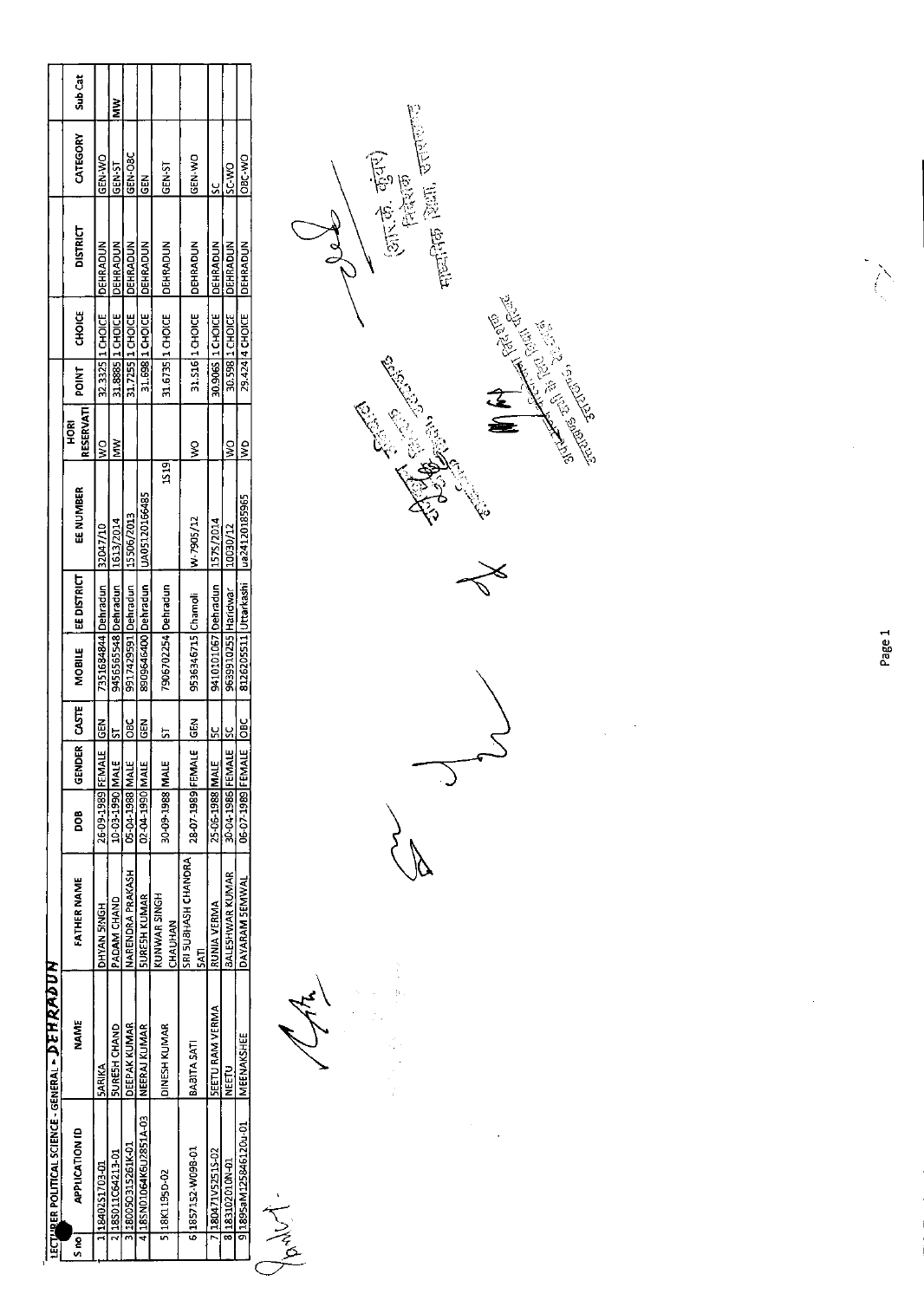|        | LECTURER POLITICAL SCIENCE - GENERAL - DE HRAPDUN |                        |                                |                   |                                      |                  |                       |                    |               |                     |       |                  |                 |               |         |
|--------|---------------------------------------------------|------------------------|--------------------------------|-------------------|--------------------------------------|------------------|-----------------------|--------------------|---------------|---------------------|-------|------------------|-----------------|---------------|---------|
| e<br>S | <b>APPLICATION ID</b>                             | <b>NAME</b>            | FATHER NAME                    | e<br>S            | $\overline{\mathbf{r}}$<br>e<br>Seid | <b>CASTE</b>     | <b>MOBILE</b>         | <b>EE DISTRICT</b> | EE NUMBER     | RESERVATI<br>혼<br>모 | POINT | <b>CHOICE</b>    | <b>DISTRICT</b> | CATEGORY      | Sub Cat |
|        | 14840251703-01                                    | <b>SARIKA</b>          | <b>DHYAN SINGH</b>             | 26-09-1989 FEMAL  |                                      | 35D              | 7351684844 Dehradun   |                    | 32047/10      | $\frac{8}{2}$       |       | 32.3325 1 CHOICE | <b>DEHRADUN</b> | GEN-V/O       |         |
|        | 2 185011064213-01                                 | <b>SURESH CHAND</b>    | <b>PADAM CHAND</b>             | 10-03-1990 MALE   |                                      | 51               | 9456565548 Dehradun   |                    | 1613/2014     | Š                   |       | 31.8885 1 CHOICE | <b>DEHRADUN</b> | GEN-ST        | š       |
|        | 3 180050315261K-01                                | <b>DEEPAK KUMAR</b>    | NARENDRA PRAKASH               | 05-04-1988 MALE   |                                      | <b>SSC</b>       | 9917429591 Dehradun   |                    | 15506/2013    |                     |       | 31.7255 1 CHOICE | <b>DEHRADUN</b> | GEN-OBC       |         |
|        | 4 18 SN01064K6U2851A-03                           | INEERAJ KUMAR          | <b>SURESH KUMAR</b>            | 02-04-1990 MALE   |                                      | GEN              | 8909646400 Dehradun   |                    | UA0512016485  |                     |       | 31.698 1 CHOICE  | <b>DEHRADUN</b> | GEN           |         |
|        | 5 18 K11950-02                                    | <b>DINESH KUMAR</b>    | KUNWAR SINGH<br>CHAUHAN        | 30-09-1988 MALE   |                                      | ᠄                | 7906702254 Dehradun   |                    | 1519          |                     |       | 31.6735 1 CHOICE | <b>DEHRADUN</b> | <b>GEN-ST</b> |         |
|        | 6 1857152-W09B-01                                 | <b>BABITASAT</b>       | SRI SUBHASH CHANDRA<br>$5$ ATI | 28-07-1989 FEMALE |                                      | Ğ                | 9536346715 Chamoli    |                    | W-7905/12     | g                   |       | 31.516 1 CHOICE  | DEHRADUN        | GEN-VO        |         |
|        | 180471V52515-02                                   | <b>SEETU RAM VERMA</b> | RUNIA VERMA                    | 25-06-1988 MALE   |                                      | š                | 9410101067 Dehradun   |                    | 1575/2014     |                     |       | 30.906S 1 CHOICE | <b>DEHRADUN</b> | <u>ي</u>      |         |
|        | IQ-MOTOZC1081 8                                   | <b>CEEM</b>            | BALESHWAR KUMAR                | 30-04-1986 FEMAL  |                                      | <u>پ</u>         | 9639910255 Haridwar   |                    | 10030/12      | ş                   |       | 30.598 1 CHOICE  | DEHRADUN        | <b>DW-2S</b>  |         |
|        | 9 1895aM125846120u-01                             | MEENAKSHEE             | DAYARAM SEMWAL                 | 06-07-1989 FEMAL  |                                      | $rac{c}{\sigma}$ | 8126205511 Uttarkashi |                    | ua24120185965 | $\frac{1}{2}$       |       | 29.424 4 CHOICE  | DEHRADUN        | OBC-WO        |         |
|        | T<br>Particle                                     |                        |                                |                   |                                      |                  |                       |                    |               |                     |       |                  |                 |               |         |

医心脏 化反应

 $\label{eq:2} \frac{1}{\sqrt{2}}\sum_{i=1}^n\frac{1}{\sqrt{2}}\sum_{i=1}^n\frac{1}{\sqrt{2}}\sum_{i=1}^n\frac{1}{\sqrt{2}}\sum_{i=1}^n\frac{1}{\sqrt{2}}\sum_{i=1}^n\frac{1}{\sqrt{2}}\sum_{i=1}^n\frac{1}{\sqrt{2}}\sum_{i=1}^n\frac{1}{\sqrt{2}}\sum_{i=1}^n\frac{1}{\sqrt{2}}\sum_{i=1}^n\frac{1}{\sqrt{2}}\sum_{i=1}^n\frac{1}{\sqrt{2}}\sum_{i=1}^n\frac{1$ 

Company Report  $\gtrless$ 

 $-\frac{1}{2}$ 



Page 1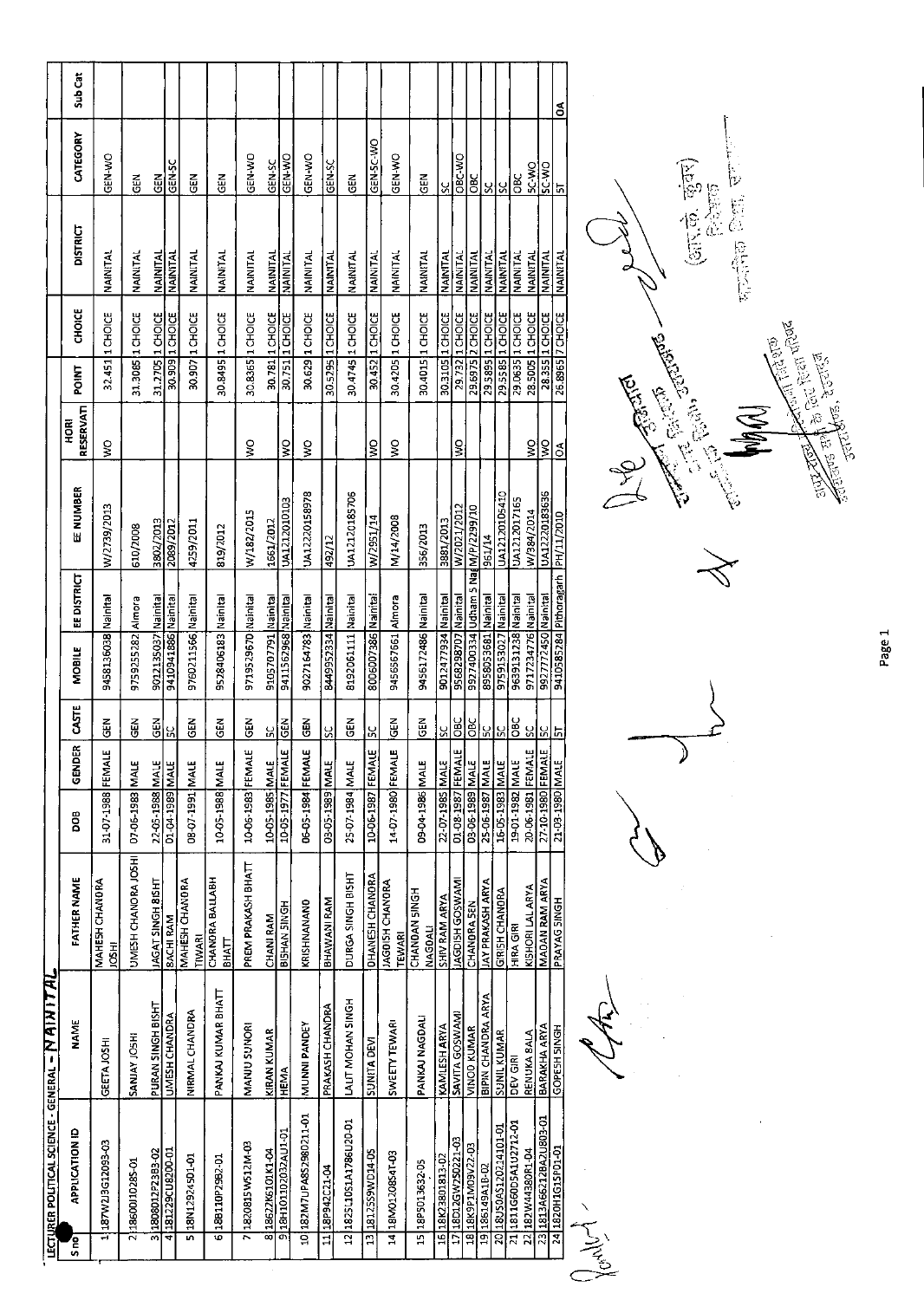| <b>IECTURER POLITICAL SCIENCE - GENERAL - [V AI N I T AI</b> |                     |                                      |                                    |            |                                              |                                            |                    |                        |                                |              |                  |                 |               |         |
|--------------------------------------------------------------|---------------------|--------------------------------------|------------------------------------|------------|----------------------------------------------|--------------------------------------------|--------------------|------------------------|--------------------------------|--------------|------------------|-----------------|---------------|---------|
| <b>APPLICATION ID</b><br>S <sub>ng</sub>                     | <b>NAME</b>         | FATHER NAME                          | <b>BOO</b>                         | œ<br>GENDE | <b>CASTE</b>                                 | <b>MOBILE</b>                              | <b>EE DISTRICT</b> | EE NUMBER              | <b>RESERVATI</b><br><b>FOR</b> | <b>POINT</b> | <b>CHOICE</b>    | <b>DISTRICT</b> | CATEGORY      | Sub Cat |
| 187W2J3G12093-03<br>Ħ                                        | GEETA JOSHI         | <b>MAHESH CHANDRA</b><br><b>HSOL</b> | 31-07-1988 FEMALI                  |            | <b>GEN</b>                                   | 9458136038 Nainital                        |                    | W/2739/2013            | ş                              |              | 32.451 1 CHOICE  | <b>NAINITAL</b> | GEN-WO        |         |
| 21860010285-01                                               | SANJAY JOSHI        | UMESH CHANORA JOSHI                  | 07-06-1983 MALE                    |            | <b>GEN</b>                                   | 9759255282 Almora                          |                    | 610/2008               |                                |              | 31.3085 1 CHOICE | NAINITAL        | GEN           |         |
| 3 1808012P23B3-02                                            | PURAN SINGH BISHT   | JAGAT SINGH 8ISHT                    | 22-05-1988 MALE<br>01-04-1989 MALE |            | $rac{1}{2}$                                  | 9012135037 Nainital<br>9410941886 Nainital |                    |                        |                                | 31.2705      | 1 CHOICE         | NAINITAL        | 군<br>영        |         |
| 4 181229CU8200-01                                            | UMESH CHANDRA       | <b>BACHI RAM</b>                     |                                    |            | ١X                                           |                                            |                    | 3802/2013<br>2089/2012 |                                | 30.909       | <b>1 CHOICE</b>  | NAINITAL        | GEN-SC        |         |
| S 38N12924501-01                                             | NIRMAL CHANDRA      | <b>MAHESH CHANDRA</b><br>TIWARI      | 31AM 1265-20-80                    |            | <b>GEN</b>                                   | 9760211566 Nainital                        |                    | 4259/2011              |                                | 30.907       | 1 CHOICE         | NAINITAL        | 준<br>연        |         |
| 188110P2982-01<br>6                                          | PANKAJ KUMAR BHATT  | CHANDRA BALLABH<br><b>ENATT</b>      | 10-05-1988 MALE                    |            | <b>GEN</b>                                   | 9528406183 Nainital                        |                    | 819/2012               |                                |              | 30.8495 1 CHOICE | NAINITAL        | $\tilde{5}$   |         |
| 7 1820815 W512M-03                                           | MANU SUNORI         | PREM PRAKASH BHATT                   | 10-06-1983 FEMAL                   |            | <b>GEN</b>                                   | s719529670 Nainital                        |                    | W/182/2015             | ş                              |              | 30.8365 1 CHOICE | NAINITAL        | <b>GIN WO</b> |         |
| 818622K6101K1-04                                             | <b>KIRAN KUMAR</b>  | CHANI RAM                            | 10-05-1985 MALE                    |            | <u>្ហ</u>                                    | 9105707791 Nainital                        |                    | 1661/2012              |                                |              | 30.781 1 CHOICE  | NAINITAL        | GEN-SC        |         |
| 318H101102032AU1-01                                          | <b>HEMA</b>         | <b>BISHAN SINGH</b>                  | 10-05-1977 FEMALE                  |            | $rac{2}{3}$                                  | 9411562968 Nainital                        |                    | UA1212010103           | ş                              |              | 30.751 1 CHOICE  | NAINITAL        | GEN-WO        |         |
| 10182M7UPA852980211-01                                       | MUNNI PANDEY        | KRISHNANANO                          | 06-05-1984 FEMALE                  |            | GEN                                          | 9027164783 Nainital                        |                    | UA12220158978          | ş                              |              | 30.629 1 CHOICE  | NAINITAL        | GEN-WO        |         |
| 11 18P942C21-04                                              | PRAKASH CHANDRA     | BHAWANI RAM                          | 03-05-1989 MALE                    |            | χ                                            | 8449952334 Nainital                        |                    | 492/12                 |                                |              | 30.5295 1 CHOICE | NAINITAL        | SEN-SC        |         |
| 12 1825 L10 S1 A1 786 U20-01                                 | LALIT MOHAN SINGH   | DURGA SINGH BISHT                    | 25-07-1984 MALE                    |            | $\frac{2}{5}$                                | 8192061111 Nainital                        |                    | UA12120185706          |                                |              | 30.4745 1 CHOICE | NAINITAL        | $\tilde{a}$   |         |
| 13 18125S9WD14-05                                            | <b>SUNITA DEVI</b>  | <b>DHANESH CHANDRA</b>               | 10-06-1987 FEMALE                  |            | <u>ვ</u>                                     | 8006007386 Nainital                        |                    | W/2951/14              | š                              | 30.452       | 1 CHOICE         | NAINITAL        | GEN-SC-WO     |         |
| 14 18M0120854T-03                                            | SWEETY TEWARI       | JAGOISH CHANDRA<br>TEWARI            | 14-07-1980 FEMAL                   |            | $\tilde{G}$                                  | 9456567661 Almora                          |                    | M/14/2008              | ş                              |              | 30.4205 1 CHOICE | NAINITAL        | GEN-WO        |         |
| 15 18P5013632-05                                             | PANKAJ NAGDAU       | CHANDAN SINGH<br>NAGDALI             | 3JAM 3861-40-60                    |            | $\frac{2}{5}$                                | 9456172486 Nainital                        |                    | 356/2013               |                                |              | 30.4015 1 CHOICE | NAINITAL        | <b>GEN</b>    |         |
|                                                              | <b>KAMLESH ARYA</b> | SHIV RAM ARYA                        | 22-07-1985 MALE                    |            |                                              | 9012477934 Nainital                        |                    | 3881/2013              |                                |              | 30.3105 1 CHOICE | NAINITAL        | S.            |         |
| 1718D12GW2S0221-03                                           | SAVITA GOSWAM       | <b>IAGDISH GOSWAM</b>                | 01-08-1987 FEMAL                   |            |                                              | 9568298707 Nainital                        |                    | W/2021/2012            | ş                              |              | 29.732 1 CHOICE  | NAINITAL        | OBC-WO        |         |
| 18 18K9P1M09V22-03                                           | VINOD KUMAR         | CHANDRA SEN                          | 03-06-1989 MALE                    |            |                                              | 9927400334 Udham 5 NadM/P/2299/10          |                    |                        |                                | 29.6975      | 2 CHOICE         | NAINITAL        |               |         |
| 19 186149A1B-02                                              | BIPIN CHANDRA ARYA  | <b>JAY PRAKASH ARYA</b>              | 25-06-1987 MALE                    |            |                                              | 8958053681 Nainital                        |                    | 961/14                 |                                |              | 29 5895 1 CHOICE | NAINITAL        | <u>၂၂၁၉</u>   |         |
| 2018US0AS120214101-01                                        | SUNIL KUMAR         | <b>GIRISH CHANDRA</b>                | 16-05-1983 MALE                    |            |                                              | 9759153027 Nainital                        |                    | UA12120105410          |                                |              | 29.5585 1 CHOICE | NAINITAI        |               |         |
| 21 1811G60D5A1U2712-01                                       | DEV GIRI            | HIRA GIRI                            | 19-01-1982 MALE                    |            | <u>នន្ទ្រីន្ទ្រីន្ទ្រីន្ទ្រីន្ទ្រីន្ទ្រី</u> | 9639131238 Nainital                        |                    | UA1212017165           |                                |              | 29.0635 1 CHOICE | NAINITAL        | <b>DBC</b>    |         |
| 22 182W44380R1-04                                            | RENUKA 8ALA         | KISHORI LAL ARYA                     | 20-06-1981 FEMAL                   |            |                                              | 9717234776 Nainital                        |                    | N/384/2014             | <u>ମ୍ମୃ</u>                    |              | 28.5005 1 CHOICE | NAINITAL        | $rac{90}{56}$ |         |
| 23 1813A66212BA2U803-01                                      | BARAKHA ARYA        | MADAN RAM ARYA                       | 27-10-1980 FEMAL                   |            |                                              | 9927772450 Nainital                        |                    | UA12220183636          |                                |              | 28.355 1 CHOICE  | <b>NAINITAL</b> |               |         |
| 1820H1G1SPD1-01<br>24                                        | GOPESH SINGH        | PRAYAG SINGH                         | 21-03-1980 MALE                    |            |                                              | 9410585284 Pithoragarh                     |                    | PH/11/2010             | $\delta$                       |              | 26.8965 7 CHOICE | NAINITAL        | $\frac{1}{2}$ | Ś       |
| Ventural                                                     |                     |                                      |                                    |            |                                              |                                            |                    |                        |                                |              |                  |                 |               |         |
|                                                              |                     |                                      |                                    |            |                                              |                                            |                    | $\subset$              |                                |              |                  |                 |               |         |



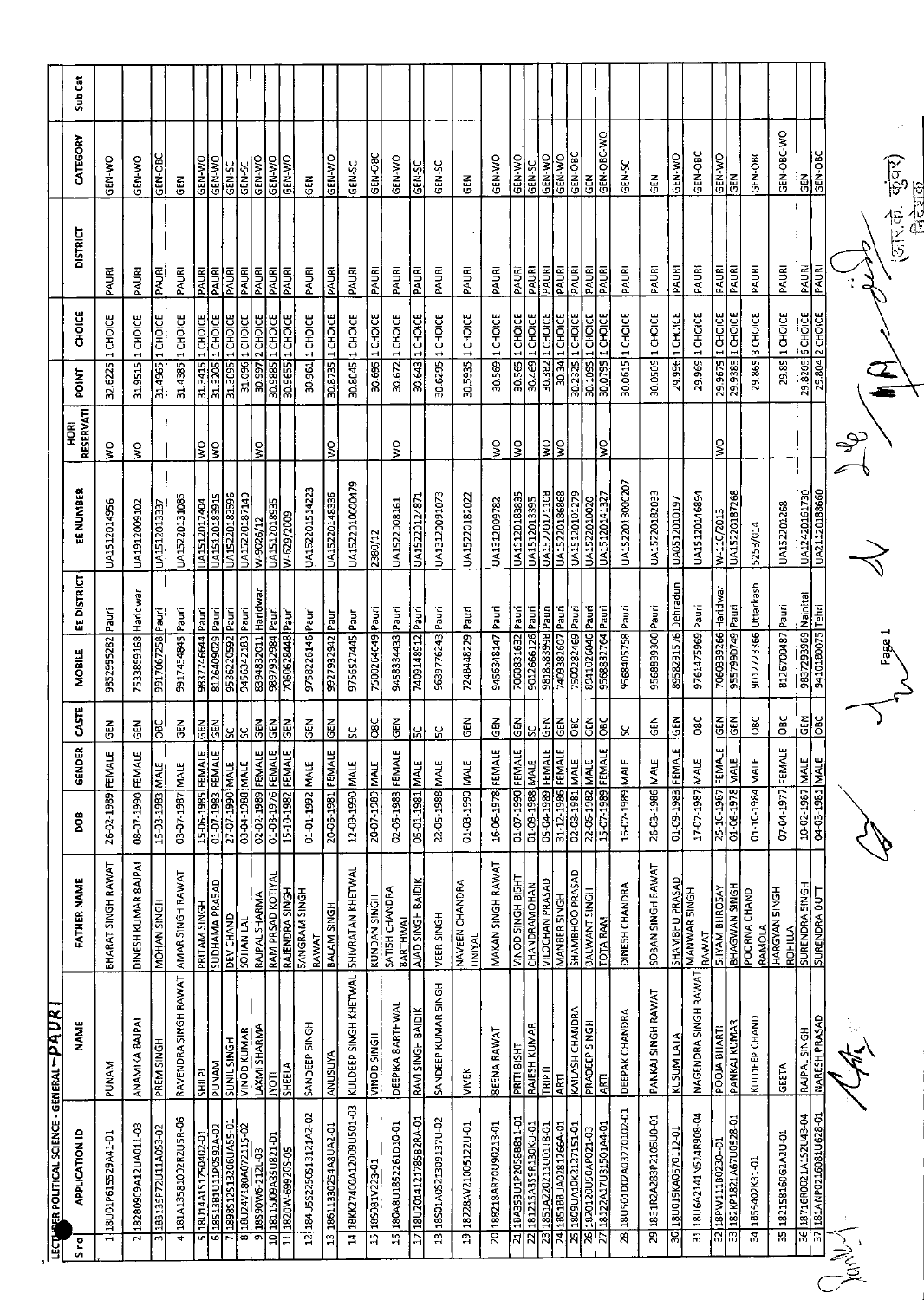|            | LECTURER POLITICAL SCIENCE - GENERAL - PAUR                               |                                  |                                            |                                 |                              |                      |                                      |                    |                               |                          |                    |                                   |                                     |                       |         |
|------------|---------------------------------------------------------------------------|----------------------------------|--------------------------------------------|---------------------------------|------------------------------|----------------------|--------------------------------------|--------------------|-------------------------------|--------------------------|--------------------|-----------------------------------|-------------------------------------|-----------------------|---------|
|            | <b>APPLICATION ID</b><br>S no                                             | <b>NAME</b>                      | FATHER NAME                                | ខ្លី                            | <b>GENDER</b>                | CASTE                | <b>MOBILE</b>                        | <b>EE DISTRICT</b> | EE NUMBER                     | RESERVATI<br><b>HORI</b> | POINT              | 변<br>공                            | <b>DISTRICT</b>                     | CATEGORY              | Sub Cat |
|            | 18U01P615529A41-01<br>÷                                                   | <b>NAMIA</b>                     | BHARAT SINGH RAWAT                         | 26-02-1989 FEMAL                |                              | 준<br>영               | 9852995282                           | <u>l</u><br>Pauri  | UA1512014956                  | Š                        | 32.6225            | 1 CHOICE                          | PAURI                               | <b>GEN-WO</b>         |         |
|            | 18280909A12UA011-03<br>2                                                  | ANAMIKA BAJPAI                   | DINESH KUMAR BAJPAI                        | 0661-40-80                      | FEMAL                        | GEN                  | 7533859168 Haridwar                  |                    | UA1912009102                  | Š                        | 31.9515            | 1 CHOICE                          | PAURI                               | <b>GEN-WO</b>         |         |
|            | 183135P72U11A0S3-02<br>$\overline{m}$                                     | PREM SINGH                       | MOHAN SINGH                                | 15-03-1983                      | MALE                         | ă                    | 9917067258                           | Pauri              | UA1512013337                  |                          | 31.4965            | 1 CHOICE                          | PAURI                               | GEN-OBC               |         |
|            | 181A13581002R2U5R-06<br>ᠯ                                                 | RAVENDRA SINGH RAWAT             | AMAR SINGH RAWAT                           | 03-07-1987 MALE                 |                              | $\frac{z}{\sigma}$   | 9917454845 Pauri                     |                    | UA15220131085                 |                          |                    | 31.4385 1 CHOICE                  | PAURI                               | έē                    |         |
|            | 1851381U11PO592A-02<br>18U14A1S1750402-01<br>Ō<br>5                       | <b>SHILPI</b>                    | SUDHAMA PRA5AD<br>PRITAM SINGH             | 15-06-1985 FEMALE               |                              | $rac{1}{2}$          | 8126409029 Pauri<br>9837746644 Pauri |                    | UA15120183915<br>UA1512017404 | ΙŞ<br>ş                  | 31.3415<br>31.3205 | 1 CHOICE<br>1 CHOICE              | PAURI<br>PAURI                      | GEN-WO<br>GEN-WO      |         |
|            | 1898S12S13206UA55-01                                                      | <b>HDNIS JING</b><br><b>MANU</b> | DEV CHAND                                  | 01-07-1983 FEMALE               |                              | $rac{2}{3}$          | 9536220592 Pauri                     |                    | UA15220183596                 |                          | 31.3095            | 1 CHOICE                          | PAURI                               | <b>SS-N3D</b>         |         |
|            | 18U24V180A072115-02<br>ळ                                                  | VINOD KUMAR                      | SOHAN LAL                                  | 03-04-1988 MALE                 |                              | SC                   | 9456342183 Pauri                     |                    | UA15220187140                 |                          |                    | 31.096 1 CHOICE                   | <b>PAURI</b>                        | GEN-SC                |         |
|            | 18S90W6-212L-03<br>o                                                      | <b>LAXMI SHARMA</b>              | <b>RAJPAL SHARMA</b>                       | 02-02-1989                      | <b>FEMALE</b>                | GEN                  | 8394832011                           | Haridwar           | W-9026/12                     | $\frac{1}{2}$            | 30.997             | 2 CHOICE                          | PAURI                               | GEN-WO                |         |
|            | IG-128U55A90021181<br>1820W-69920S-05<br>व्र<br>류                         | <b>SHEELA</b><br>IVOTI           | RAM PRSAD KOTIYAL<br>RAJENDRA SINGH        | 01-08-1976 FEMALE<br>15-10-1982 | <b>FEMALE</b>                | 준<br>영<br><b>GEN</b> | 9897932984 Pauri<br>7060628448 Pauri |                    | UA1512018935<br>W-629/2009    |                          | 30.9655            | 30.9885 1 CHOICE<br>1 CHOICE      | PAURI<br>PAURI                      | GEN-WO<br>GEN-WO      |         |
|            | 184U5S225OS13121A2-02<br>$\overline{z}$                                   | SANDEEP SINGH                    | <b>SANGRAM SINGH</b><br>RAWAT              | 01-01-1992 MALE                 |                              | $\frac{2}{3}$        | 9758226146 Pauri                     |                    | UA152201514223                |                          |                    | 30.961 1 CHOICE                   | PAURI                               | る<br>GEI              |         |
|            | 18611330254A8UA2-01<br>$\frac{3}{2}$                                      | ANUSUYA                          | BALAM SINGH                                | 20-06-1981 FEMALE               |                              | <b>GEN</b>           | 9927932942 Pauri                     |                    | UA15220148336                 | Ş                        |                    | 30.8735 1 CHOICE                  | PAURI                               | GEN-WO                |         |
|            | 18KK27400A12009U501-03<br>₹                                               | KULDEEP SINGH KHETWAL            | SHIVRATAN KHETWAL                          | 12-09-1990 MALE                 |                              | ςS                   | 9756527445 Pauri                     |                    | UA1522010000479               |                          |                    | 30.8045 1 CHOICE                  | PAURI                               | GEN-SC                |         |
|            | 15 18S081V223-01                                                          | VINOD SINGH                      | KUNDAN SINGH                               | 20-07-1989 MALE                 |                              | $rac{c}{\sqrt{2}}$   | 7500264049 Pauri                     |                    | 2380/12                       |                          |                    | 30.695 1 CHOICE                   | <b>BAURI</b>                        | GEN-OBC               |         |
|            | 180A8U1852261D10-01<br>$\frac{6}{1}$                                      | DEEPIKA SARTHWAL                 | SATISH CHANDRA<br>BARTHWA                  | 02-05-1983 FEMAL                | ш                            | Ğ                    | 9458334433                           | Pauri              | UA1522008161                  | š                        |                    | 30.672 1 CHOICE                   | PAURI                               | GEN-WO                |         |
|            | 18U2014121785B2RA-01<br>ς,                                                | RAVI SINGH BAIDIK                | AJAD SINGH BAIDIK                          | 05-01-1981                      | MALE                         | PS.                  | 7409148912                           | Pauri              | UA15220124871                 |                          | 30.643             | 1 CHOICE                          | $\frac{ \mathbf{F} }{ \mathbf{F} }$ | GEN-50                |         |
|            | 18S01AOS21309137U-02<br>$\overline{3}$                                    | SANDEEP KUMAR SINGH              | VEER SINGH                                 | 22-05-1988 MALE                 |                              | ပ္ပ                  | 9639776243                           | Pauri              | UA13120091073                 |                          | 30.6295            | 1 CHOICE                          | PAURI                               | GEN-SC                |         |
|            | 18228AV21005122U-01<br>$\overline{19}$                                    | <b>VIVEK</b>                     | NAVEEN CHANDRA<br>UNIYAL                   | 314M 03-1399 MALE               |                              | GEN                  | 7248448229 Pauri                     |                    | UA15220182022                 |                          | 30.5935            | 1 CHOICE                          | PAURI                               | <b>GEN</b>            |         |
|            | 20 188218AR70U90213-01                                                    | <b>BEENA RAWAT</b>               | MAKAN SINGH RAWAT                          | 16-06-1978 FEMAL                | щ                            | GEN                  | 9456348147 Pauri                     |                    | UA1312009782                  | ş                        |                    | 30.569 1 CHOICE                   | PAURI                               | GEN-WO                |         |
|            | 18A353U1P2058B811-01<br>$\overline{21}$                                   | PRITI <u>81SHT</u>               | LHSIB HONIS QONIA                          | 01-07-1990 FEMAL                | إينا                         | <b>GEN</b>           | 7060831632 Pauri                     |                    | UA15120183835                 | ļ§                       | 30.565             | <b>I CHOICE</b>                   | PAURI                               | GEN-V/O               |         |
|            | 22 181215A359R130KU-01<br>1851A220211U01T8-01<br>$\overline{23}$          | RAJESH KUMAR<br><b>LEUNI</b>     | <b>CHANDRAMOHAN</b><br>VILOCHAN PRASAD     | 31AM 886T-60-TD<br>05-04-1989   | $\mathbf{u}$<br><b>FEMAL</b> | <b>GEN</b><br>ಜ      | 9012666126 Pauri<br>aned a&8381866   |                    | UA15220121108<br>UA1512013395 | ls.                      | 30.469<br>30.382   | $\frac{120000}{100000}$           | <b>PAURI</b><br>PAURI               | OA-N3D<br>GEN-SC      |         |
|            | 24 1851 88UA0281266A-01                                                   | <b>AFTI</b>                      | MANBER 5INGH                               | 31-12-1986 FEMAL                | щ                            | $rac{2}{3}$          | 7409382607 Pauri                     |                    | UA15220186868                 | ş                        | 30.34              | 1 CHOICE                          | PAURI                               | GEN-VIO               |         |
|            | 1809UA10K2127151-01<br>$\overline{25}$                                    | KAILASH CHANDRA                  | <b>SHAMBHOO PRASAD</b>                     | 31VW 2861-90-22                 |                              | $\overline{8}$       | 7500282469                           | $P_{\text{null}}$  | UA15120101279                 |                          | 30.2325            | <b>I CHOICE</b>                   | PAURI                               | GEN-OBC               |         |
|            | 18122A17U31501A4-01<br>1820120U50AP021-03<br>ত্ন<br>$\overline{N}$        | <b>PRADEEP SINGH</b><br>ĄĒ       | BALWANT SINGH<br>TOTA RAM                  | 15-07-1989 FEMAL                | ш                            | ទី<br>ă              | 8941026046 Pauri<br>9568832764 Pauri |                    | UA15120141327<br>UA1522010020 | ş                        | 30.0795            | 30.1095 1 CHOICE<br>1 CHOICE      | PAURI<br>PAURI                      | GEN-OBC-WO<br>ğ       |         |
|            | 18U501D02A03270102-01<br>28                                               | DEEPAK CHANDRA                   | DINESH CHANDRA                             | 3JAM 6861-00-91                 |                              | x                    | 9568405758 Pauri                     |                    | UA1522013000207               |                          | 30.0615            | 1 CHOICE                          | PAURI                               | GEN-SC                |         |
|            | 29 1831R2A283P2105U0-01                                                   | PANKAJ SINGH RAWAT               | SOBAN SINGH RAWAT                          | 26-03-1986 MALE                 |                              | 군<br>영               | 9568839300 Pauri                     |                    | UA15220182033                 |                          |                    | 30.0505 1 CHOICE                  | PAURI                               | 군<br>연                |         |
|            | 18U019KA0570112-01<br>ड़                                                  | KUSUM LATA                       | <b>SHAMBHU PRASAD</b>                      | 01-09-1983                      | إينا<br><b>FEMAL</b>         | <b>SEN</b>           | 8958291576                           | <b>Dehradun</b>    | UA0512010197                  |                          | 29.996             | 1 CHOICE                          | <b>PAURI</b>                        | <b>ON-N30</b>         |         |
|            | 18U6A2141N514R908-04<br>$\overline{31}$                                   | NAGENDRA SINGH RAWAT             | MANWAR SINGH<br>RAWAT                      | 17-07-1987 MALE                 |                              | δc                   | 9761475969                           | Pauri              | UA15120146894                 |                          | 29.969             | 1 CHOICE                          | PAURI                               | <b>GEN-OBC</b>        |         |
|            | 18PW111B0230-01<br>32                                                     | POOJA BHARTI                     | <b>SHYAM BHROSAY</b>                       | 25-10-1987 FEMAL                | ۳                            | <b>SEN</b>           | z060339266 Haridwar                  |                    | W-110/2013                    | $\frac{8}{5}$            | 29.9675            | 1 CHOICE                          | PAURI                               | GEN-WO                |         |
|            | 182KP1821A67U0528-01<br>त्र                                               | PANKAJ KUMAR                     | <b>BHAGWAN SINGH</b><br>POORNA CHAND       | 01-06-1978                      | MALE                         | GEN                  | 955799D749 Pauri                     |                    | UA15220187268                 |                          | 29.9385            | 1 CHOICE                          | PAURI                               | <b>GEN</b>            |         |
|            | 1855402K31-01                                                             | KULDEEP CHAND                    | <b>RAMOLA</b>                              | 01-10-1984 MALE                 |                              | ă                    | 9012723366 Uttarkashi                |                    | 5253/014                      |                          | 29.865             | 3 CHOICE                          | PAURI                               | GEN-OBC               |         |
|            | 182158160G2A2U-01<br>Ж                                                    | GEETA                            | HARGYAN SINGH                              | 07-04-1977                      | щ<br>FEMAL                   | ŏ                    | 8126700487 Pauri                     |                    | UA152201268                   |                          |                    | 29.85 1 CHOICE                    | PAURI                               | GEN-OBC-WO            |         |
|            | <b>TO-BESOTISOGITALISTICS</b><br>TO-BESOTISOGITAGINATSIL <mark>ISE</mark> | NARESH PRASAD<br>RAJPAL SINGH    | ROHILLA<br>SURENDRA SINGH<br>SURENDRA OUTT | 04-03-1981 MALE<br>10-02-1987   | MALE                         | GEN<br>DBC           | 9410180075 Tehri<br>9837293969       | <b>Kainital</b>    | UA12420161730<br>UA2112018860 |                          | 29.8205            | <b>ВСНОІСЕ</b><br>29.804 2 CHOICE | PAURI<br>PAURI                      | GEN-OBC<br><b>GEN</b> |         |
| $\sqrt{2}$ |                                                                           |                                  |                                            |                                 |                              |                      |                                      |                    |                               |                          |                    |                                   |                                     |                       |         |
|            |                                                                           |                                  |                                            |                                 |                              |                      |                                      |                    |                               |                          |                    |                                   |                                     |                       |         |
|            |                                                                           |                                  |                                            |                                 |                              |                      | Page 1                               |                    |                               |                          |                    |                                   | (अर.के. कुंक्प)                     |                       |         |
|            |                                                                           |                                  |                                            |                                 |                              |                      |                                      |                    |                               |                          |                    |                                   | )<br>Compare                        |                       |         |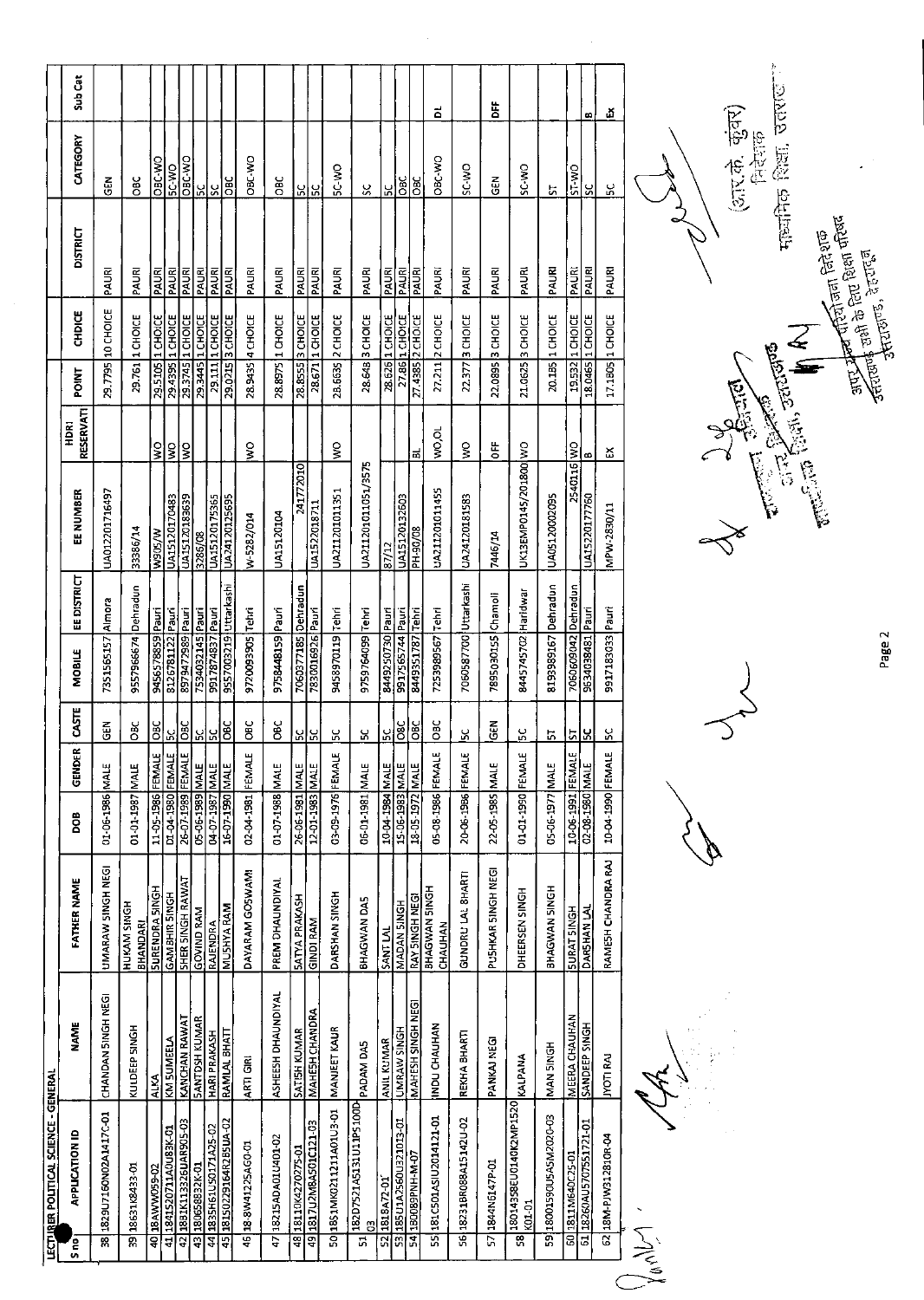|                                                                           | LECTURER POLITICAL SCIENCE - GENERAL                        |                      |                                       |                                                            |                    |                 |                       |             |                       |                          |              |                  |                 |                 |         |
|---------------------------------------------------------------------------|-------------------------------------------------------------|----------------------|---------------------------------------|------------------------------------------------------------|--------------------|-----------------|-----------------------|-------------|-----------------------|--------------------------|--------------|------------------|-----------------|-----------------|---------|
| S ne?                                                                     | <b>APPUCATION ID</b>                                        | <b>NAME</b>          | <b>FATHER NAME</b>                    | BOO                                                        | $\approx$<br>GENDE | CASTE           | MOBILE                | EE DISTRICT | EE NUMBER             | <b>RESERVATI</b><br>HDRI | <b>POINT</b> | CHDICE           | <b>DISTRICT</b> | CATEGORY        | Sub Cat |
|                                                                           | 1829U7160N02A1417C-01<br>ૹॢ                                 | CHANDAN 5INGH NEGI   | UMARAW SINGH NEGI                     | 01-06-1986 MALE                                            |                    | EN<br>35        | 7351565157 Almora     |             | LA012201716497        |                          | Part 6       | 10 CHOICE        | PAURI           | <b>GEN</b>      |         |
|                                                                           | 18631K8433-01<br>ā                                          | KULDEEP SINGH        | <b>HUKAM SINGH</b><br><b>BHANDARI</b> | 01-01-1987 MALE                                            |                    | ÖВC             | 9557966674 Dehradun   |             | 33386/14              |                          | 29.761       | 1 CHOICE         | PAURI           | <b>DBC</b>      |         |
|                                                                           | 40 18 AWW059-02                                             | <b>ALKA</b>          | <b>SURENDRA SINGH</b>                 | 11-05-1986 FEMALE                                          |                    | <b>DBC</b>      | 9456578859 Pauri      |             | W90S/W                | ş                        | 29.5105      | <b>I</b> CHOICE  | PAURI           | <b>CAR-AND</b>  |         |
|                                                                           | 41 1841520711A0U83K-01                                      | KM SUMEELA           | <b>GAMBHIR SINGH</b>                  | D1-04-1980 FEMALE                                          |                    | $\mathbf{g}$    | 8126781122 Pauri      |             | UA15120170483         | $\frac{1}{2}$            |              | 29.4395 1 CHOICE | PAURI           | <b>Dring</b>    |         |
|                                                                           | 42 1881K113326UAR905-03                                     | <b>KANCHAN RAWAT</b> | <b>SHER SINGH RAWAT</b>               | 26-07-1989 FEMALE                                          |                    | $rac{1}{2}$     | 8979472989 Pauri      |             | UA15120183639         | $\frac{1}{2}$            |              | 29.3745 1 CHOICE | PAURI           | <b>ORC-WO</b>   |         |
|                                                                           | 43 180658832K-01                                            | <b>SANTOSH KUMAR</b> | <b>GOVIND RAM</b>                     |                                                            |                    |                 | 7534032145 Pauri      |             | 3286/08               |                          |              | 29.3445 1 CHOICE | <b>PAURI</b>    |                 |         |
|                                                                           | 44 1835H61U50171A25-02                                      | <b>HARI PRAKASH</b>  | <b>RAJENDRA</b>                       | 31 MW 06-17-59<br>1988 - 07-07-592 MALE<br>1997 - 07-07-59 |                    | <u> 위로</u>      | 9917874837 Pauri      |             | <b>UA15120175365</b>  |                          |              | 29.111 1 CHOICE  | PAURI           | ပြင်္ပ          |         |
|                                                                           | 45 18150229164R285UA-02                                     | RAMLAL BHATT         | <b>MUSHYA RAM</b>                     |                                                            |                    | 3               | 9557003219 Uttarkashi |             | UA24120125695         |                          |              | 29.0215 3 CHOICE | PAURI           | ЭEO             |         |
|                                                                           | 46 18-8W41225AG0-01                                         | ARTI GIRI            | DAYARAM GOSWAMI                       | 02-04-1981 FEMALE                                          |                    | ăС              | 9720093905 Tehri      |             | W-5282/014            | $\frac{1}{2}$            |              | 28.9435 4 CHOICE | PAURI           | OBC-WO          |         |
|                                                                           | 47 18215ADA01U401-02                                        | ASHEESH DHAUNDIYAL   | PREM DHAUNDIYAL                       | 01-07-1988 MALE                                            |                    | OBC             | 9758448159 Pauri      |             | UA15120104            |                          |              | 28.8975 1 CHOICE | PAURI           | OBC             |         |
|                                                                           | 48 18110 (4270275-01                                        | <b>SATISH KUMAR</b>  | <b>SATYA PRAKASH</b>                  | 26-06-1981 MALE                                            |                    |                 | 7060377185 Dehradun   |             | 241772010             |                          | 28.8555      | 3 CHOICE         | PAURI           |                 |         |
|                                                                           | 49 1817 U 2M8AS 01C121-03                                   | MAHESH CHANDRA       | <b>GINDI RAM</b>                      | 12-01-1983 MALE                                            |                    | 이정              | 7830016926 Pauri      |             | UA1522018711          |                          |              | 28.671 1 CHOICE  | PAURI           | ងន្ត្រ          |         |
|                                                                           | 5018S1MK0211211A01U3-01                                     | MANIEET KAUR         | DARSHAN SINGH                         | 03-09-1976 FEMALE                                          |                    | ပ္က             | 9458970119 Tehri      |             | UA211201011351        | Š                        |              | 28.6635 2 CHOICE | PAURI           | <b>SC-VIC</b>   |         |
|                                                                           | 182D7521A5131U11P5100D   PADAM DA5<br>G<br>흙                |                      | BHAGWAN DAS                           | 06-01-1981 MALE                                            |                    | ပ္က             | 9759764099 Tehri      |             | UA211201011051/3575   |                          |              | 28.64B 3 CHOICE  | PAURI           | ς,              |         |
|                                                                           | $\frac{52}{23}$ 1818A72-01<br>53 185 01A2560U321013-01      | <b>ANIL KUMAR</b>    | SANT LAL                              | 10-04-1984 MALE                                            |                    | $\frac{6}{2}$   | 8449250730 Pauri      |             | 87/12                 |                          |              | 28.626 1 CHOICE  | PAURI           | ٦,              |         |
|                                                                           |                                                             | UMRAW SINGH          | MADAN 5INGH                           | 15-06-1983 MALE                                            |                    | 58 <sup>C</sup> | 9917565744 Pauri      |             | UA15120132603         |                          |              | 27.86 1 CHOICE   | PAURI           | СP <sub>C</sub> |         |
|                                                                           | 54 180089PNH-M-07                                           | MAHESH SINGH NEGI    | <b>RAY 5INGH NEGI</b>                 | 18-05-1972 MALE                                            |                    | 9EC             | 8449351787 Tehri      |             | <b>PH-90/08</b>       | ಹ                        |              | 27 4385 2 CHOICE | PAURI           | ояс             |         |
|                                                                           | 55 181C501ASIU2014121-01                                    | INDU CHAUHAN         | BHAGWAN 5INGH<br>CHAUHAN              | 05-08-1986 FEMALE                                          |                    | ОBC             | 7253989567 Tehri      |             | UA211201011455        | VO, OL                   |              | 27.211 2 CHOICE  | PAURI           | <b>OBC-WO</b>   | ă       |
|                                                                           | S6 18231BR088A15142U-02                                     | REKHA BHARTI         | GUNDRU LAL SHARTI                     | 20-06-1986 FEMALE                                          |                    | Χ               | 7060587700 Uttarkashi |             | UA24120181583         | Š                        |              | 22.377 3 CHOICE  | PAURI           | SC-WO           |         |
|                                                                           | 57 1844N6147P-01                                            | PANKAJ NEGI          | PUSHKAR SINGH NEGI                    | 22-05-1985 MALE                                            |                    | る<br>5          | 7895030155 Chamoli    |             | 7445/14               | Ë                        |              | 22.0895 3 CHOICE | PAURI           | ទី<br>ច         | ă       |
|                                                                           | 18014358EU0140K2MP1520<br>K01-01<br>$\overline{\mathbf{3}}$ | KALPANA              | DHEERSEN SINGH                        | 01-01-1990 FEMALE                                          |                    | ος.             | 8445745702 Haridwar   |             | UK13EMP0145/201800 WO |                          |              | 21.0625 3 CHOICE | PAURI           | SC-WO           |         |
|                                                                           | 59 18001590U5A5M2020-03                                     | <b>NAN SINGH</b>     | BHAGWAN SINGH                         | 05-06-1977 MALE                                            |                    | 'n,             | 8193989167            | Dehradun    | UA05120002095         |                          |              | 20.185 1 CHOICE  | PAURI           | 5               |         |
|                                                                           | 60 1811 M640C25-01                                          | <b>MEERA CHAUHAN</b> | <b>SURAT SINGH</b>                    | 10-06-1991 FEMALE                                          |                    | 5               | 7060609042 Dehradun   |             | 2540116 WO            |                          |              | 19.532 1 CHOICE  | PAURI           | ST-WO           |         |
|                                                                           | 61 18260AU5707551721-01                                     | SANDEEP SINGH        | DARSHAN LAL                           | 02-08-1980 MALE                                            |                    | k               | 9634038481 Pauri      |             | UA1522017760          | ω                        |              | 18.0465 1 CHOICE | PAURI           | $\mathbf{S}$    | œ       |
|                                                                           | 62 18M-PJW312810R-04                                        | <b>JYOTI RAJ</b>     | RAMESH CHANDRA RAJ                    | 10-04-1990 FEMALE                                          |                    | š               | 9917183033 Pauri      |             | MPW-2830/11           | డ                        |              | 17.1805 1 CHOICE | <b>PAURI</b>    | ς.              | ň       |
| $\bigvee_{\mathsf{A}}\bigvee_{\mathsf{A}}\mathsf{A} \bigvee_{\mathsf{A}}$ |                                                             |                      |                                       |                                                            |                    |                 |                       |             |                       |                          |              |                  |                 |                 |         |

 $\hat{\mathcal{A}}$ 

 $\rightsquigarrow$ 

Page 2

**CAR PERIODE CARL BEACH** 

(आर.के. कुंवर)<br>निर्देशक

 $\ddot{\phantom{0}}$ 

मार्जानेक शिक्षा, उत्तराष्ट<sup>ः</sup>

.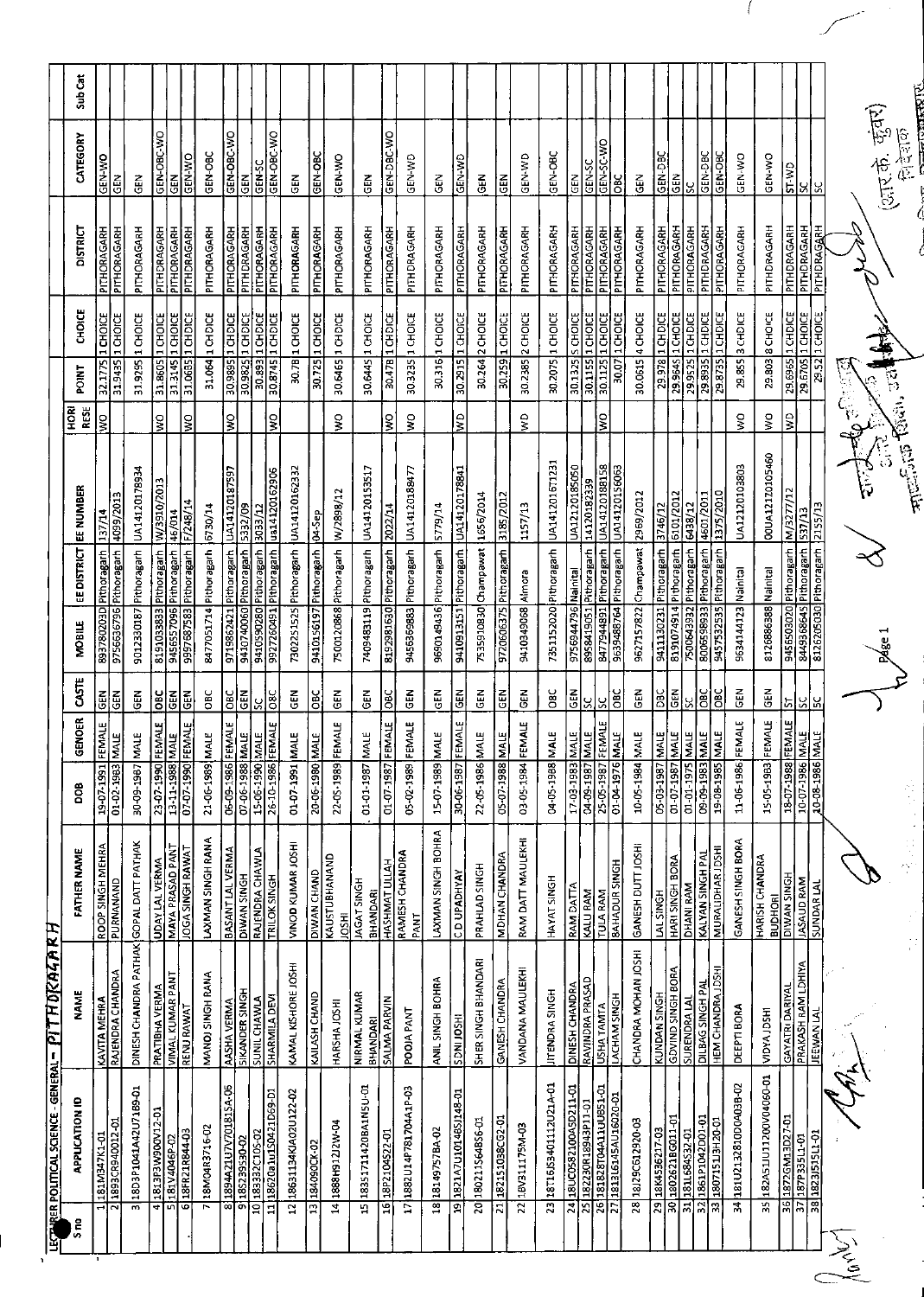|                      | LECTRER POLITICAL SCIENCE - GENERAL - PITH DICALAR RH             |                                              |                                         |                                      |                             |                             |                                              |                      |                       |                                       |                      |                            |                      |         |
|----------------------|-------------------------------------------------------------------|----------------------------------------------|-----------------------------------------|--------------------------------------|-----------------------------|-----------------------------|----------------------------------------------|----------------------|-----------------------|---------------------------------------|----------------------|----------------------------|----------------------|---------|
| S <sub>no</sub>      | APPLICATION ID                                                    | <b>NAME</b>                                  | <b>FATHER NAME</b>                      | poe                                  | GENOFR                      | <b>MOBILE</b><br><b>SSE</b> | <b>EE DISTRICT</b>                           | EE NUMBER            | RESE<br><b>RORI</b>   | <b>POINT</b>                          | <b>CHOICE</b>        | DISTRICT                   | CATEGORY             | Sub Cat |
|                      | 181M347K1-01                                                      | <b>KAVITA MEHRA</b>                          | ROOP SINGH MEHRA                        | 19-07-1991 FE                        | <b>GEN</b><br><b>MALE</b>   | 0E0208/2568                 | <b>Pithoragarh</b>                           | 137/14               | ş                     | ÷<br>32.1775                          | CHOICE               | PITHORAGARH                | GEN-WO               |         |
|                      | 1893CR940012-0                                                    | <b>RAJENDRA CHANDRA</b>                      | PURNANAND                               | 01-02-1983                           | <b>GEN</b><br>$\frac{1}{2}$ | 9756636796                  | Pithoragarh                                  | 4099/2013            |                       | 31.9435                               | 1 CHOICE             | PITHORAGARH                | چ<br>9               |         |
|                      | 18D3P1041A42U7189-01                                              | DINESH CHANDRA PATHAK GOPAL DATT PATHAK      |                                         | 30-09-1987 MALE                      | 군<br>5                      |                             | 9012330187 Pithoragarh                       | UA14120178934        |                       | 31.9295                               | 1 CHOICE             | PITHORAGARH                | 즎                    |         |
|                      | to-zrvoo6MEdET8T<br>च                                             | PRATIBHA VERMA                               | <b>UDAY LAL VERMA</b>                   | 23-07-1990 FEMALE                    | <b>Dac</b>                  |                             | 8191033833 Pithoragarh                       | W/3910/2013          | ş                     | 31.8605                               | 1 CHOICE             | PITHDRAGARH                | GEN-OBC-WO           |         |
|                      | 181V4046P-02<br>ū٦                                                | VIMAL KUMAR PANT                             | MAYA PRASAD PANT                        | 13-11-1988 MALE<br>07-07-1990 FEMALE | GEN                         | 9456557096                  | <b>Pithoragarh</b>                           | 46/014               |                       | 31.3145                               | 1 CHOICE             | PITHORAGARH                | 줂                    |         |
|                      | 18FR21R844-03<br>6                                                | RENU RAWAT                                   | JOGA SINGH RAWAT                        |                                      | <b>GEN</b>                  | 9997687583                  | Pithoragarh                                  | F/248/14             | ş                     | 31.06B5                               | 1 CHDICE             | PITHDRAGARH                | GEN-WO               |         |
|                      | 18M04R3716-02                                                     | MANOJ SINGH RANA                             | LAXMAN SINGH RANA                       | 21-06-1989 MALE                      | ŏ                           | 8477051714                  | Pithoragarh                                  | 6730/14              |                       | 31.064                                | 1 CHDICE             | PITHORAGARH                | GEN-OBC              |         |
|                      | 1894A21U7V70181SA-06<br>Ξä                                        | <b>AASHA VERMA</b>                           | BASANT LAL VERMA                        | 06-09-1986 FEMALE                    | OBC                         |                             | 9719862421 Pithoragarh                       | UA14120187597        | Ş                     | 30.9895                               | 1 CHDICE             | PITHORAGARH                | GEN-OBC-WO           |         |
|                      | 185239530-02<br>آه                                                | <b>SIKANDER SINGH</b>                        | <b>DIWAN SINGH</b>                      | 07-06-1988 MALE                      | <b>GEN</b>                  | 9410740060                  | Pithoragarh                                  | 5332/09              |                       | 30.9825                               | 1 CHDICE             | PITH DRAGARH               | 준<br>영               |         |
|                      | 183332C105-02<br>$\overline{a}$                                   | <b>SUNIL CHAWLA</b>                          | <b>RAJENDRA CHAWLA</b>                  | 15-06-1990 MALE<br>26-10-1986 FEMALE | إي                          |                             | 9410590280 Pithoragarh                       | 3033/12              |                       | <b>20893</b>                          | 1 CHDICE             | PITHORAGARH                | GEN-SC               |         |
|                      | 11 18620a1u1S0421D69-D1                                           | SHARMILA DEVI                                | <b>TRILOK SINGH</b>                     |                                      | နိ                          |                             | 9927260491 Pithoragarh                       | ua14120162906        | ş                     | 30.8745                               | 1 CHDICE             | PITHORAGARH                | GEN-OBC-WO           |         |
|                      | 18631134KJA02U122-02<br>ੇ                                         | KAMAL KISHORE JOSHI                          | VINOD KUMAR JOSHI                       | 01-07-1991 MALE                      | មី<br>ច                     |                             | 7302251525 Pithoragarh                       | UA14120162332        |                       |                                       | 30.7B 1 CHOICE       | PITHORAGARH                | 즚<br>5               |         |
|                      | 184090CK-02<br>$\overline{a}$                                     | KAILASH CHAND                                | <b>DIWAN CHAND</b>                      | 20-06-1980 MALE                      | <b>DBC</b>                  |                             | 9410156197 Pithoragarh                       | Q4-Sep               |                       | 30.725                                | 1 CHOICE             | PITHORAGARH                | GEN-OBC              |         |
|                      | 1888H91212W-04<br>$\overline{4}$                                  | HARSHA JOSHI                                 | KAUSTUBHANAND<br><b>HSOL</b>            | 22-05-1989 FEMALE                    | <b>GEN</b>                  |                             | 7500120868 Pithoragarh                       | W/2898/12            | ş                     | 30.6465 1 CH DICE                     |                      | PITHORAGARH                | GEN-WO               |         |
|                      | 18351711420BA1N5U-01<br>ŋ                                         | NIRMAL KUMAR<br><b>BHANDARI</b>              | JAGAT SINGH                             | 01-01-1987                           | 군<br>연<br>MALE              |                             | 7409483119 Pithoragarh                       | UA14120153517        |                       | 30.6445 1 CHOICE                      |                      | PITHORAGARH                | 릆                    |         |
|                      | 16 18P2104522-01                                                  | <b>SALMA PARVIN</b>                          | HASHMAT ULLAH<br><b>BHANDARI</b>        | 01-07-1987 FEMALE                    | <b>DBC</b>                  |                             | 8192981630 Pithoragarh                       | 177202               |                       |                                       |                      |                            |                      |         |
|                      | E0-41AA0CE8Z441D2881<br>$\overline{17}$                           | POOJA PANT                                   | RAMESH CHANDRA                          | 05-02-1989 FEMALE                    | 뎡                           |                             | 9456369883 Pithoragarh                       | UA14120188477        | š<br>Ş                | 30.3235 1 CHOICE<br>30.47B            | 1 CHDICE             | PITHDRAGARH<br>PITHORAGARH | GEN-DBC-WO<br>GEN-WE |         |
|                      |                                                                   |                                              | PANT                                    |                                      |                             |                             |                                              |                      |                       |                                       |                      |                            |                      |         |
|                      | 18 18149757BA-02                                                  | ANIL SINGH BOHRA                             | LAXMAN SINGH BOHRA                      | 15-07-1989 MALE                      | ζEΝ                         |                             | 9690149436 Pithoragarh                       | 5779/14              |                       | 30 316 1 CHOICE                       |                      | PITHORAGARH                | Ğ                    |         |
|                      | 19 1821A7U101485J148-01                                           | <b>HSOLINGS</b>                              | <b>CD UPADHYAY</b>                      | 30-06-1987 FEMALE                    | GEN                         |                             | 9410913151 Pithoragarh                       | UA14120178841        | $\frac{1}{2}$         | 30.2915                               | 1 CHOICE             | PITHORAGARH                | GEN-WD               |         |
|                      | 20 180211564B56-01                                                | SHER SINGH BHANDARI                          | PRAHLAD SINGH                           | 22-05-1986 MALE                      | <b>GEN</b>                  |                             | 7535910830 Champawat                         | 1656/2014            |                       | 30.264 2 CHOICE                       |                      | PITHORAGARH                | 즈<br>이               |         |
|                      | 182151038CG2-01<br>$\vec{v}$                                      | GANESH CHANDRA                               | <b>MDHAN CHANDRA</b>                    | 05-07-1988                           | GEN<br>MALE                 |                             | 9720606375 Pithoragarh                       | 3185/2012            |                       | 30.259 1 СНОСЕ                        |                      | PITHORAGARH                | る<br>ほ               |         |
|                      | 18V311175M-03<br>$\overline{2}$                                   | VANDANA MAULEKHI                             | RAM DATT MAULEKHI                       | 03-05-1984 FEMALE                    | 픊                           | 9410349068                  | Almora                                       | 1157/13              | $\frac{1}{3}$         | 30.2385                               | 2 CHOICE             | PITHORAGARH                | GEN-WD               |         |
|                      | 23 18 T16 JS 40 11 1 2 U 2 1 A-01                                 | <b>JITENDRA SINGH</b>                        | HAYAT SINGH                             | 04-05-1988 MALE                      | ă                           |                             | 7351152020 Pithoragarh                       | UA1412016T1231       |                       | 30.2075   1 CHOICE                    |                      | PITHORAGARH                | GEN-OBC              |         |
|                      | 18UC0582100A5D211-01<br>ह                                         | <b>DINESH CHANDRA</b>                        | <b>RAM DATTA</b>                        | 17-03-1983 MALE                      | <b>GEN</b>                  |                             | 9756944796 Nainital                          | UA12120185050        |                       | 30.1325 S CHOICE                      |                      | PITHORAGARH                | Ğ                    |         |
|                      | 25 182230R18943P11-01                                             | RAVINDRA PRASAD                              | KALU RAM                                |                                      | မ္တု                        | 8958419051                  | <b>Pithoragarh</b>                           | 14120182339          |                       | 30.1155                               | 1 CHOICE             | PITHORAGARH                | GEN-SC               |         |
|                      | 181828T0AA11UU851-01<br>1813L6145AU16020-01<br>$\frac{26}{27}$    | USHA TAMTA                                   | TULA RAM                                | 04-09-1987 MALE<br>25-05-1987 FEMALE | χ                           | 8477944891                  | Pithoragarh                                  | UA14120188158        | Ş                     | 30.1125 1 CHOICE                      |                      | PITHORAGARH                | GEN-SC-WO            |         |
|                      |                                                                   | LACHAM SINGH                                 | <b>BAHADUR SINGH</b>                    | 01-04-1976 MALE                      | ă                           |                             | 9639488764 Pithoragarh                       | UA14120156063        |                       | 30.07                                 | 1 CHOICE             | PITHORAGARH                | ă                    |         |
|                      | 181290612920-03<br>28                                             | CHANDRA MOHAN JOSHI                          | GANESH DUTT JOSHI                       | 10-05-1984 MALE                      | る<br>GEO                    |                             | 9627157822 Champawat                         | 2969/2012            |                       | 30.0615 4 CHOICE                      |                      | PITHORAGARH                | ە<br>تە              |         |
|                      | 18K4536217-03<br>1802621BG011-01<br>$\overline{3}$                | KUNDAN SINGH<br>GDVIND SINGH BORA            | <b>LAL SINGH</b>                        | $05 - 03 - 1987$                     | <b>DBC</b><br>MATE          |                             | 9411130231 Pithoragarh                       | 3746/12              |                       | 29.978 1 CHDICE                       |                      | PITHORAGARH                | GEN-DBC              |         |
|                      | 1811684532-01<br>ब्रि<br>$\overline{5}$                           | SURENDRA LAI                                 | HARI SINGH BORA<br>DHANI RAM            | 01-07-1987 MALE<br>01-01-1975 MALE   | $\frac{5}{5}$<br>SS.        | 750064392                   | 8191074914 Pithoragarh                       | 6101/2012            |                       | 29,9645                               | 1 CHOICE             | PITHORAGARH                | $rac{2}{9}$          |         |
|                      | 1861P1042D01-01<br>$\overline{\Xi}$                               | DILBAG SINGH PAL                             | KALYAN SINGH PAL                        | 09-09-1983 MALE                      | <b>OBC</b>                  |                             | 8006598933 Pithoragarh<br><b>Pithoragarh</b> | 4601/2011<br>6438/12 |                       | 29.9525 1 СН DICE<br>29.8935 1 CHDICE |                      | PITHORAGARH<br>PITHDRAGARH | GEN-DBC<br>వ         |         |
|                      | 13 180715113H20-01                                                | HEM CHANDRA JOSH                             | <b>MURALIDHAR JOSH</b>                  | 19-08-1985 MALE                      | <b>SO</b>                   | 9457532535                  | Pithoragarh                                  | 1375/2010            |                       | 29.8735   1 CHDICE                    |                      | PITHORAGARH                | GEN-OBC              |         |
|                      | 34 18102132810D0A03B-02                                           | DEEPTI BORA                                  | GANESH SINGH BORA                       | 11-06-1986 FEMALE                    | 즶                           |                             | 9634144123 Nainital                          | UA12120103803        | $\mathop{\mathbb{S}}$ | 29.855 3 CHDICE                       |                      | PITHORAGARH                | GEN-WO               |         |
|                      | 35 182A51U11200V04060-01                                          | <b>HISGLAYOIN</b>                            | <b>HARISH CHANDRA</b><br><b>BUDHORI</b> | 15-05-1983 FEMALE                    | <b>GEN</b>                  |                             | 8126886388 Nainital                          | 00UA12170105460      | Ş                     | 29 803 8 CHOICE                       |                      | PITHDRAGARH                | GEN-WO               |         |
|                      |                                                                   |                                              |                                         |                                      | ∣৯∣                         |                             | 9456503020 Pithoragarh                       | M/327/12             | $\frac{1}{5}$         | 29.6965 1 CHDICE                      |                      | PITHDRAGARH                | CM-IS                |         |
|                      | 36 1872GM13D27-01<br> -<br> 37 187P3351-01<br> - 38 1823J515L1-01 | <u>GAYATRI DARIYAL</u><br>PRAKASH RAM LDHIYA | <b>DIWAN SINGH</b><br>HOMAN DIRAM       | 18-07-1988 FEMALE                    | 55                          |                             | 8449368645 Pithoragarh                       | 53/13                |                       | 29.6705                               | <b>1 CHOICE</b>      | PITHDRAGARH                |                      |         |
|                      |                                                                   | <b>JEEWAN LAL</b>                            | <b>JUNDAR LAL</b>                       |                                      | IЯ                          |                             | 8126205030 Pithoragarh                       | 2.55/13              |                       | $\overline{z}$                        | $\frac{1}{2}$ choice | PITHDRAGARH                | မွုမွ                |         |
| $\frac{1}{\sqrt{2}}$ |                                                                   |                                              |                                         |                                      |                             |                             |                                              |                      | $\tilde{r}$           | ច្រូ                                  |                      |                            |                      |         |
|                      |                                                                   |                                              |                                         |                                      |                             |                             |                                              |                      |                       |                                       |                      |                            | (अर.के. कुंक्)       |         |
|                      |                                                                   |                                              | 计图<br>$\frac{1}{2}$                     | <b>売り</b>                            |                             |                             |                                              | 這些思想                 |                       |                                       |                      |                            | Geography            | r<br>R  |

 $\left($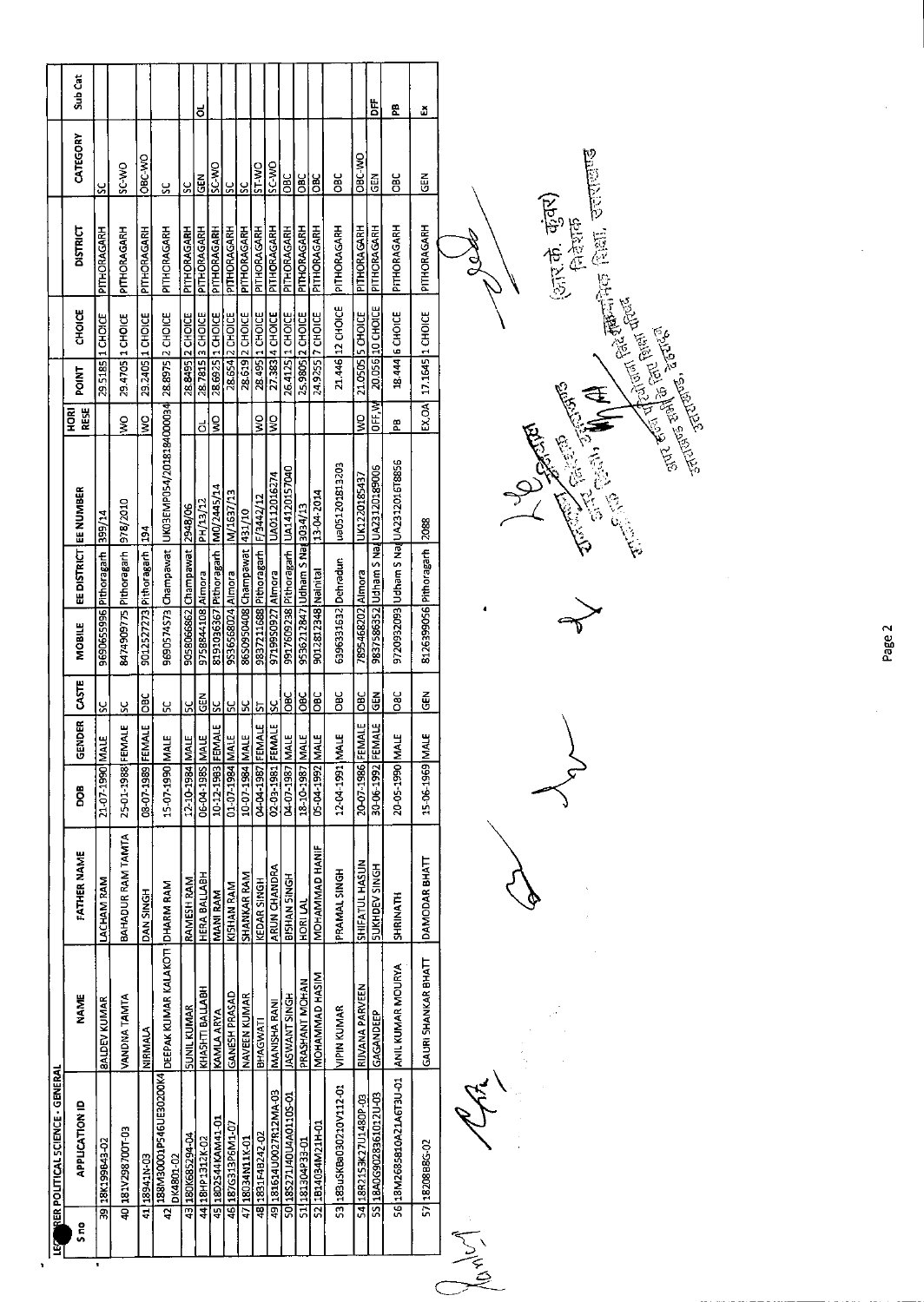| S <sub>no</sub><br>å | <b>INER POLITICAL SCIENCE - GENERAL</b><br><b>APPLICATION ID</b>       | <b>NAME</b>              | FATHER NAME       | e<br>S            | GENDER       | <b>STE</b>    | <b>MOBILE</b>                     | EE DISTRICT EE NUMBER        |                                        | RESE<br>호<br>모 | POINT            | <b>CHOICE</b>    | <b>DISTRICT</b> | CATEGORY      | Sub Cat  |
|----------------------|------------------------------------------------------------------------|--------------------------|-------------------|-------------------|--------------|---------------|-----------------------------------|------------------------------|----------------------------------------|----------------|------------------|------------------|-----------------|---------------|----------|
|                      | 39 18K199B43-02                                                        | <b>BALDEV KUMAR</b>      | LACHAM RAM        | 21-07-1990 MALE   |              | š             | 9690655996 Pithoragarh            |                              | 399/14                                 |                | 29.5185 1 CHOICE |                  | PITHORAGARH     | $\frac{6}{5}$ |          |
|                      | 40 181V298700T03                                                       | VANDNA TAMTA             | BAHADUR RAM TAMTA | 25-01-1988 FEMALE |              | <u>يي</u>     | 8474909775 Pithoragarh            |                              | 978/2010                               | $\frac{8}{3}$  | 29 4705 1 CHOICE |                  | PITHORAGARH     | ON-3S         |          |
|                      | 41 18941N-03                                                           | <b>NIRMALA</b>           | DAN SINGH         | 08-07-1989 FE     | <b>INALE</b> | З             | 9012527273 Pithoragarh            |                              | 194                                    | ş              | 29.2405 1 CHOICE |                  | PITHORAGARH     | ORC-VIO       |          |
|                      | 42 188M30001P546UE30200K4 DEEPAK KUMAR KALAKOTI DHARM RAM<br>DK4801-02 |                          |                   | 15-07-1990 MALE   |              | ႕             | 9690574S73 Champawat              |                              | UK03EMP054/2018184000034               |                | 28.8975 2 CHOICE |                  | PITHORAGARH     | š             |          |
|                      | 43 180K685294-04                                                       | <b>SUNIL KUMAR</b>       | RAMESH RAM        | 12-10-1984 MALE   |              | $\frac{2}{5}$ | 9058066862 Champawat 2948/06      |                              |                                        |                | 28.8495 2 CHOICE |                  | PITHORAGARH     | š             |          |
|                      | 44 18HP 1312K-02                                                       | KHASHTI BALLABH          | HERA BALLABH      | 3JAM 3861-A0-90   |              | $rac{2}{3}$   | 9758844108 Almora                 |                              | PH/13/12                               | ಠ              |                  | 28.7815 3 CHOICE | PITHORAGARH     | $\frac{2}{3}$ | <u>ರ</u> |
|                      | 45 18D2544KAM41-01                                                     | <b>KAMLA ARYA</b>        | MANI RAM          | 10-12-1983 FEMALE |              | š             | 8191036367 Pithoragarh M0/2445/14 |                              |                                        | ş              | 28.6925 1 CHOICE |                  | PITHORAGARH     | <b>OW-3S</b>  |          |
|                      | 46 187G313P6M1-07                                                      | GANESH PRASAD            | KISHAN RAM        | 01-07-1984 MALE   |              | <u>50</u>     | 9536568024 Almora                 |                              | M/1637/13                              |                |                  | 28.654 2 CHOICE  | PITHORAGARH     | š             |          |
|                      | 47 18034N11K-01                                                        | NAVEEN KUMAR             | SHANKAR RAM       | 10-07-1984 MALE   |              | ሄ             | 86S0950408 Champawat 431/10       |                              |                                        |                |                  | 28.619 2 CHOICE  | PITHORAGARH     | <u>ي</u>      |          |
|                      | 48 1831 F4B242-02                                                      | BHAGWATI                 | KEDAR SINGH       | 04-04-1987 FEMALE |              | 57            | 9837211688 Pithoragarh            |                              | F/3442/12                              | $\frac{8}{2}$  |                  | 28.495 1 CHOICE  | PITHORAGARH     | ST-WO         |          |
|                      | 49 181614 U0027R12MA-03                                                | MANISHA RANI             | ARUN CHANDRA      | 02-03-1981 FEMALE |              | š             | 97199S0927 Almora                 |                              | UA0112016274                           | $\frac{1}{2}$  |                  | 27.383 4 CHOICE  | PITHORAGARH     | SC-WO         |          |
|                      | 50 1852 71 40 0 4 A 0 110 5-01                                         | <b>JASWANT SINGH</b>     | BISHAN SINGH      | 04-07-1987 MALE   |              | $rac{6}{2}$   |                                   |                              | 9917609238 Pithoragarh   UA14120157040 |                |                  | 26.4125 1 CHOICE | PITHORAGARH     | $rac{C}{D}$   |          |
|                      | 51 181304P33-01                                                        | PRASHANT MOHAN           | <b>HORI LAI</b>   | 18-10-1987 MALE   |              | OBC           | 9536212847 Udham S Nad 3034/13    |                              |                                        |                | 25.9805 2 CHOICE |                  | PITHORAGARH     | OBC           |          |
|                      | 52 1814034M21H-01                                                      | MOHAMMAD HASIM           | MOHAMMAD HANIF    | 05-04-1992 MALE   |              | <b>DBC</b>    | 9012812348 Nainital               |                              | 13-04-2014                             |                |                  | 24.9255 7 CHOICE | PITHORAGARH     | <b>SC</b>     |          |
|                      | 53 183 uSKBa030210V112-01                                              | <b>VIPIN KUMAR</b>       | PRAMAL SINGH      | 12-04-1991 MALE   |              | ăQ            | 6396331632 Dehradun               |                              | ua051201813203                         |                |                  | 21.446 12 CHOICE | PITHORAGARH     | <b>SEC</b>    |          |
|                      | 54 18R2153K27U1480P-03                                                 | RIJVANA PARVEEN          | SHIFATUL HASUN    | 20-07-1986 FEMALE |              | $rac{1}{2}$   | 7895468202 Almora                 |                              | UK1220185437                           | g              |                  | 21.0505 5 CHOICE | PITHORAGARH     | OBC-VVO       |          |
|                      | 5S 18A0G9028361012U-03                                                 | GAGANDEEP                | SUKHDEV SINGH     | 30-06-1992 FE     | EMALE        | $rac{2}{5}$   |                                   |                              | 9837586352 Udham S Naa UA23120189006   | 호<br>마트        |                  | 20.056 10 CHOICE | PITHORAGARH     | <b>GEN</b>    | Ë        |
|                      | 10-UET3A1268581052146730                                               | <b>ANIL KUMAR MOURYA</b> | <b>SHRINATH</b>   | 20-05-1990 M      | <b>ALE</b>   | ăo            |                                   |                              | 9720932093 Udham S NajUA2312016T8856   | æ              |                  | 18.444 6 CHOICE  | PITHORAGARH     | g             | 쮪        |
|                      | 57 18208886-02                                                         | GAURI SHANKAR BHATT      | DAMODAR BHATT     | 15-06-1969 M      | <b>ALE</b>   | Ğ.            |                                   | 8126399056 Pithoragarh 12088 |                                        | EX, OR         |                  | 17.1645 1 CHOICE | PITHORAGARH     | 준<br>영        | ă        |
| January<br>Roman     |                                                                        |                          |                   |                   |              |               |                                   |                              |                                        |                |                  |                  |                 |               |          |

 $\tilde{\mathcal{X}}$ 



ł,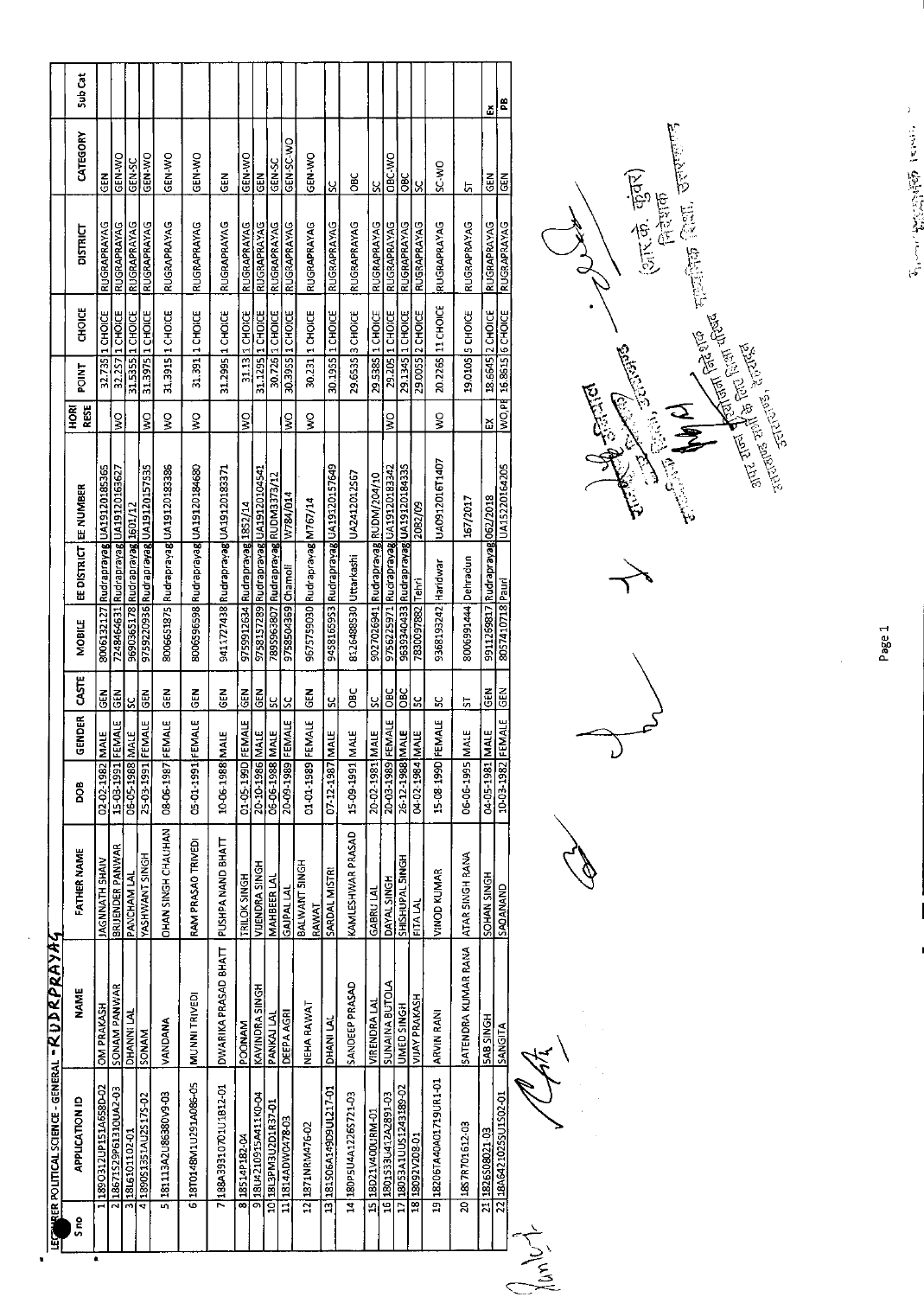| S <sub>no</sub>  | <b>APPLICATION ID</b>                       | NAME                  | <b>FATHER NAME</b>        | BOO               | GENDER      | 5g                      | MOBILE                |                                 | EE DISTRICT EE NUMBER                | RESE<br>HORI              | <b>TKID</b>            | <b>UNOIE</b>      | <b>DISTRICT</b>    | CATEGORY    | Sub Cat |
|------------------|---------------------------------------------|-----------------------|---------------------------|-------------------|-------------|-------------------------|-----------------------|---------------------------------|--------------------------------------|---------------------------|------------------------|-------------------|--------------------|-------------|---------|
|                  | 1890312UP151A658D-02                        | <b>OM PRAKASH</b>     | JAGNNATH SHAIV            | 02-02-1982 N      | E<br>NE     | <b>GEN</b>              |                       |                                 | 8006132127 Rudraprayag UA19120185365 |                           |                        | 32.735 1 CHOICE   | RUGRAPRAYAG        | $rac{1}{3}$ |         |
|                  | 2 18671 S29 P61310UA2-03                    | SONAM PANWAR          | BRIJENDER PANWAR          | 15-03-1991 FEMALE |             | $rac{2}{3}$             |                       |                                 | 7248464631 Rudraprayag UA19120163627 | Š                         |                        | 32.257 1 CHOICE   | <b>RUGRAPRAYAG</b> | GEN-WO      |         |
|                  | 3 1816101102-01                             | DHANNI LAI            | PANCHAM LAL               | 06-05-1988 MALE   |             | $\overline{\mathbf{S}}$ |                       | 9690365178 Rudraprayag 1601/12  |                                      |                           |                        | 31.5355 1 CHOICE  | RUGRAPRAYAG        | GEN-SC      |         |
|                  | 41890S1351AU2S17S-02                        | SONAM                 | YASHWANT SINGH            | 25-03-1991 FEMALE |             | $rac{1}{6}$             |                       |                                 | 9759220936 Rudraprayag UA19120157535 | $\frac{8}{3}$             |                        | 31.3975 1 CHOICE  | RUGRAPRAYAG        | GEN-WO      |         |
|                  | 5 181113A2U86380V9-03                       | VANDANA               | <b>OHAN SINGH CHAUHAN</b> | 08-06-1987 FEMALE |             | GEN                     |                       |                                 | 8006651875 Rudraprayag UA19120183386 | ş                         |                        | 31.3915 11 CHOICE | RUGRAPRAYAG        | GEN-WO      |         |
|                  | 6 18T0148M1U291A086-05                      | MUNNI TRIVEDI         | RAM PRASAO TRIVEDI        | 05-01-1991 FEMALE |             | <b>SEN</b>              |                       |                                 | 8006596598 Rudraprayag UA19120184680 | Ş                         |                        | 31.391 1 CHOICE   | RUGRAPRAYAG        | GEN-WO      |         |
|                  | 7188A39310701U1812-01                       | DWARIKA PRASAD BHATT  | PUSHPA NAND BHATT         | 10-06-1988 M      | <b>MLE</b>  | 군<br>5                  |                       |                                 | 9411727438 Rudrapravag UA19120183371 |                           |                        | 31.2995 1 CHOICE  | RUGRAPRAYAG        | M<br>こ      |         |
|                  | 8 18514P182-04                              | POONAM                | TRILOK SINGH              | 01-05-1990 FEMALE |             | $rac{2}{3}$             |                       | 9759912634 Rudraprayag 1852/14  |                                      | $\boldsymbol{\mathsf{S}}$ |                        | 31.13 1 CHOICE    | RUGRAPRAYAG        | GEN-WO      |         |
|                  | 91804210915A411K0-04                        | KAVINDRA SINGH        | VIJENDRA SINGH            | 20-10-1986 MALE   |             | MB<br>0                 |                       |                                 | 9758157289 Rudraprayag UA19120104541 |                           |                        | 31.1295 1 CHOICE  | RUGRAPRAYAG        | 즶           |         |
|                  | 10 IBL3PM3U2D1R37-01                        | PANKAI LAI            | <b>MAHBEER LAI</b>        | 06-06-1988 MALE   |             | ပ္တ                     |                       |                                 | 289S963807 Rudraprayag RUDM3373/12   |                           | 30.726                 | 1 CHOICE          | RUGRAPRAYAG        | GEN-SC      |         |
|                  | 11 1814ADW0478-03                           | <b>DEEPA AGRI</b>     | <b>GAJPALLAL</b>          | 20-09-1989 FEMALE |             | ပ္တ                     | 9758504369 Chamoli    |                                 | W784/014                             | š                         |                        | 30.3955 1 CHOICE  | RUGRAPRAYAG        | GEN-SC-WO   |         |
|                  | 12 1871NRM476-02                            | NEHA RAWAT            | BALWANT SINGH<br>RAWAT    | 01-01-1989 FEMALE |             | ē                       |                       | 9675759030 Rudraprayag M767/14  |                                      | š                         |                        | 30.231 1 CHOICE   | RUGRAPRAYAG        | GEN-WO      |         |
|                  | 13 181S06A149D9UL217-01                     | DHANI LAI             | SARDAL MISTRI             | 07-12-1987 MALE   |             | X                       |                       |                                 | 9458165953 Rudraprayag UA19120157649 |                           |                        | 30.1955 1 CHOICE  | RUGRAPRAYAG        | χ           |         |
|                  | 14 180P5U4A1226S721-03                      | SANDEEP PRASAD        | KAMLESHWAR PRASAD         | 15-09-1991        | <b>ALE</b>  | ă                       | 8126488530 Uttarkashi |                                 | UA2412012567                         |                           |                        | 29.6535 3 CHOICE  | RUGRAPRAYAG        | Эяс         |         |
|                  | 15 18D21V400URM-01                          | <b>VIRENDRA LAI</b>   | <b>GABRU LAI</b>          | 20-02-1981 MALE   |             | ႘ၟ႞                     |                       |                                 | 9027026941 Rudraprayag RUDM/204/10   |                           |                        | 29.5385 1 CHOICE  | RUGRAPRAYAG        | <u>ઝ</u>    |         |
|                  | 16 1801 S33 U412 A2891 03                   | <b>SUNAINA BUTOLA</b> | DAYAL SINGH               | 20-03-1989 FEMALE |             | <b>DBC</b>              |                       |                                 | 9756225971 Rudraprayag UA19120183342 | $\frac{1}{2}$             |                        | 29.205 1 CHOICE   | RUGRAPRAYAG        | OBC-WO      |         |
|                  | 17 18053A1UUS1243189-02                     | UMED SINGH            | SHISHUPAL 5INGH           | 26-12-1988 MALE   |             | $rac{C}{C}$             |                       |                                 | 9639340433 Rudraprayag UA19120184335 |                           |                        | 29.1345 1 CHOICE  | RUGRAPRAYAG        | <b>BC</b>   |         |
|                  | 18 18092V208-01                             | VIJAY PRAKASH         | <b>FITA LAL</b>           | 04-02-1984 MALE   |             | မ္ဘ                     | 7830097882 Tehri      |                                 | 2082/09                              |                           |                        | 29.0055 2 CHOICE  | RUGRAPRAYAG        | l×          |         |
|                  | 19 18206TA40A01719UR1-01                    | <b>ARVIN RANI</b>     | VINOD KUMAR               | 15-08-199D FEMALE |             | χ                       | 9368193242 Haridwar   |                                 | UA0912016T1407                       | ş                         |                        | 20.2265 11 CHOICE | RUGRAPRAYAG        | SC-WO       |         |
|                  | 2018S7R701612-03                            | SATENDRA KUMAR RANA   | ATAR SINGH RANA           | 06-06-1995        | <b>MALE</b> | 5                       | 8006991444 Dehradun   |                                 | 167/2017                             |                           |                        | 19.0105 S CHOICE  | RUGRAPRAYAG        | 5           |         |
|                  | 21 1826SO8021-03<br>22 18A642 1025SU1SO2-01 | <b>SAB SINGH</b>      | SOHAN SINGH               | 04-05-1981 MALE   |             | GEN                     |                       | 9911269817 Rudraprayag 062/2018 |                                      | డ                         |                        | 18.6645 2 CHOICE  | RUGRAPRAYAG        | $rac{2}{3}$ | ă       |
| Johnson<br>Chang |                                             | SANGITA               | SAOANAND                  | 10-03-1982 FEMALE |             | <b>GEN</b>              | 8057410718 Pauri      |                                 | UA15220164205                        |                           | WO.PE 16.8615 6 CHOICE |                   | RUGRAPRAYAG        | មិន<br>ប    | æ       |

 $\frac{1}{\sqrt{2}}$ 



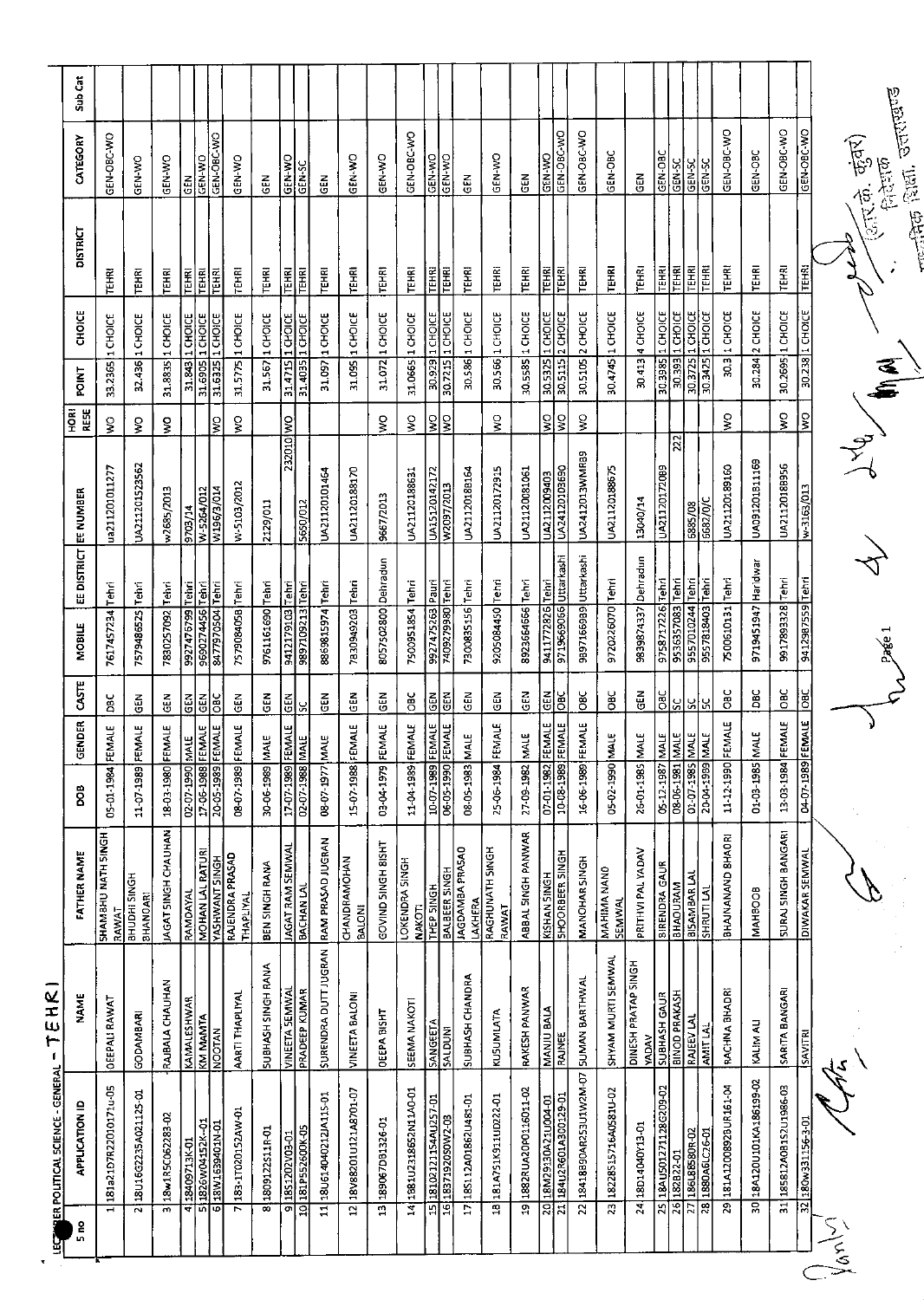| g     |                          | RER POLITICAL SCIENCE - GENERAL        | EHR<br>٣<br>Т.                            |                                                |                                       |                        |                                  |                                      |                       |                             |                |                                      |                          |                              |                                                          |         |
|-------|--------------------------|----------------------------------------|-------------------------------------------|------------------------------------------------|---------------------------------------|------------------------|----------------------------------|--------------------------------------|-----------------------|-----------------------------|----------------|--------------------------------------|--------------------------|------------------------------|----------------------------------------------------------|---------|
|       | S <sub>no</sub>          | <b>APPLICATION ID</b>                  | NAME                                      | <b>FATHER NAME</b>                             | ខ្លី                                  | GENDER                 | CASTE                            | MOBILE                               | <b>EE DISTRICT</b>    | EE NUMBER                   | RESE<br>Й<br>Р | POINT                                | CHOICE                   | <b>DISTRICT</b>              | CATEGORY                                                 | Sub Cat |
|       |                          | 181a21D7R22010171u-05                  | OEEPALI RAWAT                             | SHAMBHU NATH SINGH<br>RAWAT                    | 05-01-1984                            | <b>EMALE</b>           | ă                                | 7617457234 Tehri                     |                       | ua211201011277              | Š              | 33.2365                              | 1 CHOICE                 | <b>TEHRI</b>                 | GEN-OBC-WO                                               |         |
|       |                          | 2 18 U16 G2235 A021125-01              | GODAMBAR                                  | BHUDHI SINGH<br><b>BHANOARI</b>                | 11-07-1989                            | EMALE                  | 듮                                | 7579486525 Tehri                     |                       | UA211201523562              | Š              | 32.436 1 CHOICE                      |                          | TÊHRI                        | <b>GEN-WO</b>                                            |         |
|       | $\overline{\phantom{1}}$ | 18w1R5C062283-02                       | RAJBALA CHAUHAN                           | JAGAT SINGH CHAUHAN                            | 1803-1980                             | FEMALE                 | មី<br>ច                          | 7830257092                           | Tehri                 | w2685/2013                  | š              | 31,8835                              | 1 CHOICE                 | <b>TEHRI</b>                 | <b>GEN-WO</b>                                            |         |
|       | च                        | 18409713K-01                           | KAMALESHWAR                               | RAMDAYAL                                       | 02-07-1990                            | MALE                   | GEN                              | 66/9/1266                            | Tehri                 | 9703/14                     |                | 31.843                               | 1 CHOICE                 | <b>TEHRI</b>                 | 료<br>9                                                   |         |
|       | ᅲ<br>ō                   | 1826W04152K-01<br>18W1639401N-01       | KM MAMTA<br><b>NOOTAN</b>                 | <b>MOHAN LAL RATURI</b>                        | 17-06-1988<br>20-05-1989              | FEMALE<br><b>EMALE</b> | <b>GEN</b><br>ă                  | 8477970504 Tehri<br>9690274456       | Tenri                 | W-5264/012<br>W196/3/014    | ş              | 31.6905<br>31.6325                   | 1 CHOICE<br>1 CHOICE     | <b>TEHRI</b><br>TEHRI        | GEN-OBC-WO<br>GEN-WO                                     |         |
|       |                          | 7 183-17020152AW-01                    | AARTI THAPLIYAL                           | QVSVAJ VYONJIVY<br>HDNIS LNVMHSVA<br>THAPLIYAL | 08-17-1989                            | FEMALE                 | $rac{1}{2}$                      | 757908405B Tehri                     |                       | W-5103/2012                 | š              | 31.5775 1 CHOICE                     |                          | TEHRI                        | <b>GEN-WO</b>                                            |         |
|       |                          | 8 1809122511R-01                       | SUBHASH SINGH RANA                        | BEN SINGH RANA                                 | 30-06-1989                            | MALE                   | <b>GEN</b>                       | 9761161690 Tehri                     |                       | 2129/011                    |                | 31.567 1 CHOICE                      |                          | <b>TEHRI</b>                 | <b>GEN</b>                                               |         |
|       | g                        | 1851202V03-01                          | <b>VINEETA SEMWA</b>                      | JAGAT RAM SEMWAI                               | 17-07-1989                            | FEMALE                 | GEN                              | 6012179103                           | Tehri                 | <b>OM</b> 0T0ZEZ            |                | 31.4715                              | 1 CHOICE                 | <b>TEHRI</b>                 | <b>OM-N39</b>                                            |         |
|       |                          | 10 181P552600K-05                      | PRADEEP KUMAR                             | <b>BACHAN LAL</b>                              | 02-07-1988                            | $\frac{1}{2}$          | SC                               | 9897109213 Tehri                     |                       | 5650/012                    |                | 31.4035 1 CHOICE                     |                          | TEHRI                        | GEN-SC                                                   |         |
|       |                          | 18U614040212JA115-01                   | SURENDRA DUTT JUGRAN                      | RAM PRASAD JUGRAN                              | 08-07-1977                            | MALE                   | 즩                                | 8869815974 Tehri                     |                       | UA21120101464               |                | 31.097 1 CHOICE                      |                          | <b>TEHRI</b>                 | 픦                                                        |         |
|       | đ                        | 18V88201U121A8701-07                   | VINEETA BALONI                            | CHANDRAMOHAN<br><b>BALON!</b>                  | 15-07-1988                            | FEMALE                 | άΕλ                              | 7830949203                           | lienri                | UA21120188170               |                | 31.095 1 CHOICE                      |                          | <b>TEHRI</b>                 | GEN-WO                                                   |         |
|       | $\mathbf{u}$             | 189067DB1326-01                        | <b>DEEPA BISHT</b>                        | GOVIND SINGH 8ISHT                             | 03-04-1979                            | FEMALE                 | <b>GEN</b>                       | 8057502800 Dehradun                  |                       | 9667/2013                   | ş              | 31.072 1 CHOICE                      |                          | TEHRI                        | <b>ON-NED</b>                                            |         |
|       | $\frac{1}{4}$            | 1B81U2318652N11A0-01                   | SEEMA NAKOT                               | <b>LOKENDRA SINGH</b><br><b>NAKOTI</b>         | 11-04-1989                            | FEMALE                 | ă                                | 7500951854                           | Tehri                 | UA21120188631               | ş              | 31.0665                              | 1 CHOICE                 | <b>TEHRI</b>                 | GEN-OBC-WO                                               |         |
|       | य़ऻॾ                     | 18102121154AU257-01<br>18371920SOW2-03 | SANGETA<br>SALDUNI                        | <b>BALBEER SINGH</b><br>THEP SINGH             | 10-07-1989<br>06-1990                 | FEMALE<br>FEMALE       | <b>GEN</b><br>즎                  | 9927475263<br>7409279980             | in Balli<br>$ $ Tehri | UA15120142172<br>W2097/2013 | <u> 읽</u>      | 30.929<br>30.7215                    | $1$ CHOICE<br>$1$ CHOICE | <b>LEHKI</b><br><b>TEHRI</b> | GEN-WO<br>OM-N9                                          |         |
|       | Ę                        | 185112A01862U481-01                    | SUBHASH CHANDRA                           | <b>JAGDAMBA PRASAO</b>                         | 08-05-1983                            | MALE                   | GEN                              | 7300835156 Tehri                     |                       | UA2112018B164               |                | 30.586                               | 1 CHOICE                 | <b>TEHRI</b>                 | $\frac{2}{9}$                                            |         |
|       | $\overline{a}$           | 181A751K911UD222-01                    | KUSUMLATA                                 | RAGHUNATH SINGH<br><b>LAKHERA</b><br>RAWAT     | 25-06-1984                            | FEMALE                 | еEN                              | 9205084450 Tehri                     |                       | UA21120172915               | ş              | 30.566 1 CHOICE                      |                          | <b>TEHRI</b>                 | GEN-WO                                                   |         |
|       |                          | 19 1882RUA20P0116011-02                | RAKESH PANWAR                             | ABBAL SINGH PANWAR                             | 27-09-1982                            | MALE                   | $\mathbf{G}\mathbf{E}\mathbf{N}$ | 8923664666 Tehri                     |                       | UA21120081061               |                | 30.5585 1 CHOICE                     |                          | TEHRI                        | 군<br>5                                                   |         |
|       | য়                       | LO-MONTZY0ET6ZNI8T                     | <b>NANJU BALA</b>                         | <b>KISHAN SINGH</b>                            | <b>1821</b><br>1941-1950<br>1941-1950 | <b>FEMALE</b>          | Ιã                               | 9411772826 Tehri                     |                       | UA2112009403                | ş              | 30.5325                              | 1 CHOICE                 | E                            | GEN-V/O                                                  |         |
|       | ਸ਼ਿ                      | 184U2R601A300129-01                    | <b>RAJNEE</b>                             | SHOORBEER SINGH                                |                                       | FEMALE                 | DBC                              | 9719669066 Uttarkashi                |                       | UA24120103690               | š              | 30.5115                              | 2 CHOICE                 | TEHRI                        | GEN-OBC-WO                                               |         |
|       | $\overline{2}$           | 18418890AR253U1W2M-07                  | SUMAN BARTHWAL                            | <b>MANOHAR SINGH</b>                           | 16-06-1989                            | FEMALE                 | O8C                              | 9897166989 Uttarkashi                |                       | UA2412013WMRB9              | ş              | 30.5105 2 CHOICE                     |                          | <b>TEHRI</b>                 | GEN-OBC-WO                                               |         |
|       | 23                       | 18228515716A0581U-02                   | SHYAM MURTI SEMWAL                        | MAHIMA NANO<br><b>SEMWAL</b>                   | 05-02-1990                            | MALE                   | СC<br>Об                         | 9720225070 Tehri                     |                       | UA21120188675               |                | 30.4745 1 CHOICE                     |                          | TEHRI                        | GEN-OBC                                                  |         |
|       |                          | 24 18D14040Y13-01                      | DINESH PRATAP SINGH<br><b>YADAV</b>       | PRITHVI PAL YADAV                              | 26-01-1985                            | MALE                   | 모<br>55                          | 9839874337 Dehradun                  |                       | 13040/14                    |                | 30.413 4 CHOICE                      |                          | TEHRI                        | 즶                                                        |         |
|       |                          | 25 18AUS01271128G209-02                | <b>SUBHASH GAUR</b>                       | <b>BIRENDRA GAUR</b>                           | 05-12-1987                            | <b>MALE</b>            | OBC                              | 9758717226                           | Tehri                 | UA21120172089               |                | 30.3985 1 CHOICE                     |                          | TEHRI                        | GEN-OBC                                                  |         |
|       |                          | 186L88580R-02<br>26 182822-01          | <b>BINOD PRAKASH</b><br><b>RAJEEV LAL</b> | <b>BISAMBAR LAL</b><br><b>BHAOURAM</b>         | 08-06-1981                            | <b>MALE</b><br>MALE    | <u>ي</u><br>SC                   | 9536357083 Tehri<br>9557010244 Tehri |                       | 222<br>685/08               |                | 30.393 1 CHOICE                      |                          | <b>TEHRI</b><br>TEHRI        | <b>GEN-SC</b><br>GEN-SC                                  |         |
|       | $\frac{1}{2}$            | 1880A6LC26-01                          | AMIT LAL                                  | SHRUTI LAI                                     | $\frac{01-07-1985}{20-04-1989}$       | <b>MALE</b>            | አ                                | 9557818403                           | Tehri                 | 682/0/C                     |                | 30.3725 1 CHOICE<br>30.3425 1 CHOICE |                          | <b>TEHRI</b>                 | <b>GEN-SC</b>                                            |         |
|       | হ্ৰ                      | 181A1200892BUR161-04                   | RACHNA BHADRI                             | BHAJNANAND 8HAORI                              | 11-12-1990                            | FEMALE                 | ă                                | 7500610131                           | l'iehri               | UA21120189160               | ş              | 30.3                                 | $1$ CHOICE               | TEHRI                        | GEN-OBC-WO                                               |         |
|       | ਕ਼                       | 18A120U101KA186199-02                  | KALIM ALI                                 | MAH8OOB                                        | 01-03-1985                            | <b>MALE</b>            | DЕC                              | 9719451947 Haridwar                  |                       | UA091201811169              |                |                                      | 30.284 2 CHOICE          | TEHRI                        | GEN-OBC                                                  |         |
|       |                          | 31 185812A0B1S2U1986-03                | SARITA BANGARI                            | <b>SURAJ SINGH BANGARI</b>                     | 13-03-1984                            | FEMALE                 | DBC                              | 9917893328 Tehri                     |                       | UA2112018B956               | ş              | 30.2695 1 CHOICE                     |                          | TEHRI                        | GEN-OBC-WO                                               |         |
|       |                          | 32 180w331156-3-01                     | <b>SAVITRI</b>                            | DIWAKAR SEMWAI                                 | 04-07-1989                            | <b>FEMALE</b>          | <b>DBC</b>                       | 94129B7559 Tehri                     |                       | w-3163/013                  | $\frac{1}{2}$  |                                      | 30.238 1 CHOICE          | TEHRI                        | GEN-OBC-WO                                               |         |
| Jan J |                          |                                        |                                           |                                                |                                       |                        |                                  | Page 1                               |                       |                             |                |                                      |                          |                              | <sub>िसरा</sub> उत्तराखण्ड<br>्तर के. कुंवर)<br>Politico |         |
|       |                          |                                        |                                           |                                                |                                       |                        |                                  |                                      |                       |                             |                |                                      |                          |                              |                                                          |         |

 $\frac{1}{\sqrt{2}}\sum_{n=1}^{n} \frac{1}{n} \sum_{i=1}^{n} \frac{1}{n} \sum_{i=1}^{n} \frac{1}{n} \sum_{i=1}^{n} \frac{1}{n} \sum_{i=1}^{n} \frac{1}{n} \sum_{i=1}^{n} \frac{1}{n} \sum_{i=1}^{n} \frac{1}{n} \sum_{i=1}^{n} \frac{1}{n} \sum_{i=1}^{n} \frac{1}{n} \sum_{i=1}^{n} \frac{1}{n} \sum_{i=1}^{n} \frac{1}{n} \sum_{i=1}^{n} \frac{1}{n} \sum_{i=1$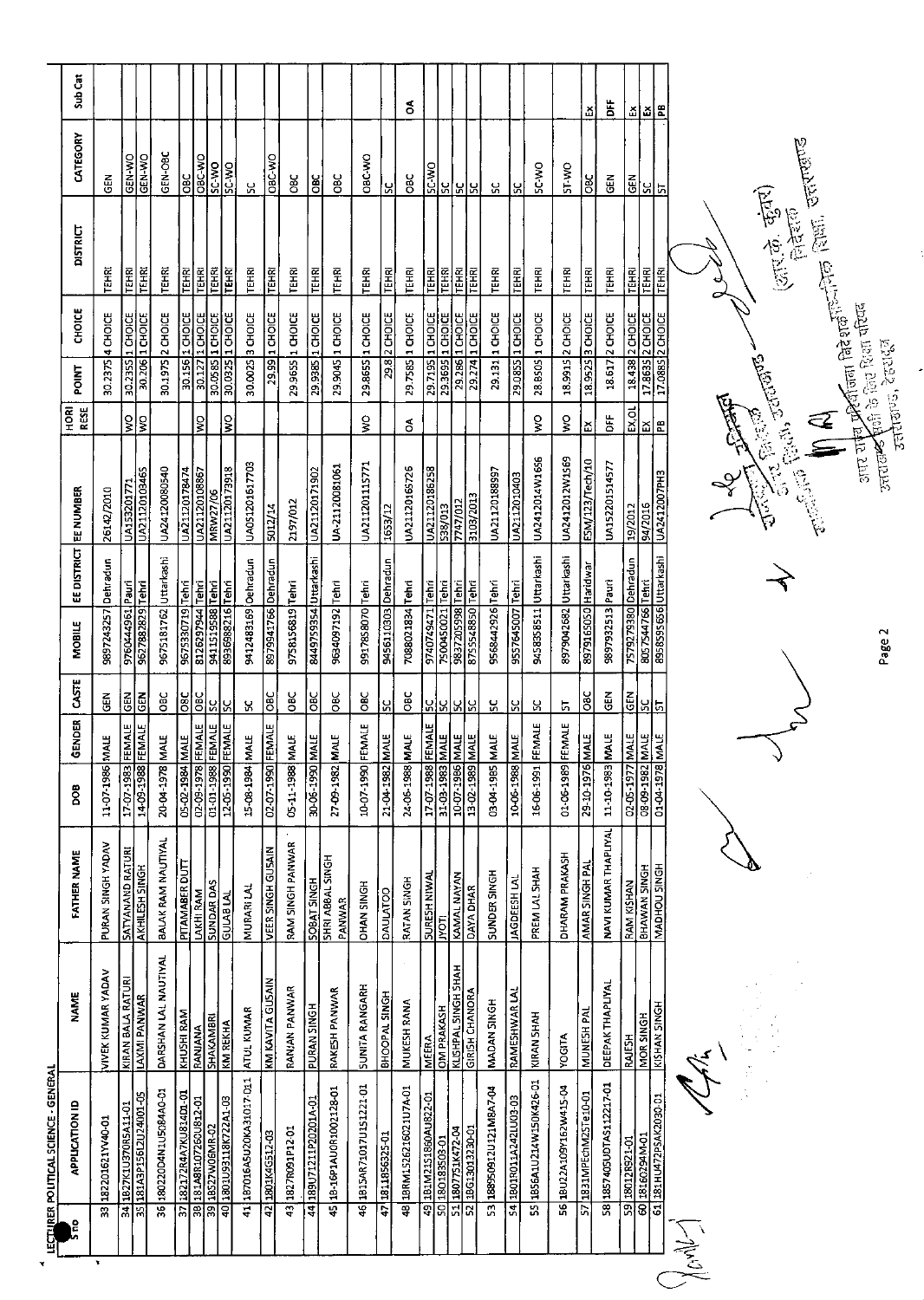|                | ន្លៃ | LECTLIRER POLITICAL SCIENCE - GENERA<br><b>APPLICATION ID</b>                                 | <b>NAME</b>             | <b>FATHER NAME</b>                        | <b>SCG</b>                                            | <b>GENDER</b> | CASTE          | <b>MOBILE</b>                        | EE DISTRICT EE NUMBER |                 | <b>RESE</b><br><b>ROH</b> | <b>POINT</b> | CHOICE             | DISTRICT     | CATEGORY      | Sub Car |
|----------------|------|-----------------------------------------------------------------------------------------------|-------------------------|-------------------------------------------|-------------------------------------------------------|---------------|----------------|--------------------------------------|-----------------------|-----------------|---------------------------|--------------|--------------------|--------------|---------------|---------|
| ¥              | 33   | 182201621YV40-01                                                                              | VIVEK KUMAR YADAV       | PURAN SINGH YADAV                         | 11-07-1986 M                                          | <b>HE</b>     | <b>GEN</b>     | 9897243257 Dehradun                  |                       | 26142/2010      |                           | 30.2375      | 4 CHOICE           | <b>TEHRI</b> | GEN           |         |
|                |      | 34 1827K1U370RSA11-01<br>35 181A3P155CL2U24001-05                                             | KIRAN BALA RATURI       | <b>SATYANAND RATURI</b>                   | 17-07-1983 FEMALE                                     |               | $\frac{2}{9}$  | 9760444961 Pauri                     |                       | UA153201771     | $\frac{1}{2}$             | 30.235S      | <b>I</b> CHOICE    | TEHRI        | <b>ON-N3D</b> |         |
|                |      |                                                                                               | LAXMI PANWAR            | <b>AKHILESH SINGH</b>                     | 14-09-1988 FEMALE                                     |               | $rac{1}{100}$  | 9627882829 Tehri                     |                       | UA21120103465   | ၃                         | 30.206       | 1 CHOICE           | TEHRI        | GEN-WO        |         |
|                |      | 36 180220D4N1U5084A0-01                                                                       | DARSHAN LAL NAUTIYAL    | BALAK RAM NAUTIYAL                        | 20-04-1978 MALE                                       |               | OBC            | 9675181762 Uttarkashi                |                       | UA24120080540   |                           |              | 30.1975 2 CHOICE   | <b>TEHRI</b> | GEN-OBC       |         |
|                |      | 182172R4A7KU81401-01<br>37 18217284A7KU814D1-01<br>38 181A88107260U812-01<br>39 18527W06MR-02 | KHUSHI RAM              | PITAMABER DUTI                            | 05-02-1984 MALE                                       |               | $rac{1}{280}$  |                                      |                       | UA21120178474   |                           |              | 30.156 1 CHOICE    | <b>TEHRI</b> | OBC           |         |
|                |      |                                                                                               | RANJANA<br>SHAKAMBRI    | LAKHI RAM                                 | 02-09-1978 FEMALE                                     |               | $rac{1}{0}$    | 9675330719 Tehri<br>8126297944 Tehri |                       | UA21120108867   | $\frac{1}{2}$             | 30.127       | 1 CHOICE           | <b>TEHRI</b> | ORC-WO        |         |
|                |      |                                                                                               |                         | <b>SUNDAR DAS</b>                         | 01-01-1988 FEMALE                                     |               | ΡS             | 9411519588 Tehri                     |                       | <b>MRW27/06</b> |                           |              | 30.0585 1 CHOICE   | <b>EHR</b>   | OW-35         |         |
|                |      | E0-IVZZZXPETE601001                                                                           | KM REKHA                | <b>UNB LAL</b>                            | 12-05-1990 FEMALE                                     |               | ΡS             | 8936988216 Tehri                     |                       | UA21120173918   | $\frac{1}{2}$             |              | 30.0325 1 CHOICE   | TEHRI        | SC-WO         |         |
|                |      | 41 187016A5U20KA31017-D11                                                                     | ATUL KUMAR              | MURARI LAL                                | 15-08-1984 MALE                                       |               | χ              | 9412483169 Oehradun                  |                       | UA051201617703  |                           |              | 30 0025 3 CHOICE   | <b>TEHRI</b> | ں<br>نا       |         |
|                |      | 42 1801K4G512-03                                                                              | KM KAVITA GUSAIN        | <b>VEER SINGH GUSAIN</b>                  | 02-07-1990 FEMALE                                     |               | <b>BC</b>      | 8979941766 Dehradun                  |                       | 5012/14         |                           | 29.99        | 1 CHOICE           | TEHRI        | <b>OBC-WO</b> |         |
|                |      | 43 1827 RO91 P12-01                                                                           | <b>RANJAN PANWAR</b>    | RAM SINGH PANWAR                          | 05-11-1988 MALE                                       |               | $rac{C}{C}$    | 9758156819 Tehri                     |                       | 2197/012        |                           |              | 29 9655 1 CHOICE   | TEHRI        | <b>DBC</b>    |         |
|                |      | 44 189071211P20201A-01                                                                        | <b>PURAN SINGH</b>      |                                           | 30-06-1990 MALE                                       |               | <b>DBC</b>     | 8449759354 Uttarkash                 |                       | UA21120171902   |                           | 29.9385      | 1 CHOICE           | TEHRI        | OBC           |         |
|                |      | 45 18-16P1AU0R1002128-01                                                                      | <b>RAKESH PANWAR</b>    | SOBAT SINGH<br>SHRI ABBAL SINGH<br>PANWAR | 27-09-1982 MALE                                       |               | ă              | 9634097192 Tehri                     |                       | UA-21120081061  |                           |              | 29.9045 1 CHOICE   | TEHRI        | <b>OBC</b>    |         |
|                |      | 46 1815AR71017U151221-01                                                                      | <b>SUNITA RANGARH</b>   | <b>OHAN SINGH</b>                         | 10-07-1990 FEMALE                                     |               | <b>SEC</b>     | 9917858070 Tehri                     |                       | UA211201115771  | $\frac{0}{5}$             |              | 29.8655 1 CHOICE   | TEHRI        | OBC-VIO       |         |
|                |      | 47 1811856325-01                                                                              | BHOOPAL SINGH           | DAULATOO                                  | 21-04-1982 MALE                                       |               | ပ္ပ            | 9456110303 Dehradun                  |                       | 1653/12         |                           |              | 29.8 2 CHOICE      | <b>TEHRI</b> | ι.            |         |
|                |      | 48 18RM1526216021U7A-01                                                                       | MUKESH RANA             | RATAN SINGH                               | 24-06-1988 MALE                                       |               | ŏ              | 7088021834 Tehri                     |                       | UA21120165726   | \$                        |              | 29.7585 1 CHOICE   | <b>TEHRI</b> | <b>BC</b>     | క       |
|                |      | 49 181M2151860AU822-01                                                                        | <b>MEERA</b>            | SURESH NIWAL                              | 17-07-1988 FEMALE                                     |               |                | 9740749471 Tehri                     |                       | UA21120186258   |                           |              | 29.7195 1 CHOICE   | TEHRI        | SC-WO         |         |
|                |      | 50 180183503-01                                                                               | OM PRAKASH              | <b>TOXL</b>                               | 31-03-1983 MALE<br>10-07-1986 MALE<br>13-02-1989 MALE |               | <u>ଜାଧାଧାର</u> | 7500450021 Tehri                     |                       | 538/013         |                           | 293695       | 1 CHOICE           | TEHRI        |               |         |
|                |      | IO-OEZE IOE ISSI   ZS<br>  22   1807 1218 132-01                                              | KLISHPAL SINGH SHAH     | KAMAL NAYAN                               |                                                       |               |                | 9837205998 Tehri                     |                       | 7747/012        |                           | 29.286       | 1 CHOICE           | <b>TEHRI</b> | 있어요           |         |
|                |      |                                                                                               | <b>GIRISH CHANORA</b>   | <b>DAYA DHAR</b>                          |                                                       |               |                | 8755548850 Tehri                     |                       | 3103/2013       |                           |              | 29.274 1 CHOICE    | <b>TEHRI</b> |               |         |
|                |      | 53 188950912U121M8A7-04                                                                       | MADAN SINGH             | SUNDER SINGH                              | 03-04-1985 MALE                                       |               | $\frac{6}{2}$  | 9568442926 Tehri                     |                       | UA21120188997   |                           |              | 29.131 1 CHOICE    | <b>TEHRI</b> | ပ္ပ           |         |
|                |      | 54 18018011A242LU03-03                                                                        | RAMESHWAR LA!           | <b>JAGDEESH LAI</b>                       | 10-06-1988 MALE                                       |               | ς,             | 9557645007 Tehri                     |                       | UA2112010403    |                           |              | 29.0855 1 CHOICE   | TEHRI        | <u>ម</u>      |         |
|                |      | 55 BS6A1U214W150K426-01                                                                       | KIRAN SHAH              | PREM LAL SHAH                             | 16-06-1991 FEMALE                                     |               | አ              | 9458358511 Uttarkashi                |                       | UA2412014W1656  | Ş                         |              | 28.BSOS 1 CHOICE   | <b>TEHRI</b> | SC-WO         |         |
|                |      | 56 18U22A109Y162W415-04                                                                       | <b>YOGITA</b>           | DHARAM PRAKASH                            | 01-06-1989                                            | FEMALE        | 5              | 8979042682 Uttarkashi                |                       | UA2412012W1569  | Ş                         |              | 18.9915 2 CHOICE   | TEHRI        | ST-WO         |         |
|                |      | 57 1831MPEchM2STe10-01                                                                        | MUNESH PAI              | AMAR SINGH PAI                            | 29-10-1976 MALE                                       |               | ă              | s979165050 Haridwar                  |                       | ESM/123/Tech/10 | ١ž                        |              | 18.9525 3 CHOICE   | TEHRI        | <b>Dac</b>    | ă       |
|                |      | 58 1857405UDTAS112217-01                                                                      | <b>DEEPAK THAPLIYAL</b> | NAVI KUMAR THAPLIYAL                      | 11-10-1983 MALE                                       |               | 준<br>영         | 9897932513 Pauri                     |                       | UA152201514577  | ۵Ë                        |              | 18.617 2 CHOICE    | TEHRI        | GEN           | ă       |
|                |      | 59 180128921-01                                                                               | RAJESH                  | <b>RAM KISHAN</b>                         | 02-05-1977 MALE                                       |               |                | 7579279380 Dehradun                  |                       | 19/2012         | EX,OL                     |              | 18.438 2 CHOICE    | TEHRI        | $rac{1}{5}$   | 픿       |
|                |      | ED-MRECOSTRI 09                                                                               | MOR SINGH               | BHAWAN SINGH                              | 08-09-1982 MALE                                       |               | <u>ឨូៀ⊨</u>    | 8057544766 Tehri                     |                       | 94/2015         | ΙR                        |              | $17.8635$ 2 CHOICE | <b>LEHRI</b> | <u> ula</u>   | lă.     |
|                |      | 61 181 Н U472 Р SAK2030-01                                                                    | <b>KISHAN SINGH</b>     | MADHOU SINGH                              |                                                       |               |                | 8958595656 Uttarkashi                |                       | UA2412007PH3    | æ                         |              | 17.0885 2 CHOICE   | <b>TEHRI</b> |               | £       |
| Jones<br>Jones |      |                                                                                               |                         |                                           |                                                       |               |                |                                      |                       |                 |                           |              |                    |              |               |         |

Control of the Control of Control of Control of Control of Control of Control of Control of Control of Control of Control of Control of Control of Control of Control of Control of Control of Control of Control of Control o

 $\frac{1}{2}$ 

Page 2

**Resident** 

अप योच प्रस्तुतिज्ञा बिरेशक<sup>न</sup>िक शिक्षा, उत्तराणाउँ<br>अपर योच प्रस्तुतिज्ञा बिरेशक<sup>न</sup>िक शिक्षा, उत्तराणाउँ<br>उत्तराख्ये पूर्वार्ज्यन्ड, देहराईने

(जाएके, कुंकर)<br>सिद्देशक

Roch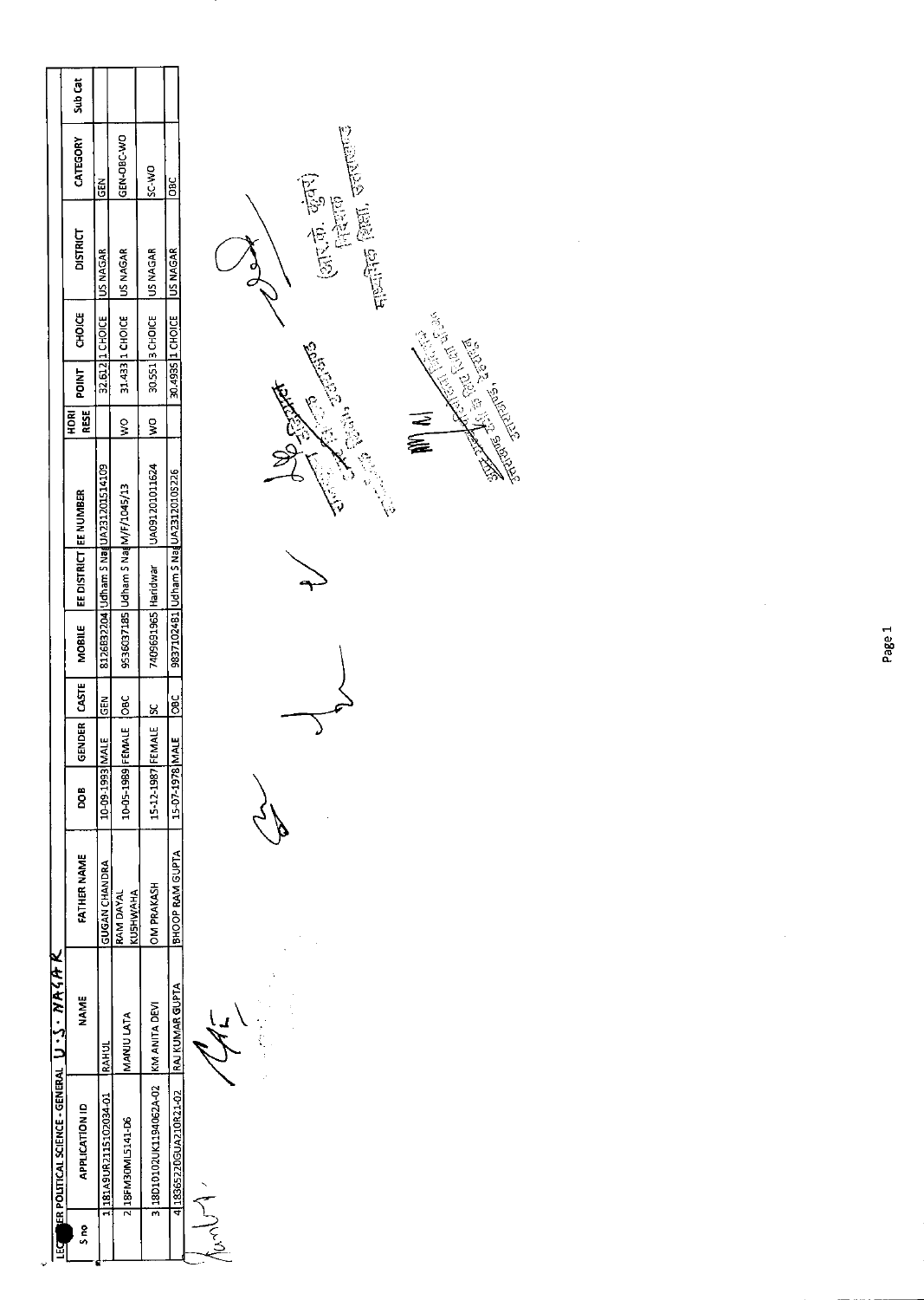|        | LEG ER POLITICAL SCIENCE - GENERAL U . S . NA 4 A K |           |                              |            |            |               |                                                   |                                        |               |       |                              |                 |                |         |
|--------|-----------------------------------------------------|-----------|------------------------------|------------|------------|---------------|---------------------------------------------------|----------------------------------------|---------------|-------|------------------------------|-----------------|----------------|---------|
| e<br>S | <b>APPLICATION ID</b>                               | NAME      | FATHER NAME                  | g          |            |               | GENDER   CASTE   MOBILE   EE DISTRICT   EE NUMBER |                                        | ESE I<br>HORI | POINT | CHOICE                       | <b>DISTRICT</b> | CATEGORY       | Sub Cat |
|        | 181A9UR2115102034-01 RAHUL                          |           | <b>GUGAN CHANDRA</b>         | 10-09-1993 | MALE       | $\frac{5}{2}$ |                                                   | 8126832204 Udham S NagUA231201514109   |               |       | 32.612 I1 CHOICE   US NAGAR  |                 | <b>IGEN</b>    |         |
|        | 2 18FM30ML5141-D6                                   | MANU LATA | KUSHWAHA<br><b>RAM DAYAL</b> | 10-05-1989 | EMALE OBC  |               |                                                   | 9536037185 Udham S Nag M/F/1045/13     | <u>ទ្ធ</u>    |       | 31.433 1 CHOICE US NAGAR     |                 | GEN-OBC-WO     |         |
|        | 3 18D10102UK1194062A-02 KM ANITA DEVI               |           | <b>DM PRAKASH</b>            | 15-12 1987 | FEMALE ISC |               |                                                   | 7409691965 Haridwar   UA091201011624   | $\frac{1}{2}$ |       | 30.551 SCHOICE US NAGAR      |                 | <b>DAC-NIC</b> |         |
|        | 4 18365220GUA210R21-02 RAJ KUMAR GUPTA              |           | BHOOP RAM GUPTA              | 15-07-1978 | MALE       | $\frac{6}{6}$ |                                                   | 9837102481   Udham S Nag UA23120105226 |               |       | 30.4935  1 CHOICE   US NAGAR |                 | <b>BC</b>      |         |
|        |                                                     |           |                              |            |            |               |                                                   |                                        |               |       |                              |                 |                |         |

 $\frac{1}{2}$ 



Ŷ,

Page 1

 $\frac{1}{2}$